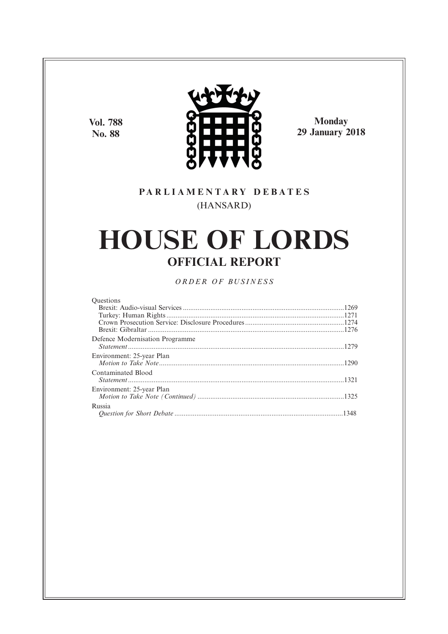**Vol. 788 No. 88**



**Monday 29 January 2018**

# **P A R L I A M E N T A R Y D E B A T E S** (HANSARD)

# **HOUSE OF LORDS OFFICIAL REPORT**

*O R D E R O F BU S I N E S S*

| <b>Ouestions</b>                |  |
|---------------------------------|--|
|                                 |  |
|                                 |  |
|                                 |  |
|                                 |  |
| Defence Modernisation Programme |  |
|                                 |  |
| Environment: 25-year Plan       |  |
|                                 |  |
| Contaminated Blood              |  |
|                                 |  |
| Environment: 25-year Plan       |  |
|                                 |  |
| Russia                          |  |
|                                 |  |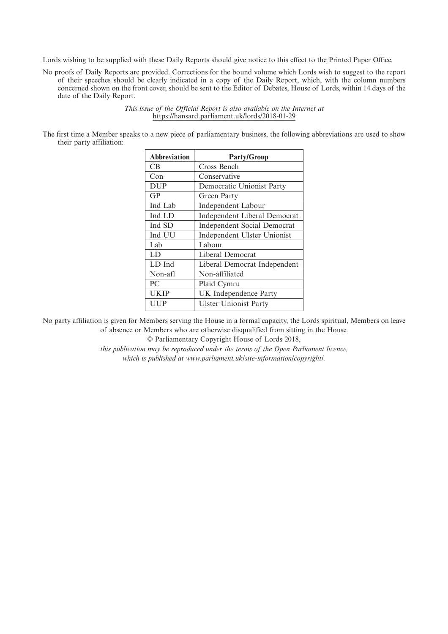Lords wishing to be supplied with these Daily Reports should give notice to this effect to the Printed Paper Office.

No proofs of Daily Reports are provided. Corrections for the bound volume which Lords wish to suggest to the report of their speeches should be clearly indicated in a copy of the Daily Report, which, with the column numbers concerned shown on the front cover, should be sent to the Editor of Debates, House of Lords, within 14 days of the date of the Daily Report.

> *This issue of the Official Report is also available on the Internet at* https://hansard.parliament.uk/lords/2018-01-29

The first time a Member speaks to a new piece of parliamentary business, the following abbreviations are used to show their party affiliation:

| <b>Abbreviation</b> | <b>Party/Group</b>                  |
|---------------------|-------------------------------------|
| CB.                 | Cross Bench                         |
| Con                 | Conservative                        |
| <b>DUP</b>          | Democratic Unionist Party           |
| GP                  | Green Party                         |
| Ind Lab             | Independent Labour                  |
| Ind LD              | <b>Independent Liberal Democrat</b> |
| Ind SD              | <b>Independent Social Democrat</b>  |
| Ind UU              | Independent Ulster Unionist         |
| Lab                 | Labour                              |
| LD                  | Liberal Democrat                    |
| LD Ind              | Liberal Democrat Independent        |
| Non-afl             | Non-affiliated                      |
| PC                  | Plaid Cymru                         |
| <b>UKIP</b>         | UK Independence Party               |
| UUP                 | <b>Ulster Unionist Party</b>        |

No party affiliation is given for Members serving the House in a formal capacity, the Lords spiritual, Members on leave of absence or Members who are otherwise disqualified from sitting in the House.

© Parliamentary Copyright House of Lords 2018,

*this publication may be reproduced under the terms of the Open Parliament licence, which is published at www.parliament.uk/site-information/copyright/.*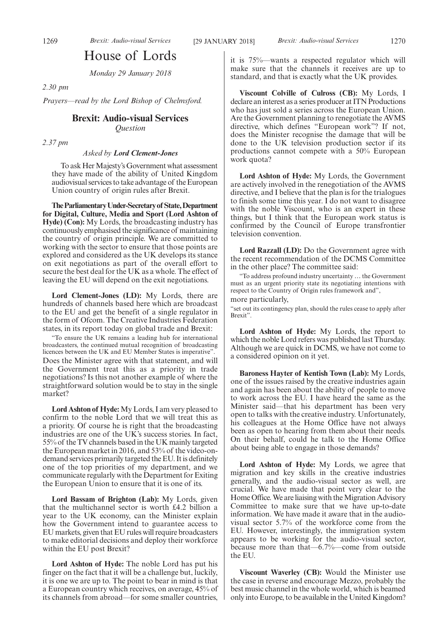# House of Lords

*Monday 29 January 2018*

*2.30 pm*

*Prayers—read by the Lord Bishop of Chelmsford.*

# **Brexit: Audio-visual Services**

*Question*

*2.37 pm*

#### *Asked by Lord Clement-Jones*

To ask Her Majesty's Government what assessment they have made of the ability of United Kingdom audiovisual services to take advantage of the European Union country of origin rules after Brexit.

**TheParliamentaryUnder-Secretaryof State,Department for Digital, Culture, Media and Sport (Lord Ashton of Hyde) (Con):** My Lords, the broadcasting industry has continuously emphasised the significance of maintaining the country of origin principle. We are committed to working with the sector to ensure that those points are explored and considered as the UK develops its stance on exit negotiations as part of the overall effort to secure the best deal for the UK as a whole. The effect of leaving the EU will depend on the exit negotiations.

**Lord Clement-Jones (LD):** My Lords, there are hundreds of channels based here which are broadcast to the EU and get the benefit of a single regulator in the form of Ofcom. The Creative Industries Federation states, in its report today on global trade and Brexit:

"To ensure the UK remains a leading hub for international broadcasters, the continued mutual recognition of broadcasting licences between the UK and EU Member States is imperative". Does the Minister agree with that statement, and will the Government treat this as a priority in trade negotiations? Is this not another example of where the straightforward solution would be to stay in the single market?

**Lord Ashton of Hyde:**My Lords, I am very pleased to confirm to the noble Lord that we will treat this as a priority. Of course he is right that the broadcasting industries are one of the UK's success stories. In fact, 55% of the TV channels based in the UK mainly targeted the European market in 2016, and 53% of the video-ondemand services primarily targeted the EU. It is definitely one of the top priorities of my department, and we communicate regularly with the Department for Exiting the European Union to ensure that it is one of its.

**Lord Bassam of Brighton (Lab):** My Lords, given that the multichannel sector is worth £4.2 billion a year to the UK economy, can the Minister explain how the Government intend to guarantee access to EU markets, given that EU rules will require broadcasters to make editorial decisions and deploy their workforce within the EU post Brexit?

**Lord Ashton of Hyde:** The noble Lord has put his finger on the fact that it will be a challenge but, luckily, it is one we are up to. The point to bear in mind is that a European country which receives, on average, 45% of its channels from abroad—for some smaller countries,

it is 75%—wants a respected regulator which will make sure that the channels it receives are up to standard, and that is exactly what the UK provides.

**Viscount Colville of Culross (CB):** My Lords, I declare an interest as a series producer at ITN Productions who has just sold a series across the European Union. Are the Government planning to renegotiate the AVMS directive, which defines "European work"? If not, does the Minister recognise the damage that will be done to the UK television production sector if its productions cannot compete with a 50% European work quota?

**Lord Ashton of Hyde:** My Lords, the Government are actively involved in the renegotiation of the AVMS directive, and I believe that the plan is for the trialogues to finish some time this year. I do not want to disagree with the noble Viscount, who is an expert in these things, but I think that the European work status is confirmed by the Council of Europe transfrontier television convention.

**Lord Razzall (LD):** Do the Government agree with the recent recommendation of the DCMS Committee in the other place? The committee said:

"To address profound industry uncertainty … the Government must as an urgent priority state its negotiating intentions with respect to the Country of Origin rules framework and",

# more particularly,

"set out its contingency plan, should the rules cease to apply after Brexit".

**Lord Ashton of Hyde:** My Lords, the report to which the noble Lord refers was published last Thursday. Although we are quick in DCMS, we have not come to a considered opinion on it yet.

**Baroness Hayter of Kentish Town (Lab):** My Lords, one of the issues raised by the creative industries again and again has been about the ability of people to move to work across the EU. I have heard the same as the Minister said—that his department has been very open to talks with the creative industry. Unfortunately, his colleagues at the Home Office have not always been as open to hearing from them about their needs. On their behalf, could he talk to the Home Office about being able to engage in those demands?

**Lord Ashton of Hyde:** My Lords, we agree that migration and key skills in the creative industries generally, and the audio-visual sector as well, are crucial. We have made that point very clear to the Home Office. We are liaising with the Migration Advisory Committee to make sure that we have up-to-date information. We have made it aware that in the audiovisual sector 5.7% of the workforce come from the EU. However, interestingly, the immigration system appears to be working for the audio-visual sector, because more than that—6.7%—come from outside the EU.

**Viscount Waverley (CB):** Would the Minister use the case in reverse and encourage Mezzo, probably the best music channel in the whole world, which is beamed only into Europe, to be available in the United Kingdom?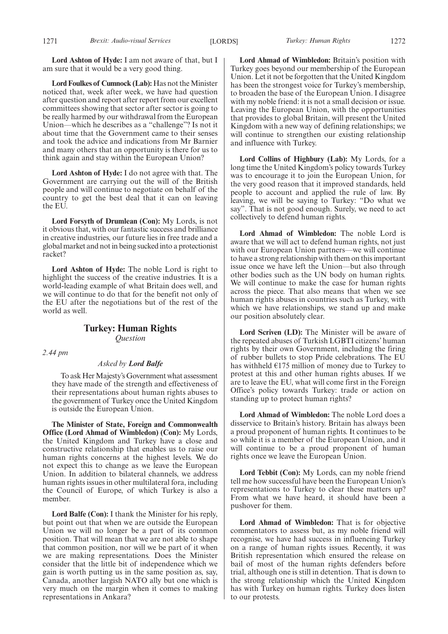**Lord Ashton of Hyde:** I am not aware of that, but I am sure that it would be a very good thing.

**Lord Foulkes of Cumnock (Lab):** Has not the Minister noticed that, week after week, we have had question after question and report after report from our excellent committees showing that sector after sector is going to be really harmed by our withdrawal from the European Union—which he describes as a "challenge"? Is not it about time that the Government came to their senses and took the advice and indications from Mr Barnier and many others that an opportunity is there for us to think again and stay within the European Union?

**Lord Ashton of Hyde:** I do not agree with that. The Government are carrying out the will of the British people and will continue to negotiate on behalf of the country to get the best deal that it can on leaving the EU.

**Lord Forsyth of Drumlean (Con):** My Lords, is not it obvious that, with our fantastic success and brilliance in creative industries, our future lies in free trade and a global market and not in being sucked into a protectionist racket?

**Lord Ashton of Hyde:** The noble Lord is right to highlight the success of the creative industries. It is a world-leading example of what Britain does well, and we will continue to do that for the benefit not only of the EU after the negotiations but of the rest of the world as well.

# **Turkey: Human Rights** *Question*

*2.44 pm*

#### *Asked by Lord Balfe*

To ask Her Majesty's Government what assessment they have made of the strength and effectiveness of their representations about human rights abuses to the government of Turkey once the United Kingdom is outside the European Union.

**The Minister of State, Foreign and Commonwealth Office (Lord Ahmad of Wimbledon) (Con):** My Lords, the United Kingdom and Turkey have a close and constructive relationship that enables us to raise our human rights concerns at the highest levels. We do not expect this to change as we leave the European Union. In addition to bilateral channels, we address human rights issues in other multilateral fora, including the Council of Europe, of which Turkey is also a member.

**Lord Balfe (Con):** I thank the Minister for his reply, but point out that when we are outside the European Union we will no longer be a part of its common position. That will mean that we are not able to shape that common position, nor will we be part of it when we are making representations. Does the Minister consider that the little bit of independence which we gain is worth putting us in the same position as, say, Canada, another largish NATO ally but one which is very much on the margin when it comes to making representations in Ankara?

**Lord Ahmad of Wimbledon:** Britain's position with Turkey goes beyond our membership of the European Union. Let it not be forgotten that the United Kingdom has been the strongest voice for Turkey's membership, to broaden the base of the European Union. I disagree with my noble friend: it is not a small decision or issue. Leaving the European Union, with the opportunities that provides to global Britain, will present the United Kingdom with a new way of defining relationships; we will continue to strengthen our existing relationship and influence with Turkey.

**Lord Collins of Highbury (Lab):** My Lords, for a long time the United Kingdom's policy towards Turkey was to encourage it to join the European Union, for the very good reason that it improved standards, held people to account and applied the rule of law. By leaving, we will be saying to Turkey: "Do what we say". That is not good enough. Surely, we need to act collectively to defend human rights.

**Lord Ahmad of Wimbledon:** The noble Lord is aware that we will act to defend human rights, not just with our European Union partners—we will continue to have a strong relationship with them on this important issue once we have left the Union—but also through other bodies such as the UN body on human rights. We will continue to make the case for human rights across the piece. That also means that when we see human rights abuses in countries such as Turkey, with which we have relationships, we stand up and make our position absolutely clear.

**Lord Scriven (LD):** The Minister will be aware of the repeated abuses of Turkish LGBTI citizens' human rights by their own Government, including the firing of rubber bullets to stop Pride celebrations. The EU has withheld  $E175$  million of money due to Turkey to protest at this and other human rights abuses. If we are to leave the EU, what will come first in the Foreign Office's policy towards Turkey: trade or action on standing up to protect human rights?

**Lord Ahmad of Wimbledon:** The noble Lord does a disservice to Britain's history. Britain has always been a proud proponent of human rights. It continues to be so while it is a member of the European Union, and it will continue to be a proud proponent of human rights once we leave the European Union.

**Lord Tebbit (Con):** My Lords, can my noble friend tell me how successful have been the European Union's representations to Turkey to clear these matters up? From what we have heard, it should have been a pushover for them.

**Lord Ahmad of Wimbledon:** That is for objective commentators to assess but, as my noble friend will recognise, we have had success in influencing Turkey on a range of human rights issues. Recently, it was British representation which ensured the release on bail of most of the human rights defenders before trial, although one is still in detention. That is down to the strong relationship which the United Kingdom has with Turkey on human rights. Turkey does listen to our protests.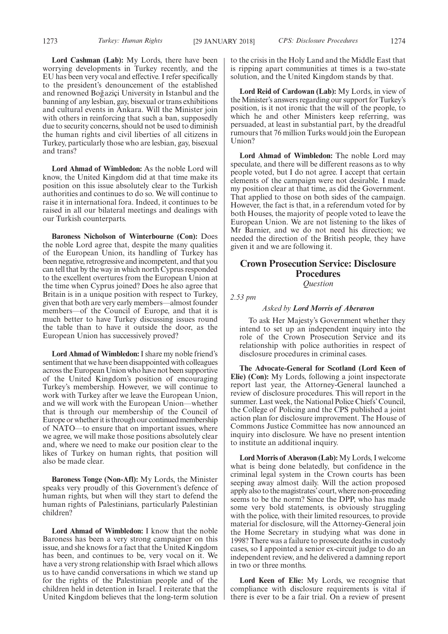**Lord Cashman (Lab):** My Lords, there have been worrying developments in Turkey recently, and the EU has been very vocal and effective. I refer specifically to the president's denouncement of the established and renowned Boğaziçi University in Istanbul and the banning of any lesbian, gay, bisexual or trans exhibitions and cultural events in Ankara. Will the Minister join with others in reinforcing that such a ban, supposedly due to security concerns, should not be used to diminish the human rights and civil liberties of all citizens in Turkey, particularly those who are lesbian, gay, bisexual and trans?

**Lord Ahmad of Wimbledon:** As the noble Lord will know, the United Kingdom did at that time make its position on this issue absolutely clear to the Turkish authorities and continues to do so. We will continue to raise it in international fora. Indeed, it continues to be raised in all our bilateral meetings and dealings with our Turkish counterparts.

**Baroness Nicholson of Winterbourne (Con):** Does the noble Lord agree that, despite the many qualities of the European Union, its handling of Turkey has been negative, retrogressive and incompetent, and that you can tell that by the way in which north Cyprus responded to the excellent overtures from the European Union at the time when Cyprus joined? Does he also agree that Britain is in a unique position with respect to Turkey, given that both are very early members—almost founder members—of the Council of Europe, and that it is much better to have Turkey discussing issues round the table than to have it outside the door, as the European Union has successively proved?

**Lord Ahmad of Wimbledon:**I share my noble friend's sentiment that we have been disappointed with colleagues across the European Union who have not been supportive of the United Kingdom's position of encouraging Turkey's membership. However, we will continue to work with Turkey after we leave the European Union, and we will work with the European Union—whether that is through our membership of the Council of Europe or whether it is through our continued membership of NATO—to ensure that on important issues, where we agree, we will make those positions absolutely clear and, where we need to make our position clear to the likes of Turkey on human rights, that position will also be made clear.

**Baroness Tonge (Non-Afl):** My Lords, the Minister speaks very proudly of this Government's defence of human rights, but when will they start to defend the human rights of Palestinians, particularly Palestinian children?

**Lord Ahmad of Wimbledon:** I know that the noble Baroness has been a very strong campaigner on this issue, and she knows for a fact that the United Kingdom has been, and continues to be, very vocal on it. We have a very strong relationship with Israel which allows us to have candid conversations in which we stand up for the rights of the Palestinian people and of the children held in detention in Israel. I reiterate that the United Kingdom believes that the long-term solution to the crisis in the Holy Land and the Middle East that is ripping apart communities at times is a two-state solution, and the United Kingdom stands by that.

**Lord Reid of Cardowan (Lab):** My Lords, in view of the Minister's answers regarding our support for Turkey's position, is it not ironic that the will of the people, to which he and other Ministers keep referring, was persuaded, at least in substantial part, by the dreadful rumours that 76 million Turks would join the European Union?

**Lord Ahmad of Wimbledon:** The noble Lord may speculate, and there will be different reasons as to why people voted, but I do not agree. I accept that certain elements of the campaign were not desirable. I made my position clear at that time, as did the Government. That applied to those on both sides of the campaign. However, the fact is that, in a referendum voted for by both Houses, the majority of people voted to leave the European Union. We are not listening to the likes of Mr Barnier, and we do not need his direction; we needed the direction of the British people, they have given it and we are following it.

# **Crown Prosecution Service: Disclosure Procedures** *Question*

*2.53 pm*

#### *Asked by Lord Morris of Aberavon*

To ask Her Majesty's Government whether they intend to set up an independent inquiry into the role of the Crown Prosecution Service and its relationship with police authorities in respect of disclosure procedures in criminal cases.

**The Advocate-General for Scotland (Lord Keen of Elie) (Con):** My Lords, following a joint inspectorate report last year, the Attorney-General launched a review of disclosure procedures. This will report in the summer. Last week, the National Police Chiefs' Council, the College of Policing and the CPS published a joint action plan for disclosure improvement. The House of Commons Justice Committee has now announced an inquiry into disclosure. We have no present intention to institute an additional inquiry.

**Lord Morris of Aberavon (Lab):** My Lords, I welcome what is being done belatedly, but confidence in the criminal legal system in the Crown courts has been seeping away almost daily. Will the action proposed apply also to the magistrates'court, where non-proceeding seems to be the norm? Since the DPP, who has made some very bold statements, is obviously struggling with the police, with their limited resources, to provide material for disclosure, will the Attorney-General join the Home Secretary in studying what was done in 1998? There was a failure to prosecute deaths in custody cases, so I appointed a senior ex-circuit judge to do an independent review, and he delivered a damning report in two or three months.

**Lord Keen of Elie:** My Lords, we recognise that compliance with disclosure requirements is vital if there is ever to be a fair trial. On a review of present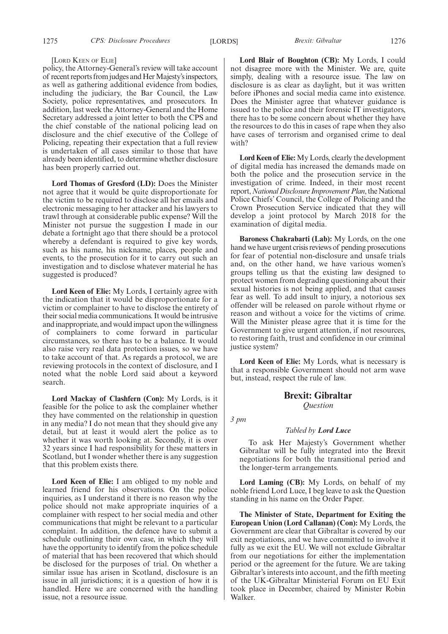#### [LORD KEEN OF ELIE]

policy, the Attorney-General's review will take account of recent reports from judges and Her Majesty's inspectors, as well as gathering additional evidence from bodies, including the judiciary, the Bar Council, the Law Society, police representatives, and prosecutors. In addition, last week the Attorney-General and the Home Secretary addressed a joint letter to both the CPS and the chief constable of the national policing lead on disclosure and the chief executive of the College of Policing, repeating their expectation that a full review is undertaken of all cases similar to those that have already been identified, to determine whether disclosure has been properly carried out.

**Lord Thomas of Gresford (LD):** Does the Minister not agree that it would be quite disproportionate for the victim to be required to disclose all her emails and electronic messaging to her attacker and his lawyers to trawl through at considerable public expense? Will the Minister not pursue the suggestion I made in our debate a fortnight ago that there should be a protocol whereby a defendant is required to give key words, such as his name, his nickname, places, people and events, to the prosecution for it to carry out such an investigation and to disclose whatever material he has suggested is produced?

**Lord Keen of Elie:** My Lords, I certainly agree with the indication that it would be disproportionate for a victim or complainer to have to disclose the entirety of their social media communications. It would be intrusive and inappropriate, and would impact upon the willingness of complainers to come forward in particular circumstances, so there has to be a balance. It would also raise very real data protection issues, so we have to take account of that. As regards a protocol, we are reviewing protocols in the context of disclosure, and I noted what the noble Lord said about a keyword search.

**Lord Mackay of Clashfern (Con):** My Lords, is it feasible for the police to ask the complainer whether they have commented on the relationship in question in any media? I do not mean that they should give any detail, but at least it would alert the police as to whether it was worth looking at. Secondly, it is over 32 years since I had responsibility for these matters in Scotland, but I wonder whether there is any suggestion that this problem exists there.

**Lord Keen of Elie:** I am obliged to my noble and learned friend for his observations. On the police inquiries, as I understand it there is no reason why the police should not make appropriate inquiries of a complainer with respect to her social media and other communications that might be relevant to a particular complaint. In addition, the defence have to submit a schedule outlining their own case, in which they will have the opportunity to identify from the police schedule of material that has been recovered that which should be disclosed for the purposes of trial. On whether a similar issue has arisen in Scotland, disclosure is an issue in all jurisdictions; it is a question of how it is handled. Here we are concerned with the handling issue, not a resource issue.

**Lord Blair of Boughton (CB):** My Lords, I could not disagree more with the Minister. We are, quite simply, dealing with a resource issue. The law on disclosure is as clear as daylight, but it was written before iPhones and social media came into existence. Does the Minister agree that whatever guidance is issued to the police and their forensic IT investigators, there has to be some concern about whether they have the resources to do this in cases of rape when they also have cases of terrorism and organised crime to deal with?

**Lord Keen of Elie:** My Lords, clearly the development of digital media has increased the demands made on both the police and the prosecution service in the investigation of crime. Indeed, in their most recent report,*National Disclosure Improvement Plan*, the National Police Chiefs' Council, the College of Policing and the Crown Prosecution Service indicated that they will develop a joint protocol by March 2018 for the examination of digital media.

**Baroness Chakrabarti (Lab):** My Lords, on the one hand we have urgent crisis reviews of pending prosecutions for fear of potential non-disclosure and unsafe trials and, on the other hand, we have various women's groups telling us that the existing law designed to protect women from degrading questioning about their sexual histories is not being applied, and that causes fear as well. To add insult to injury, a notorious sex offender will be released on parole without rhyme or reason and without a voice for the victims of crime. Will the Minister please agree that it is time for the Government to give urgent attention, if not resources, to restoring faith, trust and confidence in our criminal justice system?

**Lord Keen of Elie:** My Lords, what is necessary is that a responsible Government should not arm wave but, instead, respect the rule of law.

# **Brexit: Gibraltar** *Question*

*3 pm*

#### *Tabled by Lord Luce*

To ask Her Majesty's Government whether Gibraltar will be fully integrated into the Brexit negotiations for both the transitional period and the longer-term arrangements.

**Lord Laming (CB):** My Lords, on behalf of my noble friend Lord Luce, I beg leave to ask the Question standing in his name on the Order Paper.

**The Minister of State, Department for Exiting the European Union (Lord Callanan) (Con):** My Lords, the Government are clear that Gibraltar is covered by our exit negotiations, and we have committed to involve it fully as we exit the EU. We will not exclude Gibraltar from our negotiations for either the implementation period or the agreement for the future. We are taking Gibraltar's interests into account, and the fifth meeting of the UK-Gibraltar Ministerial Forum on EU Exit took place in December, chaired by Minister Robin Walker.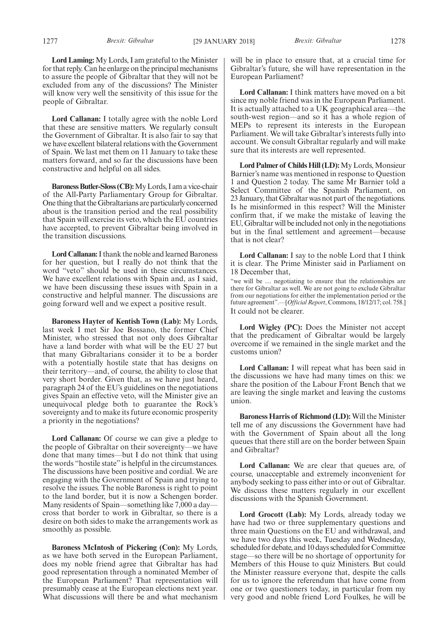**Lord Laming:** My Lords, I am grateful to the Minister for that reply. Can he enlarge on the principal mechanisms to assure the people of Gibraltar that they will not be excluded from any of the discussions? The Minister will know very well the sensitivity of this issue for the people of Gibraltar.

**Lord Callanan:** I totally agree with the noble Lord that these are sensitive matters. We regularly consult the Government of Gibraltar. It is also fair to say that we have excellent bilateral relations with the Government of Spain. We last met them on 11 January to take these matters forward, and so far the discussions have been constructive and helpful on all sides.

**Baroness Butler-Sloss (CB):**My Lords, I am a vice-chair of the All-Party Parliamentary Group for Gibraltar. One thing that the Gibraltarians are particularly concerned about is the transition period and the real possibility that Spain will exercise its veto, which the EU countries have accepted, to prevent Gibraltar being involved in the transition discussions.

**Lord Callanan:**I thank the noble and learned Baroness for her question, but I really do not think that the word "veto" should be used in these circumstances. We have excellent relations with Spain and, as I said, we have been discussing these issues with Spain in a constructive and helpful manner. The discussions are going forward well and we expect a positive result.

**Baroness Hayter of Kentish Town (Lab):** My Lords, last week I met Sir Joe Bossano, the former Chief Minister, who stressed that not only does Gibraltar have a land border with what will be the EU 27 but that many Gibraltarians consider it to be a border with a potentially hostile state that has designs on their territory—and, of course, the ability to close that very short border. Given that, as we have just heard, paragraph 24 of the EU's guidelines on the negotiations gives Spain an effective veto, will the Minister give an unequivocal pledge both to guarantee the Rock's sovereignty and to make its future economic prosperity a priority in the negotiations?

**Lord Callanan:** Of course we can give a pledge to the people of Gibraltar on their sovereignty—we have done that many times—but I do not think that using the words "hostile state" is helpful in the circumstances. The discussions have been positive and cordial. We are engaging with the Government of Spain and trying to resolve the issues. The noble Baroness is right to point to the land border, but it is now a Schengen border. Many residents of Spain—something like 7,000 a day cross that border to work in Gibraltar, so there is a desire on both sides to make the arrangements work as smoothly as possible.

**Baroness McIntosh of Pickering (Con):** My Lords, as we have both served in the European Parliament, does my noble friend agree that Gibraltar has had good representation through a nominated Member of the European Parliament? That representation will presumably cease at the European elections next year. What discussions will there be and what mechanism will be in place to ensure that, at a crucial time for Gibraltar's future, she will have representation in the European Parliament?

**Lord Callanan:** I think matters have moved on a bit since my noble friend was in the European Parliament. It is actually attached to a UK geographical area—the south-west region—and so it has a whole region of MEPs to represent its interests in the European Parliament. We will take Gibraltar's interests fully into account. We consult Gibraltar regularly and will make sure that its interests are well represented.

**Lord Palmer of Childs Hill (LD):**My Lords, Monsieur Barnier's name was mentioned in response to Question 1 and Question 2 today. The same Mr Barnier told a Select Committee of the Spanish Parliament, on 23 January, that Gibraltar was not part of the negotiations. Is he misinformed in this respect? Will the Minister confirm that, if we make the mistake of leaving the EU, Gibraltar will be included not only in the negotiations but in the final settlement and agreement—because that is not clear?

**Lord Callanan:** I say to the noble Lord that I think it is clear. The Prime Minister said in Parliament on 18 December that,

"we will be … negotiating to ensure that the relationships are there for Gibraltar as well. We are not going to exclude Gibraltar from our negotiations for either the implementation period or the future agreement".—[*Official Report*, Commons, 18/12/17; col. 758.] It could not be clearer.

**Lord Wigley (PC):** Does the Minister not accept that the predicament of Gibraltar would be largely overcome if we remained in the single market and the customs union?

**Lord Callanan:** I will repeat what has been said in the discussions we have had many times on this: we share the position of the Labour Front Bench that we are leaving the single market and leaving the customs union.

**Baroness Harris of Richmond (LD):** Will the Minister tell me of any discussions the Government have had with the Government of Spain about all the long queues that there still are on the border between Spain and Gibraltar?

Lord Callanan: We are clear that queues are, of course, unacceptable and extremely inconvenient for anybody seeking to pass either into or out of Gibraltar. We discuss these matters regularly in our excellent discussions with the Spanish Government.

**Lord Grocott (Lab):** My Lords, already today we have had two or three supplementary questions and three main Questions on the EU and withdrawal, and we have two days this week, Tuesday and Wednesday, scheduled for debate, and 10 days scheduled for Committee stage—so there will be no shortage of opportunity for Members of this House to quiz Ministers. But could the Minister reassure everyone that, despite the calls for us to ignore the referendum that have come from one or two questioners today, in particular from my very good and noble friend Lord Foulkes, he will be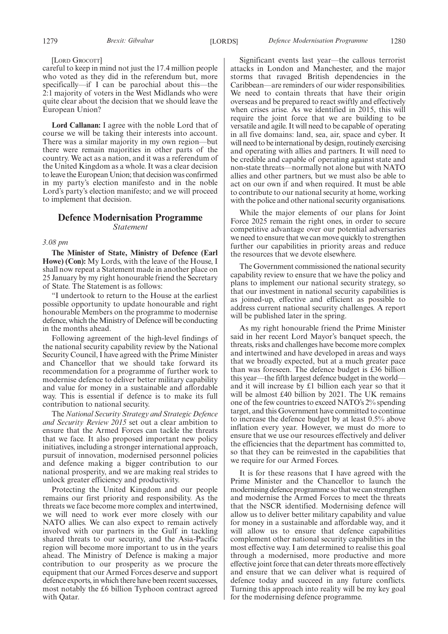#### [LORD GROCOTT]

careful to keep in mind not just the 17.4 million people who voted as they did in the referendum but, more specifically—if I can be parochial about this—the 2:1 majority of voters in the West Midlands who were quite clear about the decision that we should leave the European Union?

**Lord Callanan:** I agree with the noble Lord that of course we will be taking their interests into account. There was a similar majority in my own region—but there were remain majorities in other parts of the country. We act as a nation, and it was a referendum of the United Kingdom as a whole. It was a clear decision to leave the European Union; that decision was confirmed in my party's election manifesto and in the noble Lord's party's election manifesto; and we will proceed to implement that decision.

# **Defence Modernisation Programme** *Statement*

#### *3.08 pm*

**The Minister of State, Ministry of Defence (Earl Howe) (Con):** My Lords, with the leave of the House, I shall now repeat a Statement made in another place on 25 January by my right honourable friend the Secretary of State. The Statement is as follows:

"I undertook to return to the House at the earliest possible opportunity to update honourable and right honourable Members on the programme to modernise defence, which the Ministry of Defence will be conducting in the months ahead.

Following agreement of the high-level findings of the national security capability review by the National Security Council, I have agreed with the Prime Minister and Chancellor that we should take forward its recommendation for a programme of further work to modernise defence to deliver better military capability and value for money in a sustainable and affordable way. This is essential if defence is to make its full contribution to national security.

The *National Security Strategy and Strategic Defence and Security Review 2015* set out a clear ambition to ensure that the Armed Forces can tackle the threats that we face. It also proposed important new policy initiatives, including a stronger international approach, pursuit of innovation, modernised personnel policies and defence making a bigger contribution to our national prosperity, and we are making real strides to unlock greater efficiency and productivity.

Protecting the United Kingdom and our people remains our first priority and responsibility. As the threats we face become more complex and intertwined, we will need to work ever more closely with our NATO allies. We can also expect to remain actively involved with our partners in the Gulf in tackling shared threats to our security, and the Asia-Pacific region will become more important to us in the years ahead. The Ministry of Defence is making a major contribution to our prosperity as we procure the equipment that our Armed Forces deserve and support defence exports, in which there have been recent successes, most notably the £6 billion Typhoon contract agreed with Qatar.

Significant events last year—the callous terrorist attacks in London and Manchester, and the major storms that ravaged British dependencies in the Caribbean—are reminders of our wider responsibilities. We need to contain threats that have their origin overseas and be prepared to react swiftly and effectively when crises arise. As we identified in 2015, this will require the joint force that we are building to be versatile and agile. It will need to be capable of operating in all five domains: land, sea, air, space and cyber. It will need to be international by design, routinely exercising and operating with allies and partners. It will need to be credible and capable of operating against state and non-state threats—normally not alone but with NATO allies and other partners, but we must also be able to act on our own if and when required. It must be able to contribute to our national security at home, working with the police and other national security organisations.

While the major elements of our plans for Joint Force 2025 remain the right ones, in order to secure competitive advantage over our potential adversaries we need to ensure that we can move quickly to strengthen further our capabilities in priority areas and reduce the resources that we devote elsewhere.

The Government commissioned the national security capability review to ensure that we have the policy and plans to implement our national security strategy, so that our investment in national security capabilities is as joined-up, effective and efficient as possible to address current national security challenges. A report will be published later in the spring.

As my right honourable friend the Prime Minister said in her recent Lord Mayor's banquet speech, the threats, risks and challenges have become more complex and intertwined and have developed in areas and ways that we broadly expected, but at a much greater pace than was foreseen. The defence budget is £36 billion this year—the fifth largest defence budget in the world and it will increase by £1 billion each year so that it will be almost £40 billion by 2021. The UK remains one of the few countries to exceed NATO's 2% spending target, and this Government have committed to continue to increase the defence budget by at least 0.5% above inflation every year. However, we must do more to ensure that we use our resources effectively and deliver the efficiencies that the department has committed to, so that they can be reinvested in the capabilities that we require for our Armed Forces.

It is for these reasons that I have agreed with the Prime Minister and the Chancellor to launch the modernising defence programme so that we can strengthen and modernise the Armed Forces to meet the threats that the NSCR identified. Modernising defence will allow us to deliver better military capability and value for money in a sustainable and affordable way, and it will allow us to ensure that defence capabilities complement other national security capabilities in the most effective way. I am determined to realise this goal through a modernised, more productive and more effective joint force that can deter threats more effectively and ensure that we can deliver what is required of defence today and succeed in any future conflicts. Turning this approach into reality will be my key goal for the modernising defence programme.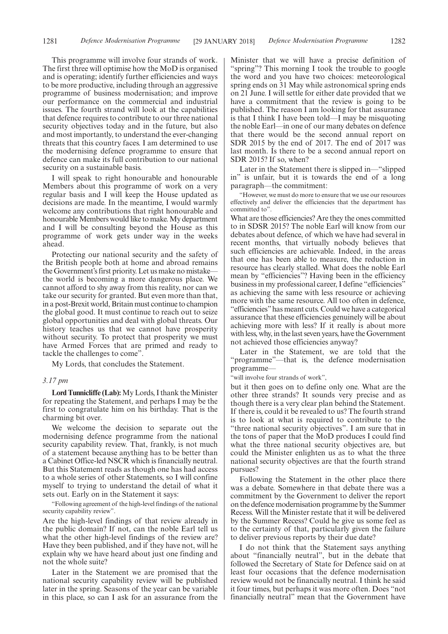This programme will involve four strands of work. The first three will optimise how the MoD is organised and is operating; identify further efficiencies and ways to be more productive, including through an aggressive programme of business modernisation; and improve our performance on the commercial and industrial issues. The fourth strand will look at the capabilities that defence requires to contribute to our three national security objectives today and in the future, but also and most importantly, to understand the ever-changing threats that this country faces. I am determined to use the modernising defence programme to ensure that defence can make its full contribution to our national security on a sustainable basis.

I will speak to right honourable and honourable Members about this programme of work on a very regular basis and I will keep the House updated as decisions are made. In the meantime, I would warmly welcome any contributions that right honourable and honourable Members would like to make. My department and I will be consulting beyond the House as this programme of work gets under way in the weeks ahead.

Protecting our national security and the safety of the British people both at home and abroad remains the Government's first priority. Let us make no mistake the world is becoming a more dangerous place. We cannot afford to shy away from this reality, nor can we take our security for granted. But even more than that, in a post-Brexit world, Britain must continue to champion the global good. It must continue to reach out to seize global opportunities and deal with global threats. Our history teaches us that we cannot have prosperity without security. To protect that prosperity we must have Armed Forces that are primed and ready to tackle the challenges to come".

My Lords, that concludes the Statement.

#### *3.17 pm*

**Lord Tunnicliffe (Lab):**My Lords, I thank the Minister for repeating the Statement, and perhaps I may be the first to congratulate him on his birthday. That is the charming bit over.

We welcome the decision to separate out the modernising defence programme from the national security capability review. That, frankly, is not much of a statement because anything has to be better than a Cabinet Office-led NSCR which is financially neutral. But this Statement reads as though one has had access to a whole series of other Statements, so I will confine myself to trying to understand the detail of what it sets out. Early on in the Statement it says:

"Following agreement of the high-level findings of the national security capability review".

Are the high-level findings of that review already in the public domain? If not, can the noble Earl tell us what the other high-level findings of the review are? Have they been published, and if they have not, will he explain why we have heard about just one finding and not the whole suite?

Later in the Statement we are promised that the national security capability review will be published later in the spring. Seasons of the year can be variable in this place, so can I ask for an assurance from the

Minister that we will have a precise definition of "spring"? This morning I took the trouble to google the word and you have two choices: meteorological spring ends on 31 May while astronomical spring ends on 21 June. I will settle for either date provided that we have a commitment that the review is going to be published. The reason I am looking for that assurance is that I think I have been told—I may be misquoting the noble Earl—in one of our many debates on defence that there would be the second annual report on SDR 2015 by the end of 2017. The end of 2017 was last month. Is there to be a second annual report on SDR 2015? If so, when?

Later in the Statement there is slipped in—"slipped in" is unfair, but it is towards the end of a long paragraph—the commitment:

"However, we must do more to ensure that we use our resources effectively and deliver the efficiencies that the department has committed to".

What are those efficiencies? Are they the ones committed to in SDSR 2015? The noble Earl will know from our debates about defence, of which we have had several in recent months, that virtually nobody believes that such efficiencies are achievable. Indeed, in the areas that one has been able to measure, the reduction in resource has clearly stalled. What does the noble Earl mean by "efficiencies"? Having been in the efficiency business in my professional career, I define "efficiencies" as achieving the same with less resource or achieving more with the same resource. All too often in defence, "efficiencies"has meant cuts. Could we have a categorical assurance that these efficiencies genuinely will be about achieving more with less? If it really is about more with less, why, in the last seven years, have the Government not achieved those efficiencies anyway?

Later in the Statement, we are told that the "programme"—that is, the defence modernisation programme—

"will involve four strands of work",

but it then goes on to define only one. What are the other three strands? It sounds very precise and as though there is a very clear plan behind the Statement. If there is, could it be revealed to us? The fourth strand is to look at what is required to contribute to the "three national security objectives". I am sure that in the tons of paper that the MoD produces I could find what the three national security objectives are, but could the Minister enlighten us as to what the three national security objectives are that the fourth strand pursues?

Following the Statement in the other place there was a debate. Somewhere in that debate there was a commitment by the Government to deliver the report on the defence modernisation programme by the Summer Recess. Will the Minister restate that it will be delivered by the Summer Recess? Could he give us some feel as to the certainty of that, particularly given the failure to deliver previous reports by their due date?

I do not think that the Statement says anything about "financially neutral", but in the debate that followed the Secretary of State for Defence said on at least four occasions that the defence modernisation review would not be financially neutral. I think he said it four times, but perhaps it was more often. Does "not financially neutral" mean that the Government have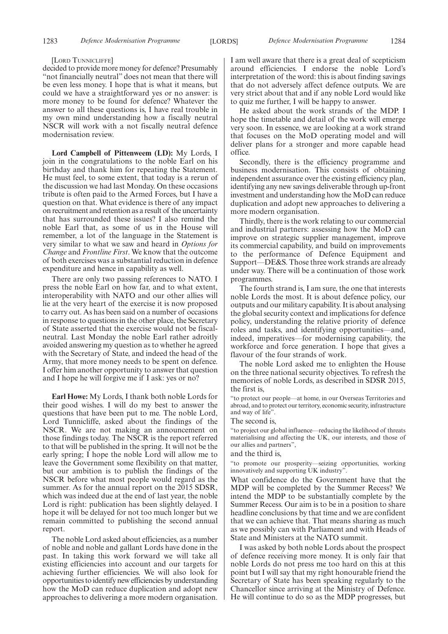#### [LORD TUNNICLIFFE]

decided to provide more money for defence? Presumably "not financially neutral" does not mean that there will be even less money. I hope that is what it means, but could we have a straightforward yes or no answer: is more money to be found for defence? Whatever the answer to all these questions is, I have real trouble in my own mind understanding how a fiscally neutral NSCR will work with a not fiscally neutral defence modernisation review.

**Lord Campbell of Pittenweem (LD):** My Lords, I join in the congratulations to the noble Earl on his birthday and thank him for repeating the Statement. He must feel, to some extent, that today is a rerun of the discussion we had last Monday. On these occasions tribute is often paid to the Armed Forces, but I have a question on that. What evidence is there of any impact on recruitment and retention as a result of the uncertainty that has surrounded these issues? I also remind the noble Earl that, as some of us in the House will remember, a lot of the language in the Statement is very similar to what we saw and heard in *Options for Change* and *Frontline First*. We know that the outcome of both exercises was a substantial reduction in defence expenditure and hence in capability as well.

There are only two passing references to NATO. I press the noble Earl on how far, and to what extent, interoperability with NATO and our other allies will lie at the very heart of the exercise it is now proposed to carry out. As has been said on a number of occasions in response to questions in the other place, the Secretary of State asserted that the exercise would not be fiscalneutral. Last Monday the noble Earl rather adroitly avoided answering my question as to whether he agreed with the Secretary of State, and indeed the head of the Army, that more money needs to be spent on defence. I offer him another opportunity to answer that question and I hope he will forgive me if I ask: yes or no?

**Earl Howe:** My Lords, I thank both noble Lords for their good wishes. I will do my best to answer the questions that have been put to me. The noble Lord, Lord Tunnicliffe, asked about the findings of the NSCR. We are not making an announcement on those findings today. The NSCR is the report referred to that will be published in the spring. It will not be the early spring; I hope the noble Lord will allow me to leave the Government some flexibility on that matter, but our ambition is to publish the findings of the NSCR before what most people would regard as the summer. As for the annual report on the 2015 SDSR, which was indeed due at the end of last year, the noble Lord is right: publication has been slightly delayed. I hope it will be delayed for not too much longer but we remain committed to publishing the second annual report.

The noble Lord asked about efficiencies, as a number of noble and noble and gallant Lords have done in the past. In taking this work forward we will take all existing efficiencies into account and our targets for achieving further efficiencies. We will also look for opportunities to identify new efficiencies by understanding how the MoD can reduce duplication and adopt new approaches to delivering a more modern organisation. I am well aware that there is a great deal of scepticism around efficiencies. I endorse the noble Lord's interpretation of the word: this is about finding savings that do not adversely affect defence outputs. We are very strict about that and if any noble Lord would like to quiz me further, I will be happy to answer.

He asked about the work strands of the MDP. I hope the timetable and detail of the work will emerge very soon. In essence, we are looking at a work strand that focuses on the MoD operating model and will deliver plans for a stronger and more capable head office.

Secondly, there is the efficiency programme and business modernisation. This consists of obtaining independent assurance over the existing efficiency plan, identifying any new savings deliverable through up-front investment and understanding how the MoD can reduce duplication and adopt new approaches to delivering a more modern organisation.

Thirdly, there is the work relating to our commercial and industrial partners: assessing how the MoD can improve on strategic supplier management, improve its commercial capability, and build on improvements to the performance of Defence Equipment and Support—DE&S. Those three work strands are already under way. There will be a continuation of those work programmes.

The fourth strand is, I am sure, the one that interests noble Lords the most. It is about defence policy, our outputs and our military capability. It is about analysing the global security context and implications for defence policy, understanding the relative priority of defence roles and tasks, and identifying opportunities—and, indeed, imperatives—for modernising capability, the workforce and force generation. I hope that gives a flavour of the four strands of work.

The noble Lord asked me to enlighten the House on the three national security objectives. To refresh the memories of noble Lords, as described in SDSR 2015, the first is,

"to protect our people—at home, in our Overseas Territories and abroad, and to protect our territory, economic security, infrastructure and way of life".

The second is,

"to project our global influence—reducing the likelihood of threats materialising and affecting the UK, our interests, and those of our allies and partners",

#### and the third is,

"to promote our prosperity—seizing opportunities, working innovatively and supporting UK industry".

What confidence do the Government have that the MDP will be completed by the Summer Recess? We intend the MDP to be substantially complete by the Summer Recess. Our aim is to be in a position to share headline conclusions by that time and we are confident that we can achieve that. That means sharing as much as we possibly can with Parliament and with Heads of State and Ministers at the NATO summit.

I was asked by both noble Lords about the prospect of defence receiving more money. It is only fair that noble Lords do not press me too hard on this at this point but I will say that my right honourable friend the Secretary of State has been speaking regularly to the Chancellor since arriving at the Ministry of Defence. He will continue to do so as the MDP progresses, but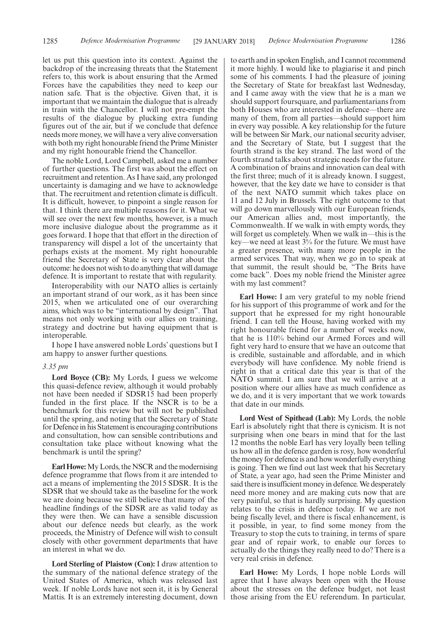let us put this question into its context. Against the backdrop of the increasing threats that the Statement refers to, this work is about ensuring that the Armed Forces have the capabilities they need to keep our nation safe. That is the objective. Given that, it is important that we maintain the dialogue that is already in train with the Chancellor. I will not pre-empt the results of the dialogue by plucking extra funding figures out of the air, but if we conclude that defence needs more money, we will have a very alive conversation with both my right honourable friend the Prime Minister and my right honourable friend the Chancellor.

The noble Lord, Lord Campbell, asked me a number of further questions. The first was about the effect on recruitment and retention. As I have said, any prolonged uncertainty is damaging and we have to acknowledge that. The recruitment and retention climate is difficult. It is difficult, however, to pinpoint a single reason for that. I think there are multiple reasons for it. What we will see over the next few months, however, is a much more inclusive dialogue about the programme as it goes forward. I hope that that effort in the direction of transparency will dispel a lot of the uncertainty that perhaps exists at the moment. My right honourable friend the Secretary of State is very clear about the outcome: he does not wish to do anything that will damage defence. It is important to restate that with regularity.

Interoperability with our NATO allies is certainly an important strand of our work, as it has been since 2015, when we articulated one of our overarching aims, which was to be "international by design". That means not only working with our allies on training, strategy and doctrine but having equipment that is interoperable.

I hope I have answered noble Lords' questions but I am happy to answer further questions.

#### *3.35 pm*

**Lord Boyce (CB):** My Lords, I guess we welcome this quasi-defence review, although it would probably not have been needed if SDSR15 had been properly funded in the first place. If the NSCR is to be a benchmark for this review but will not be published until the spring, and noting that the Secretary of State for Defence in his Statement is encouraging contributions and consultation, how can sensible contributions and consultation take place without knowing what the benchmark is until the spring?

**Earl Howe:**My Lords, the NSCR and the modernising defence programme that flows from it are intended to act a means of implementing the 2015 SDSR. It is the SDSR that we should take as the baseline for the work we are doing because we still believe that many of the headline findings of the SDSR are as valid today as they were then. We can have a sensible discussion about our defence needs but clearly, as the work proceeds, the Ministry of Defence will wish to consult closely with other government departments that have an interest in what we do.

**Lord Sterling of Plaistow (Con):** I draw attention to the summary of the national defence strategy of the United States of America, which was released last week. If noble Lords have not seen it, it is by General Mattis. It is an extremely interesting document, down to earth and in spoken English, and I cannot recommend it more highly. I would like to plagiarise it and pinch some of his comments. I had the pleasure of joining the Secretary of State for breakfast last Wednesday, and I came away with the view that he is a man we should support foursquare, and parliamentarians from both Houses who are interested in defence—there are many of them, from all parties—should support him in every way possible. A key relationship for the future will be between Sir Mark, our national security adviser, and the Secretary of State, but I suggest that the fourth strand is the key strand. The last word of the fourth strand talks about strategic needs for the future. A combination of brains and innovation can deal with the first three; much of it is already known. I suggest, however, that the key date we have to consider is that of the next NATO summit which takes place on 11 and 12 July in Brussels. The right outcome to that will go down marvellously with our European friends, our American allies and, most importantly, the Commonwealth. If we walk in with empty words, they will forget us completely. When we walk in—this is the key—we need at least 3% for the future. We must have a greater presence, with many more people in the armed services. That way, when we go in to speak at that summit, the result should be, "The Brits have come back". Does my noble friend the Minister agree with my last comment?

**Earl Howe:** I am very grateful to my noble friend for his support of this programme of work and for the support that he expressed for my right honourable friend. I can tell the House, having worked with my right honourable friend for a number of weeks now, that he is 110% behind our Armed Forces and will fight very hard to ensure that we have an outcome that is credible, sustainable and affordable, and in which everybody will have confidence. My noble friend is right in that a critical date this year is that of the NATO summit. I am sure that we will arrive at a position where our allies have as much confidence as we do, and it is very important that we work towards that date in our minds.

**Lord West of Spithead (Lab):** My Lords, the noble Earl is absolutely right that there is cynicism. It is not surprising when one bears in mind that for the last 12 months the noble Earl has very loyally been telling us how all in the defence garden is rosy, how wonderful the money for defence is and how wonderfully everything is going. Then we find out last week that his Secretary of State, a year ago, had seen the Prime Minister and said there is insufficient money in defence. We desperately need more money and are making cuts now that are very painful, so that is hardly surprising. My question relates to the crisis in defence today. If we are not being fiscally level, and there is fiscal enhancement, is it possible, in year, to find some money from the Treasury to stop the cuts to training, in terms of spare gear and of repair work, to enable our forces to actually do the things they really need to do? There is a very real crisis in defence.

**Earl Howe:** My Lords, I hope noble Lords will agree that I have always been open with the House about the stresses on the defence budget, not least those arising from the EU referendum. In particular,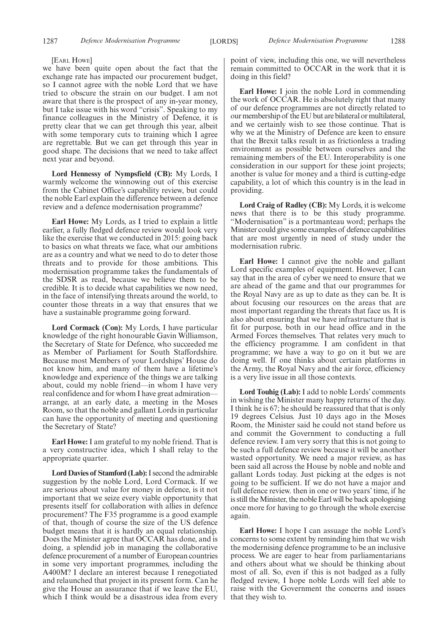#### [EARL HOWE]

we have been quite open about the fact that the exchange rate has impacted our procurement budget, so I cannot agree with the noble Lord that we have tried to obscure the strain on our budget. I am not aware that there is the prospect of any in-year money, but I take issue with his word "crisis". Speaking to my finance colleagues in the Ministry of Defence, it is pretty clear that we can get through this year, albeit with some temporary cuts to training which I agree are regrettable. But we can get through this year in good shape. The decisions that we need to take affect next year and beyond.

**Lord Hennessy of Nympsfield (CB):** My Lords, I warmly welcome the winnowing out of this exercise from the Cabinet Office's capability review, but could the noble Earl explain the difference between a defence review and a defence modernisation programme?

**Earl Howe:** My Lords, as I tried to explain a little earlier, a fully fledged defence review would look very like the exercise that we conducted in 2015: going back to basics on what threats we face, what our ambitions are as a country and what we need to do to deter those threats and to provide for those ambitions. This modernisation programme takes the fundamentals of the SDSR as read, because we believe them to be credible. It is to decide what capabilities we now need, in the face of intensifying threats around the world, to counter those threats in a way that ensures that we have a sustainable programme going forward.

**Lord Cormack (Con):** My Lords, I have particular knowledge of the right honourable Gavin Williamson, the Secretary of State for Defence, who succeeded me as Member of Parliament for South Staffordshire. Because most Members of your Lordships' House do not know him, and many of them have a lifetime's knowledge and experience of the things we are talking about, could my noble friend—in whom I have very real confidence and for whom I have great admiration arrange, at an early date, a meeting in the Moses Room, so that the noble and gallant Lords in particular can have the opportunity of meeting and questioning the Secretary of State?

**Earl Howe:** I am grateful to my noble friend. That is a very constructive idea, which I shall relay to the appropriate quarter.

**Lord Davies of Stamford (Lab):**I second the admirable suggestion by the noble Lord, Lord Cormack. If we are serious about value for money in defence, is it not important that we seize every viable opportunity that presents itself for collaboration with allies in defence procurement? The F35 programme is a good example of that, though of course the size of the US defence budget means that it is hardly an equal relationship. Does the Minister agree that OCCAR has done, and is doing, a splendid job in managing the collaborative defence procurement of a number of European countries in some very important programmes, including the A400M? I declare an interest because I renegotiated and relaunched that project in its present form. Can he give the House an assurance that if we leave the EU, which I think would be a disastrous idea from every

point of view, including this one, we will nevertheless remain committed to OCCAR in the work that it is doing in this field?

**Earl Howe:** I join the noble Lord in commending the work of OCCAR. He is absolutely right that many of our defence programmes are not directly related to our membership of the EU but are bilateral or multilateral, and we certainly wish to see those continue. That is why we at the Ministry of Defence are keen to ensure that the Brexit talks result in as frictionless a trading environment as possible between ourselves and the remaining members of the EU. Interoperability is one consideration in our support for these joint projects; another is value for money and a third is cutting-edge capability, a lot of which this country is in the lead in providing.

**Lord Craig of Radley (CB):** My Lords, it is welcome news that there is to be this study programme. "Modernisation" is a portmanteau word; perhaps the Minister could give some examples of defence capabilities that are most urgently in need of study under the modernisation rubric.

**Earl Howe:** I cannot give the noble and gallant Lord specific examples of equipment. However, I can say that in the area of cyber we need to ensure that we are ahead of the game and that our programmes for the Royal Navy are as up to date as they can be. It is about focusing our resources on the areas that are most important regarding the threats that face us. It is also about ensuring that we have infrastructure that is fit for purpose, both in our head office and in the Armed Forces themselves. That relates very much to the efficiency programme. I am confident in that programme; we have a way to go on it but we are doing well. If one thinks about certain platforms in the Army, the Royal Navy and the air force, efficiency is a very live issue in all those contexts.

**Lord Touhig (Lab):** I add to noble Lords' comments in wishing the Minister many happy returns of the day. I think he is 67; he should be reassured that that is only 19 degrees Celsius. Just 10 days ago in the Moses Room, the Minister said he could not stand before us and commit the Government to conducting a full defence review. I am very sorry that this is not going to be such a full defence review because it will be another wasted opportunity. We need a major review, as has been said all across the House by noble and noble and gallant Lords today. Just picking at the edges is not going to be sufficient. If we do not have a major and full defence review. then in one or two years' time, if he is still the Minister, the noble Earl will be back apologising once more for having to go through the whole exercise again.

**Earl Howe:** I hope I can assuage the noble Lord's concerns to some extent by reminding him that we wish the modernising defence programme to be an inclusive process. We are eager to hear from parliamentarians and others about what we should be thinking about most of all. So, even if this is not badged as a fully fledged review, I hope noble Lords will feel able to raise with the Government the concerns and issues that they wish to.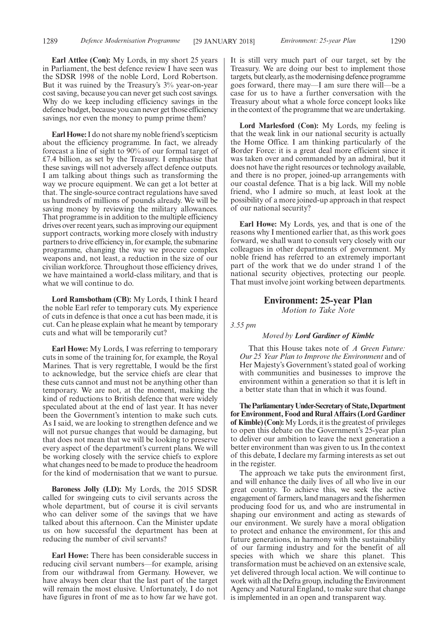**Earl Attlee (Con):** My Lords, in my short 25 years in Parliament, the best defence review I have seen was the SDSR 1998 of the noble Lord, Lord Robertson. But it was ruined by the Treasury's 3% year-on-year cost saving, because you can never get such cost savings. Why do we keep including efficiency savings in the defence budget, because you can never get those efficiency savings, nor even the money to pump prime them?

**Earl Howe:**I do not share my noble friend's scepticism about the efficiency programme. In fact, we already forecast a line of sight to 90% of our formal target of £7.4 billion, as set by the Treasury. I emphasise that these savings will not adversely affect defence outputs. I am talking about things such as transforming the way we procure equipment. We can get a lot better at that. The single-source contract regulations have saved us hundreds of millions of pounds already. We will be saving money by reviewing the military allowances. That programme is in addition to the multiple efficiency drives over recent years, such as improving our equipment support contracts, working more closely with industry partners to drive efficiency in, for example, the submarine programme, changing the way we procure complex weapons and, not least, a reduction in the size of our civilian workforce. Throughout those efficiency drives, we have maintained a world-class military, and that is what we will continue to do.

**Lord Ramsbotham (CB):** My Lords, I think I heard the noble Earl refer to temporary cuts. My experience of cuts in defence is that once a cut has been made, it is cut. Can he please explain what he meant by temporary cuts and what will be temporarily cut?

**Earl Howe:** My Lords, I was referring to temporary cuts in some of the training for, for example, the Royal Marines. That is very regrettable, I would be the first to acknowledge, but the service chiefs are clear that these cuts cannot and must not be anything other than temporary. We are not, at the moment, making the kind of reductions to British defence that were widely speculated about at the end of last year. It has never been the Government's intention to make such cuts. As I said, we are looking to strengthen defence and we will not pursue changes that would be damaging, but that does not mean that we will be looking to preserve every aspect of the department's current plans. We will be working closely with the service chiefs to explore what changes need to be made to produce the headroom for the kind of modernisation that we want to pursue.

**Baroness Jolly (LD):** My Lords, the 2015 SDSR called for swingeing cuts to civil servants across the whole department, but of course it is civil servants who can deliver some of the savings that we have talked about this afternoon. Can the Minister update us on how successful the department has been at reducing the number of civil servants?

**Earl Howe:** There has been considerable success in reducing civil servant numbers—for example, arising from our withdrawal from Germany. However, we have always been clear that the last part of the target will remain the most elusive. Unfortunately, I do not have figures in front of me as to how far we have got. It is still very much part of our target, set by the Treasury. We are doing our best to implement those targets, but clearly, as the modernising defence programme goes forward, there may—I am sure there will—be a case for us to have a further conversation with the Treasury about what a whole force concept looks like in the context of the programme that we are undertaking.

**Lord Marlesford (Con):** My Lords, my feeling is that the weak link in our national security is actually the Home Office. I am thinking particularly of the Border Force: it is a great deal more efficient since it was taken over and commanded by an admiral, but it does not have the right resources or technology available, and there is no proper, joined-up arrangements with our coastal defence. That is a big lack. Will my noble friend, who I admire so much, at least look at the possibility of a more joined-up approach in that respect of our national security?

**Earl Howe:** My Lords, yes, and that is one of the reasons why I mentioned earlier that, as this work goes forward, we shall want to consult very closely with our colleagues in other departments of government. My noble friend has referred to an extremely important part of the work that we do under strand 1 of the national security objectives, protecting our people. That must involve joint working between departments.

# **Environment: 25-year Plan** *Motion to Take Note*

*3.55 pm*

#### *Moved by Lord Gardiner of Kimble*

That this House takes note of *A Green Future: Our 25 Year Plan to Improve the Environment* and of Her Majesty's Government's stated goal of working with communities and businesses to improve the environment within a generation so that it is left in a better state than that in which it was found.

**TheParliamentaryUnder-Secretaryof State,Department for Environment, Food and Rural Affairs (Lord Gardiner of Kimble) (Con):**My Lords, it is the greatest of privileges to open this debate on the Government's 25-year plan to deliver our ambition to leave the next generation a better environment than was given to us. In the context of this debate, I declare my farming interests as set out in the register.

The approach we take puts the environment first, and will enhance the daily lives of all who live in our great country. To achieve this, we seek the active engagement of farmers, land managers and the fishermen producing food for us, and who are instrumental in shaping our environment and acting as stewards of our environment. We surely have a moral obligation to protect and enhance the environment, for this and future generations, in harmony with the sustainability of our farming industry and for the benefit of all species with which we share this planet. This transformation must be achieved on an extensive scale, yet delivered through local action. We will continue to work with all the Defra group, including the Environment Agency and Natural England, to make sure that change is implemented in an open and transparent way.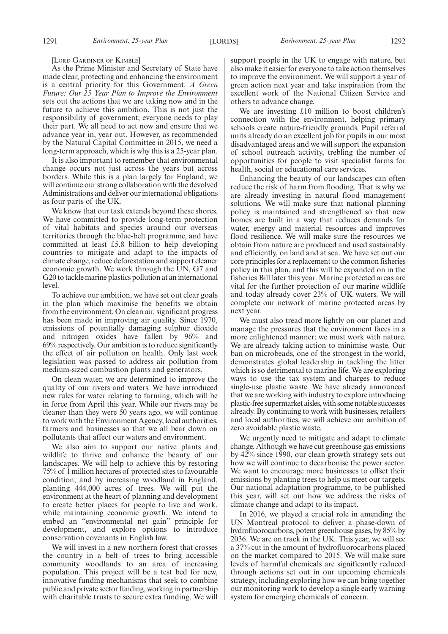[LORD GARDINER OF KIMBLE]

As the Prime Minister and Secretary of State have made clear, protecting and enhancing the environment is a central priority for this Government. *A Green Future: Our 25 Year Plan to Improve the Environment* sets out the actions that we are taking now and in the future to achieve this ambition. This is not just the responsibility of government; everyone needs to play their part. We all need to act now and ensure that we advance year in, year out. However, as recommended by the Natural Capital Committee in 2015, we need a long-term approach, which is why this is a 25-year plan.

It is also important to remember that environmental change occurs not just across the years but across borders. While this is a plan largely for England, we will continue our strong collaboration with the devolved Administrations and deliver our international obligations as four parts of the UK.

We know that our task extends beyond these shores. We have committed to provide long-term protection of vital habitats and species around our overseas territories through the blue-belt programme, and have committed at least £5.8 billion to help developing countries to mitigate and adapt to the impacts of climate change, reduce deforestation and support cleaner economic growth. We work through the UN, G7 and G20 to tackle marine plastics pollution at an international level.

To achieve our ambition, we have set out clear goals in the plan which maximise the benefits we obtain from the environment. On clean air, significant progress has been made in improving air quality. Since 1970, emissions of potentially damaging sulphur dioxide and nitrogen oxides have fallen by 96% and 69% respectively. Our ambition is to reduce significantly the effect of air pollution on health. Only last week legislation was passed to address air pollution from medium-sized combustion plants and generators.

On clean water, we are determined to improve the quality of our rivers and waters. We have introduced new rules for water relating to farming, which will be in force from April this year. While our rivers may be cleaner than they were 50 years ago, we will continue to work with the Environment Agency, local authorities, farmers and businesses so that we all bear down on pollutants that affect our waters and environment.

We also aim to support our native plants and wildlife to thrive and enhance the beauty of our landscapes. We will help to achieve this by restoring 75% of 1 million hectares of protected sites to favourable condition, and by increasing woodland in England, planting 444,000 acres of trees. We will put the environment at the heart of planning and development to create better places for people to live and work, while maintaining economic growth. We intend to embed an "environmental net gain" principle for development, and explore options to introduce conservation covenants in English law.

We will invest in a new northern forest that crosses the country in a belt of trees to bring accessible community woodlands to an area of increasing population. This project will be a test bed for new, innovative funding mechanisms that seek to combine public and private sector funding, working in partnership with charitable trusts to secure extra funding. We will support people in the UK to engage with nature, but also make it easier for everyone to take action themselves to improve the environment. We will support a year of green action next year and take inspiration from the excellent work of the National Citizen Service and others to advance change.

We are investing £10 million to boost children's connection with the environment, helping primary schools create nature-friendly grounds. Pupil referral units already do an excellent job for pupils in our most disadvantaged areas and we will support the expansion of school outreach activity, trebling the number of opportunities for people to visit specialist farms for health, social or educational care services.

Enhancing the beauty of our landscapes can often reduce the risk of harm from flooding. That is why we are already investing in natural flood management solutions. We will make sure that national planning policy is maintained and strengthened so that new homes are built in a way that reduces demands for water, energy and material resources and improves flood resilience. We will make sure the resources we obtain from nature are produced and used sustainably and efficiently, on land and at sea. We have set out our core principles for a replacement to the common fisheries policy in this plan, and this will be expanded on in the fisheries Bill later this year. Marine protected areas are vital for the further protection of our marine wildlife and today already cover 23% of UK waters. We will complete our network of marine protected areas by next year.

We must also tread more lightly on our planet and manage the pressures that the environment faces in a more enlightened manner: we must work with nature. We are already taking action to minimise waste. Our ban on microbeads, one of the strongest in the world, demonstrates global leadership in tackling the litter which is so detrimental to marine life. We are exploring ways to use the tax system and charges to reduce single-use plastic waste. We have already announced that we are working with industry to explore introducing plastic-free supermarket aisles, with some notable successes already. By continuing to work with businesses, retailers and local authorities, we will achieve our ambition of zero avoidable plastic waste.

We urgently need to mitigate and adapt to climate change. Although we have cut greenhouse gas emissions by 42% since 1990, our clean growth strategy sets out how we will continue to decarbonise the power sector. We want to encourage more businesses to offset their emissions by planting trees to help us meet our targets. Our national adaptation programme, to be published this year, will set out how we address the risks of climate change and adapt to its impact.

In 2016, we played a crucial role in amending the UN Montreal protocol to deliver a phase-down of hydrofluorocarbons, potent greenhouse gases, by 85% by 2036. We are on track in the UK. This year, we will see a 37% cut in the amount of hydrofluorocarbons placed on the market compared to 2015. We will make sure levels of harmful chemicals are significantly reduced through actions set out in our upcoming chemicals strategy, including exploring how we can bring together our monitoring work to develop a single early warning system for emerging chemicals of concern.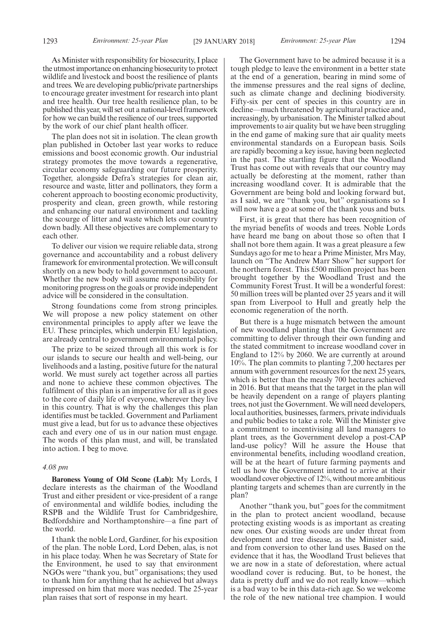1293 *Environment: 25-year Plan* [29 JANUARY 2018] *Environment: 25-year Plan* 1294

As Minister with responsibility for biosecurity, I place the utmost importance on enhancing biosecurity to protect wildlife and livestock and boost the resilience of plants and trees. We are developing public/private partnerships to encourage greater investment for research into plant and tree health. Our tree health resilience plan, to be published this year, will set out a national-level framework for how we can build the resilience of our trees, supported by the work of our chief plant health officer.

The plan does not sit in isolation. The clean growth plan published in October last year works to reduce emissions and boost economic growth. Our industrial strategy promotes the move towards a regenerative, circular economy safeguarding our future prosperity. Together, alongside Defra's strategies for clean air, resource and waste, litter and pollinators, they form a coherent approach to boosting economic productivity, prosperity and clean, green growth, while restoring and enhancing our natural environment and tackling the scourge of litter and waste which lets our country down badly. All these objectives are complementary to each other.

To deliver our vision we require reliable data, strong governance and accountability and a robust delivery framework for environmental protection. We will consult shortly on a new body to hold government to account. Whether the new body will assume responsibility for monitoring progress on the goals or provide independent advice will be considered in the consultation.

Strong foundations come from strong principles. We will propose a new policy statement on other environmental principles to apply after we leave the EU. These principles, which underpin EU legislation, are already central to government environmental policy.

The prize to be seized through all this work is for our islands to secure our health and well-being, our livelihoods and a lasting, positive future for the natural world. We must surely act together across all parties and none to achieve these common objectives. The fulfilment of this plan is an imperative for all as it goes to the core of daily life of everyone, wherever they live in this country. That is why the challenges this plan identifies must be tackled. Government and Parliament must give a lead, but for us to advance these objectives each and every one of us in our nation must engage. The words of this plan must, and will, be translated into action. I beg to move.

#### *4.08 pm*

**Baroness Young of Old Scone (Lab):** My Lords, I declare interests as the chairman of the Woodland Trust and either president or vice-president of a range of environmental and wildlife bodies, including the RSPB and the Wildlife Trust for Cambridgeshire, Bedfordshire and Northamptonshire—a fine part of the world.

I thank the noble Lord, Gardiner, for his exposition of the plan. The noble Lord, Lord Deben, alas, is not in his place today. When he was Secretary of State for the Environment, he used to say that environment NGOs were "thank you, but" organisations; they used to thank him for anything that he achieved but always impressed on him that more was needed. The 25-year plan raises that sort of response in my heart.

The Government have to be admired because it is a tough pledge to leave the environment in a better state at the end of a generation, bearing in mind some of the immense pressures and the real signs of decline, such as climate change and declining biodiversity. Fifty-six per cent of species in this country are in decline—much threatened by agricultural practice and, increasingly, by urbanisation. The Minister talked about improvements to air quality but we have been struggling in the end game of making sure that air quality meets environmental standards on a European basis. Soils are rapidly becoming a key issue, having been neglected in the past. The startling figure that the Woodland Trust has come out with reveals that our country may actually be deforesting at the moment, rather than increasing woodland cover. It is admirable that the Government are being bold and looking forward but, as I said, we are "thank you, but" organisations so I will now have a go at some of the thank yous and buts.

First, it is great that there has been recognition of the myriad benefits of woods and trees. Noble Lords have heard me bang on about those so often that I shall not bore them again. It was a great pleasure a few Sundays ago for me to hear a Prime Minister, Mrs May, launch on "The Andrew Marr Show" her support for the northern forest. This £500 million project has been brought together by the Woodland Trust and the Community Forest Trust. It will be a wonderful forest: 50 million trees will be planted over 25 years and it will span from Liverpool to Hull and greatly help the economic regeneration of the north.

But there is a huge mismatch between the amount of new woodland planting that the Government are committing to deliver through their own funding and the stated commitment to increase woodland cover in England to 12% by 2060. We are currently at around 10%. The plan commits to planting 7,200 hectares per annum with government resources for the next 25 years, which is better than the measly 700 hectares achieved in 2016. But that means that the target in the plan will be heavily dependent on a range of players planting trees, not just the Government. We will need developers, local authorities, businesses, farmers, private individuals and public bodies to take a role. Will the Minister give a commitment to incentivising all land managers to plant trees, as the Government develop a post-CAP land-use policy? Will he assure the House that environmental benefits, including woodland creation, will be at the heart of future farming payments and tell us how the Government intend to arrive at their woodland cover objective of 12%, without more ambitious planting targets and schemes than are currently in the plan?

Another "thank you, but" goes for the commitment in the plan to protect ancient woodland, because protecting existing woods is as important as creating new ones. Our existing woods are under threat from development and tree disease, as the Minister said, and from conversion to other land uses. Based on the evidence that it has, the Woodland Trust believes that we are now in a state of deforestation, where actual woodland cover is reducing. But, to be honest, the data is pretty duff and we do not really know—which is a bad way to be in this data-rich age. So we welcome the role of the new national tree champion. I would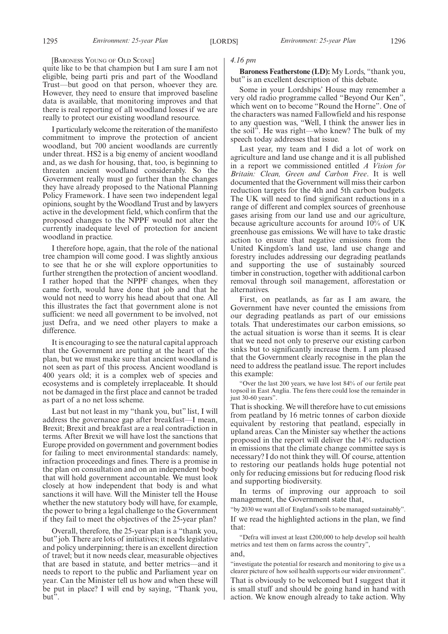#### [BARONESS YOUNG OF OLD SCONE]

quite like to be that champion but I am sure I am not eligible, being parti pris and part of the Woodland Trust—but good on that person, whoever they are. However, they need to ensure that improved baseline data is available, that monitoring improves and that there is real reporting of all woodland losses if we are really to protect our existing woodland resource.

I particularly welcome the reiteration of the manifesto commitment to improve the protection of ancient woodland, but 700 ancient woodlands are currently under threat. HS2 is a big enemy of ancient woodland and, as we dash for housing, that, too, is beginning to threaten ancient woodland considerably. So the Government really must go further than the changes they have already proposed to the National Planning Policy Framework. I have seen two independent legal opinions, sought by the Woodland Trust and by lawyers active in the development field, which confirm that the proposed changes to the NPPF would not alter the currently inadequate level of protection for ancient woodland in practice.

I therefore hope, again, that the role of the national tree champion will come good. I was slightly anxious to see that he or she will explore opportunities to further strengthen the protection of ancient woodland. I rather hoped that the NPPF changes, when they came forth, would have done that job and that he would not need to worry his head about that one. All this illustrates the fact that government alone is not sufficient: we need all government to be involved, not just Defra, and we need other players to make a difference.

It is encouraging to see the natural capital approach that the Government are putting at the heart of the plan, but we must make sure that ancient woodland is not seen as part of this process. Ancient woodland is 400 years old; it is a complex web of species and ecosystems and is completely irreplaceable. It should not be damaged in the first place and cannot be traded as part of a no net loss scheme.

Last but not least in my "thank you, but" list, I will address the governance gap after breakfast—I mean, Brexit; Brexit and breakfast are a real contradiction in terms. After Brexit we will have lost the sanctions that Europe provided on government and government bodies for failing to meet environmental standards: namely, infraction proceedings and fines. There is a promise in the plan on consultation and on an independent body that will hold government accountable. We must look closely at how independent that body is and what sanctions it will have. Will the Minister tell the House whether the new statutory body will have, for example, the power to bring a legal challenge to the Government if they fail to meet the objectives of the 25-year plan?

Overall, therefore, the 25-year plan is a "thank you, but" job. There are lots of initiatives; it needs legislative and policy underpinning; there is an excellent direction of travel; but it now needs clear, measurable objectives that are based in statute, and better metrics—and it needs to report to the public and Parliament year on year. Can the Minister tell us how and when these will be put in place? I will end by saying, "Thank you, but".

#### *4.16 pm*

**Baroness Featherstone (LD):** My Lords, "thank you, but" is an excellent description of this debate.

Some in your Lordships' House may remember a very old radio programme called "Beyond Our Ken", which went on to become "Round the Horne". One of the characters was named Fallowfield and his response to any question was, "Well, I think the answer lies in the soil". He was right—who knew? The bulk of my speech today addresses that issue.

Last year, my team and I did a lot of work on agriculture and land use change and it is all published in a report we commissioned entitled *A Vision for Britain: Clean, Green and Carbon Free*. It is well documented that the Government will miss their carbon reduction targets for the 4th and 5th carbon budgets. The UK will need to find significant reductions in a range of different and complex sources of greenhouse gases arising from our land use and our agriculture, because agriculture accounts for around 10% of UK greenhouse gas emissions. We will have to take drastic action to ensure that negative emissions from the United Kingdom's land use, land use change and forestry includes addressing our degrading peatlands and supporting the use of sustainably sourced timber in construction, together with additional carbon removal through soil management, afforestation or alternatives.

First, on peatlands, as far as I am aware, the Government have never counted the emissions from our degrading peatlands as part of our emissions totals. That underestimates our carbon emissions, so the actual situation is worse than it seems. It is clear that we need not only to preserve our existing carbon sinks but to significantly increase them. I am pleased that the Government clearly recognise in the plan the need to address the peatland issue. The report includes this example:

"Over the last 200 years, we have lost 84% of our fertile peat topsoil in East Anglia. The fens there could lose the remainder in just 30-60 years".

That is shocking. We will therefore have to cut emissions from peatland by 16 metric tonnes of carbon dioxide equivalent by restoring that peatland, especially in upland areas. Can the Minister say whether the actions proposed in the report will deliver the 14% reduction in emissions that the climate change committee says is necessary? I do not think they will. Of course, attention to restoring our peatlands holds huge potential not only for reducing emissions but for reducing flood risk and supporting biodiversity.

In terms of improving our approach to soil management, the Government state that,

"by 2030 we want all of England's soils to be managed sustainably". If we read the highlighted actions in the plan, we find that:

"Defra will invest at least £200,000 to help develop soil health metrics and test them on farms across the country", and,

"investigate the potential for research and monitoring to give us a clearer picture of how soil health supports our wider environment".

That is obviously to be welcomed but I suggest that it is small stuff and should be going hand in hand with action. We know enough already to take action. Why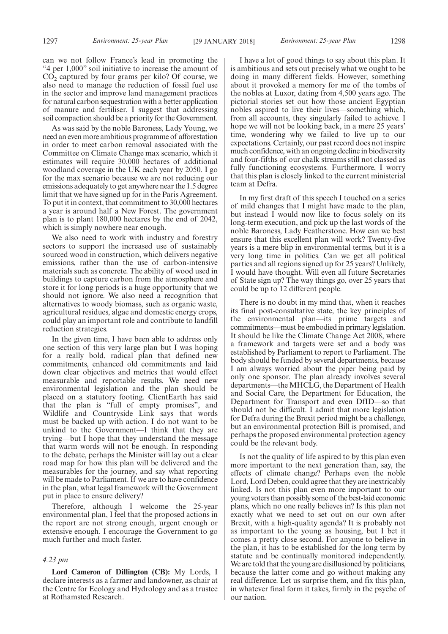can we not follow France's lead in promoting the "4 per 1,000" soil initiative to increase the amount of  $CO<sub>2</sub>$  captured by four grams per kilo? Of course, we also need to manage the reduction of fossil fuel use in the sector and improve land management practices for natural carbon sequestration with a better application of manure and fertiliser. I suggest that addressing soil compaction should be a priority for the Government.

As was said by the noble Baroness, Lady Young, we need an even more ambitious programme of afforestation in order to meet carbon removal associated with the Committee on Climate Change max scenario, which it estimates will require 30,000 hectares of additional woodland coverage in the UK each year by 2050. I go for the max scenario because we are not reducing our emissions adequately to get anywhere near the 1.5 degree limit that we have signed up for in the Paris Agreement. To put it in context, that commitment to 30,000 hectares a year is around half a New Forest. The government plan is to plant 180,000 hectares by the end of 2042, which is simply nowhere near enough.

We also need to work with industry and forestry sectors to support the increased use of sustainably sourced wood in construction, which delivers negative emissions, rather than the use of carbon-intensive materials such as concrete. The ability of wood used in buildings to capture carbon from the atmosphere and store it for long periods is a huge opportunity that we should not ignore. We also need a recognition that alternatives to woody biomass, such as organic waste, agricultural residues, algae and domestic energy crops, could play an important role and contribute to landfill reduction strategies.

In the given time, I have been able to address only one section of this very large plan but I was hoping for a really bold, radical plan that defined new commitments, enhanced old commitments and laid down clear objectives and metrics that would effect measurable and reportable results. We need new environmental legislation and the plan should be placed on a statutory footing. ClientEarth has said that the plan is "full of empty promises", and Wildlife and Countryside Link says that words must be backed up with action. I do not want to be unkind to the Government—I think that they are trying—but I hope that they understand the message that warm words will not be enough. In responding to the debate, perhaps the Minister will lay out a clear road map for how this plan will be delivered and the measurables for the journey, and say what reporting will be made to Parliament. If we are to have confidence in the plan, what legal framework will the Government put in place to ensure delivery?

Therefore, although I welcome the 25-year environmental plan, I feel that the proposed actions in the report are not strong enough, urgent enough or extensive enough. I encourage the Government to go much further and much faster.

#### *4.23 pm*

**Lord Cameron of Dillington (CB):** My Lords, I declare interests as a farmer and landowner, as chair at the Centre for Ecology and Hydrology and as a trustee at Rothamsted Research.

I have a lot of good things to say about this plan. It is ambitious and sets out precisely what we ought to be doing in many different fields. However, something about it provoked a memory for me of the tombs of the nobles at Luxor, dating from 4,500 years ago. The pictorial stories set out how those ancient Egyptian nobles aspired to live their lives—something which, from all accounts, they singularly failed to achieve. I hope we will not be looking back, in a mere 25 years' time, wondering why we failed to live up to our expectations. Certainly, our past record does not inspire much confidence, with an ongoing decline in biodiversity and four-fifths of our chalk streams still not classed as fully functioning ecosystems. Furthermore, I worry that this plan is closely linked to the current ministerial team at Defra.

In my first draft of this speech I touched on a series of mild changes that I might have made to the plan, but instead I would now like to focus solely on its long-term execution, and pick up the last words of the noble Baroness, Lady Featherstone. How can we best ensure that this excellent plan will work? Twenty-five years is a mere blip in environmental terms, but it is a very long time in politics. Can we get all political parties and all regions signed up for 25 years? Unlikely, I would have thought. Will even all future Secretaries of State sign up? The way things go, over 25 years that could be up to 12 different people.

There is no doubt in my mind that, when it reaches its final post-consultative state, the key principles of the environmental plan—its prime targets and commitments—must be embodied in primary legislation. It should be like the Climate Change Act 2008, where a framework and targets were set and a body was established by Parliament to report to Parliament. The body should be funded by several departments, because I am always worried about the piper being paid by only one sponsor. The plan already involves several departments—the MHCLG, the Department of Health and Social Care, the Department for Education, the Department for Transport and even DfID—so that should not be difficult. I admit that more legislation for Defra during the Brexit period might be a challenge, but an environmental protection Bill is promised, and perhaps the proposed environmental protection agency could be the relevant body.

Is not the quality of life aspired to by this plan even more important to the next generation than, say, the effects of climate change? Perhaps even the noble Lord, Lord Deben, could agree that they are inextricably linked. Is not this plan even more important to our young voters than possibly some of the best-laid economic plans, which no one really believes in? Is this plan not exactly what we need to set out on our own after Brexit, with a high-quality agenda? It is probably not as important to the young as housing, but I bet it comes a pretty close second. For anyone to believe in the plan, it has to be established for the long term by statute and be continually monitored independently. We are told that the young are disillusioned by politicians, because the latter come and go without making any real difference. Let us surprise them, and fix this plan, in whatever final form it takes, firmly in the psyche of our nation.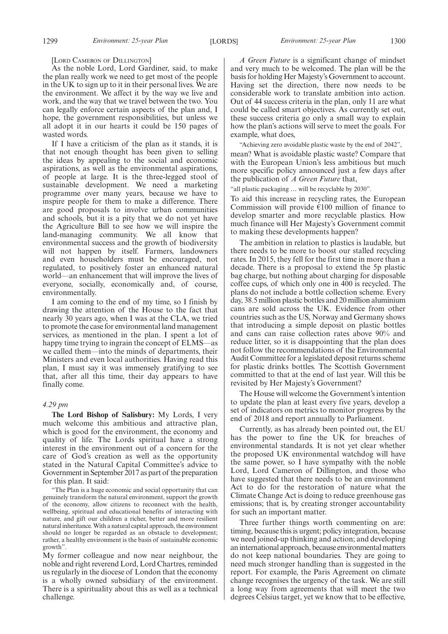[LORD CAMERON OF DILLINGTON]

As the noble Lord, Lord Gardiner, said, to make the plan really work we need to get most of the people in the UK to sign up to it in their personal lives. We are the environment. We affect it by the way we live and work, and the way that we travel between the two. You can legally enforce certain aspects of the plan and, I hope, the government responsibilities, but unless we all adopt it in our hearts it could be 150 pages of wasted words.

If I have a criticism of the plan as it stands, it is that not enough thought has been given to selling the ideas by appealing to the social and economic aspirations, as well as the environmental aspirations, of people at large. It is the three-legged stool of sustainable development. We need a marketing programme over many years, because we have to inspire people for them to make a difference. There are good proposals to involve urban communities and schools, but it is a pity that we do not yet have the Agriculture Bill to see how we will inspire the land-managing community. We all know that environmental success and the growth of biodiversity will not happen by itself. Farmers, landowners and even householders must be encouraged, not regulated, to positively foster an enhanced natural world—an enhancement that will improve the lives of everyone, socially, economically and, of course, environmentally.

I am coming to the end of my time, so I finish by drawing the attention of the House to the fact that nearly 30 years ago, when I was at the CLA, we tried to promote the case for environmental land management services, as mentioned in the plan. I spent a lot of happy time trying to ingrain the concept of ELMS—as we called them—into the minds of departments, their Ministers and even local authorities. Having read this plan, I must say it was immensely gratifying to see that, after all this time, their day appears to have finally come.

#### *4.29 pm*

**The Lord Bishop of Salisbury:** My Lords, I very much welcome this ambitious and attractive plan, which is good for the environment, the economy and quality of life. The Lords spiritual have a strong interest in the environment out of a concern for the care of God's creation as well as the opportunity stated in the Natural Capital Committee's advice to Government in September 2017 as part of the preparation for this plan. It said:

"The Plan is a huge economic and social opportunity that can genuinely transform the natural environment, support the growth of the economy, allow citizens to reconnect with the health, wellbeing, spiritual and educational benefits of interacting with nature, and gift our children a richer, better and more resilient natural inheritance. With a natural capital approach, the environment should no longer be regarded as an obstacle to development; rather, a healthy environment is the basis of sustainable economic growth".

My former colleague and now near neighbour, the noble and right reverend Lord, Lord Chartres, reminded us regularly in the diocese of London that the economy is a wholly owned subsidiary of the environment. There is a spirituality about this as well as a technical challenge.

*A Green Future* is a significant change of mindset and very much to be welcomed. The plan will be the basis for holding Her Majesty's Government to account. Having set the direction, there now needs to be considerable work to translate ambition into action. Out of 44 success criteria in the plan, only 11 are what could be called smart objectives. As currently set out, these success criteria go only a small way to explain how the plan's actions will serve to meet the goals. For example, what does,

"Achieving zero avoidable plastic waste by the end of 2042", mean? What is avoidable plastic waste? Compare that with the European Union's less ambitious but much more specific policy announced just a few days after the publication of *A Green Future* that,

"all plastic packaging … will be recyclable by 2030".

To aid this increase in recycling rates, the European Commission will provide  $E100$  million of finance to develop smarter and more recyclable plastics. How much finance will Her Majesty's Government commit to making these developments happen?

The ambition in relation to plastics is laudable, but there needs to be more to boost our stalled recycling rates. In 2015, they fell for the first time in more than a decade. There is a proposal to extend the 5p plastic bag charge, but nothing about charging for disposable coffee cups, of which only one in 400 is recycled. The plans do not include a bottle collection scheme. Every day, 38.5 million plastic bottles and 20 million aluminium cans are sold across the UK. Evidence from other countries such as the US, Norway and Germany shows that introducing a simple deposit on plastic bottles and cans can raise collection rates above 90% and reduce litter, so it is disappointing that the plan does not follow the recommendations of the Environmental Audit Committee for a legislated deposit returns scheme for plastic drinks bottles. The Scottish Government committed to that at the end of last year. Will this be revisited by Her Majesty's Government?

The House will welcome the Government's intention to update the plan at least every five years, develop a set of indicators on metrics to monitor progress by the end of 2018 and report annually to Parliament.

Currently, as has already been pointed out, the EU has the power to fine the UK for breaches of environmental standards. It is not yet clear whether the proposed UK environmental watchdog will have the same power, so I have sympathy with the noble Lord, Lord Cameron of Dillington, and those who have suggested that there needs to be an environment Act to do for the restoration of nature what the Climate Change Act is doing to reduce greenhouse gas emissions; that is, by creating stronger accountability for such an important matter.

Three further things worth commenting on are: timing, because this is urgent; policy integration, because we need joined-up thinking and action; and developing an international approach, because environmental matters do not keep national boundaries. They are going to need much stronger handling than is suggested in the report. For example, the Paris Agreement on climate change recognises the urgency of the task. We are still a long way from agreements that will meet the two degrees Celsius target, yet we know that to be effective,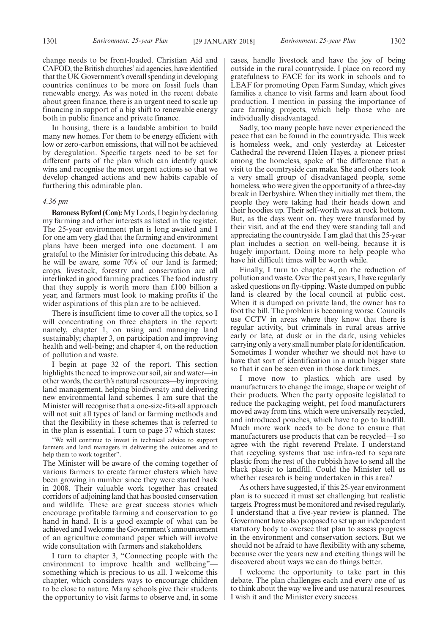change needs to be front-loaded. Christian Aid and CAFOD, the British churches'aid agencies, have identified that the UK Government's overall spending in developing countries continues to be more on fossil fuels than renewable energy. As was noted in the recent debate about green finance, there is an urgent need to scale up financing in support of a big shift to renewable energy both in public finance and private finance.

In housing, there is a laudable ambition to build many new homes. For them to be energy efficient with low or zero-carbon emissions, that will not be achieved by deregulation. Specific targets need to be set for different parts of the plan which can identify quick wins and recognise the most urgent actions so that we develop changed actions and new habits capable of furthering this admirable plan.

#### *4.36 pm*

**Baroness Byford (Con):**My Lords, I begin by declaring my farming and other interests as listed in the register. The 25-year environment plan is long awaited and I for one am very glad that the farming and environment plans have been merged into one document. I am grateful to the Minister for introducing this debate. As he will be aware, some 70% of our land is farmed; crops, livestock, forestry and conservation are all interlinked in good farming practices. The food industry that they supply is worth more than £100 billion a year, and farmers must look to making profits if the wider aspirations of this plan are to be achieved.

There is insufficient time to cover all the topics, so I will concentrating on three chapters in the report: namely, chapter 1, on using and managing land sustainably; chapter 3, on participation and improving health and well-being; and chapter 4, on the reduction of pollution and waste.

I begin at page 32 of the report. This section highlights the need to improve our soil, air and water—in other words, the earth's natural resources—by improving land management, helping biodiversity and delivering new environmental land schemes. I am sure that the Minister will recognise that a one-size-fits-all approach will not suit all types of land or farming methods and that the flexibility in these schemes that is referred to in the plan is essential. I turn to page 37 which states:

"We will continue to invest in technical advice to support farmers and land managers in delivering the outcomes and to help them to work together".

The Minister will be aware of the coming together of various farmers to create farmer clusters which have been growing in number since they were started back in 2008. Their valuable work together has created corridors of adjoining land that has boosted conservation and wildlife. These are great success stories which encourage profitable farming and conservation to go hand in hand. It is a good example of what can be achieved and I welcome the Government's announcement of an agriculture command paper which will involve wide consultation with farmers and stakeholders.

I turn to chapter 3, "Connecting people with the environment to improve health and wellbeing"something which is precious to us all. I welcome this chapter, which considers ways to encourage children to be close to nature. Many schools give their students the opportunity to visit farms to observe and, in some

cases, handle livestock and have the joy of being outside in the rural countryside. I place on record my gratefulness to FACE for its work in schools and to LEAF for promoting Open Farm Sunday, which gives families a chance to visit farms and learn about food production. I mention in passing the importance of care farming projects, which help those who are individually disadvantaged.

Sadly, too many people have never experienced the peace that can be found in the countryside. This week is homeless week, and only yesterday at Leicester Cathedral the reverend Helen Hayes, a pioneer priest among the homeless, spoke of the difference that a visit to the countryside can make. She and others took a very small group of disadvantaged people, some homeless, who were given the opportunity of a three-day break in Derbyshire. When they initially met them, the people they were taking had their heads down and their hoodies up. Their self-worth was at rock bottom. But, as the days went on, they were transformed by their visit, and at the end they were standing tall and appreciating the countryside. I am glad that this 25-year plan includes a section on well-being, because it is hugely important. Doing more to help people who have hit difficult times will be worth while.

Finally, I turn to chapter 4, on the reduction of pollution and waste. Over the past years, I have regularly asked questions on fly-tipping. Waste dumped on public land is cleared by the local council at public cost. When it is dumped on private land, the owner has to foot the bill. The problem is becoming worse. Councils use CCTV in areas where they know that there is regular activity, but criminals in rural areas arrive early or late, at dusk or in the dark, using vehicles carrying only a very small number plate for identification. Sometimes I wonder whether we should not have to have that sort of identification in a much bigger state so that it can be seen even in those dark times.

I move now to plastics, which are used by manufacturers to change the image, shape or weight of their products. When the party opposite legislated to reduce the packaging weight, pet food manufacturers moved away from tins, which were universally recycled, and introduced pouches, which have to go to landfill. Much more work needs to be done to ensure that manufacturers use products that can be recycled—I so agree with the right reverend Prelate. I understand that recycling systems that use infra-red to separate plastic from the rest of the rubbish have to send all the black plastic to landfill. Could the Minister tell us whether research is being undertaken in this area?

As others have suggested, if this 25-year environment plan is to succeed it must set challenging but realistic targets. Progress must be monitored and revised regularly. I understand that a five-year review is planned. The Government have also proposed to set up an independent statutory body to oversee that plan to assess progress in the environment and conservation sectors. But we should not be afraid to have flexibility with any scheme, because over the years new and exciting things will be discovered about ways we can do things better.

I welcome the opportunity to take part in this debate. The plan challenges each and every one of us to think about the way we live and use natural resources. I wish it and the Minister every success.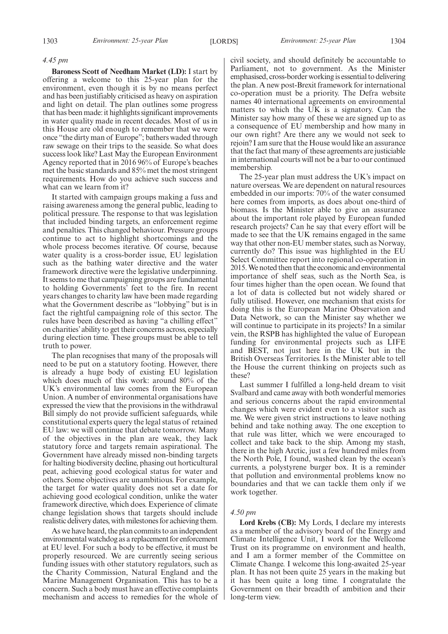#### *4.45 pm*

**Baroness Scott of Needham Market (LD):** I start by offering a welcome to this 25-year plan for the environment, even though it is by no means perfect and has been justifiably criticised as heavy on aspiration and light on detail. The plan outlines some progress that has been made: it highlights significant improvements in water quality made in recent decades. Most of us in this House are old enough to remember that we were once "the dirty man of Europe"; bathers waded through raw sewage on their trips to the seaside. So what does success look like? Last May the European Environment Agency reported that in 2016 96% of Europe's beaches met the basic standards and 85% met the most stringent requirements. How do you achieve such success and what can we learn from it?

It started with campaign groups making a fuss and raising awareness among the general public, leading to political pressure. The response to that was legislation that included binding targets, an enforcement regime and penalties. This changed behaviour. Pressure groups continue to act to highlight shortcomings and the whole process becomes iterative. Of course, because water quality is a cross-border issue, EU legislation such as the bathing water directive and the water framework directive were the legislative underpinning. It seems to me that campaigning groups are fundamental to holding Governments' feet to the fire. In recent years changes to charity law have been made regarding what the Government describe as "lobbying" but is in fact the rightful campaigning role of this sector. The rules have been described as having "a chilling effect" on charities'ability to get their concerns across, especially during election time. These groups must be able to tell truth to power.

The plan recognises that many of the proposals will need to be put on a statutory footing. However, there is already a huge body of existing EU legislation which does much of this work: around 80% of the UK's environmental law comes from the European Union. A number of environmental organisations have expressed the view that the provisions in the withdrawal Bill simply do not provide sufficient safeguards, while constitutional experts query the legal status of retained EU law: we will continue that debate tomorrow. Many of the objectives in the plan are weak, they lack statutory force and targets remain aspirational. The Government have already missed non-binding targets for halting biodiversity decline, phasing out horticultural peat, achieving good ecological status for water and others. Some objectives are unambitious. For example, the target for water quality does not set a date for achieving good ecological condition, unlike the water framework directive, which does. Experience of climate change legislation shows that targets should include realistic delivery dates, with milestones for achieving them.

As we have heard, the plan commits to an independent environmental watchdog as a replacement for enforcement at EU level. For such a body to be effective, it must be properly resourced. We are currently seeing serious funding issues with other statutory regulators, such as the Charity Commission, Natural England and the Marine Management Organisation. This has to be a concern. Such a body must have an effective complaints mechanism and access to remedies for the whole of civil society, and should definitely be accountable to Parliament, not to government. As the Minister emphasised, cross-border working is essential to delivering the plan. A new post-Brexit framework for international co-operation must be a priority. The Defra website names 40 international agreements on environmental matters to which the UK is a signatory. Can the Minister say how many of these we are signed up to as a consequence of EU membership and how many in our own right? Are there any we would not seek to rejoin? I am sure that the House would like an assurance that the fact that many of these agreements are justiciable in international courts will not be a bar to our continued membership.

The 25-year plan must address the UK's impact on nature overseas. We are dependent on natural resources embedded in our imports: 70% of the water consumed here comes from imports, as does about one-third of biomass. Is the Minister able to give an assurance about the important role played by European funded research projects? Can he say that every effort will be made to see that the UK remains engaged in the same way that other non-EU member states, such as Norway, currently do? This issue was highlighted in the EU Select Committee report into regional co-operation in 2015. We noted then that the economic and environmental importance of shelf seas, such as the North Sea, is four times higher than the open ocean. We found that a lot of data is collected but not widely shared or fully utilised. However, one mechanism that exists for doing this is the European Marine Observation and Data Network, so can the Minister say whether we will continue to participate in its projects? In a similar vein, the RSPB has highlighted the value of European funding for environmental projects such as LIFE and BEST, not just here in the UK but in the British Overseas Territories. Is the Minister able to tell the House the current thinking on projects such as these?

Last summer I fulfilled a long-held dream to visit Svalbard and came away with both wonderful memories and serious concerns about the rapid environmental changes which were evident even to a visitor such as me. We were given strict instructions to leave nothing behind and take nothing away. The one exception to that rule was litter, which we were encouraged to collect and take back to the ship. Among my stash, there in the high Arctic, just a few hundred miles from the North Pole, I found, washed clean by the ocean's currents, a polystyrene burger box. It is a reminder that pollution and environmental problems know no boundaries and that we can tackle them only if we work together.

#### *4.50 pm*

**Lord Krebs (CB):** My Lords, I declare my interests as a member of the advisory board of the Energy and Climate Intelligence Unit, I work for the Wellcome Trust on its programme on environment and health, and I am a former member of the Committee on Climate Change. I welcome this long-awaited 25-year plan. It has not been quite 25 years in the making but it has been quite a long time. I congratulate the Government on their breadth of ambition and their long-term view.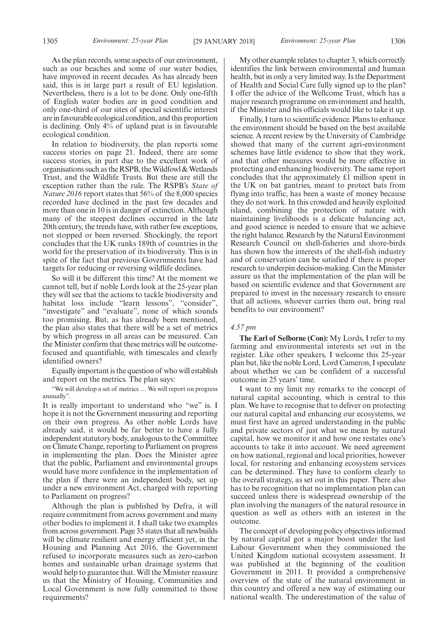As the plan records, some aspects of our environment, such as our beaches and some of our water bodies, have improved in recent decades. As has already been said, this is in large part a result of EU legislation. Nevertheless, there is a lot to be done. Only one-fifth of English water bodies are in good condition and only one-third of our sites of special scientific interest are in favourable ecological condition, and this proportion is declining. Only 4% of upland peat is in favourable ecological condition.

In relation to biodiversity, the plan reports some success stories on page 21. Indeed, there are some success stories, in part due to the excellent work of organisations such as the RSPB, the Wildfowl & Wetlands Trust, and the Wildlife Trusts. But these are still the exception rather than the rule. The RSPB's *State of Nature 2016* report states that 56% of the 8,000 species recorded have declined in the past few decades and more than one in 10 is in danger of extinction. Although many of the steepest declines occurred in the late 20th century, the trends have, with rather few exceptions, not stopped or been reversed. Shockingly, the report concludes that the UK ranks 189th of countries in the world for the preservation of its biodiversity. This is in spite of the fact that previous Governments have had targets for reducing or reversing wildlife declines.

So will it be different this time? At the moment we cannot tell, but if noble Lords look at the 25-year plan they will see that the actions to tackle biodiversity and habitat loss include "learn lessons", "consider", "investigate" and "evaluate", none of which sounds too promising. But, as has already been mentioned, the plan also states that there will be a set of metrics by which progress in all areas can be measured. Can the Minister confirm that these metrics will be outcomefocused and quantifiable, with timescales and clearly identified owners?

Equally important is the question of who will establish and report on the metrics. The plan says:

"We will develop a set of metrics … We will report on progress annually".

It is really important to understand who "we" is. I hope it is not the Government measuring and reporting on their own progress. As other noble Lords have already said, it would be far better to have a fully independent statutory body, analogous to the Committee on Climate Change, reporting to Parliament on progress in implementing the plan. Does the Minister agree that the public, Parliament and environmental groups would have more confidence in the implementation of the plan if there were an independent body, set up under a new environment Act, charged with reporting to Parliament on progress?

Although the plan is published by Defra, it will require commitment from across government and many other bodies to implement it. I shall take two examples from across government. Page 35 states that all newbuilds will be climate resilient and energy efficient yet, in the Housing and Planning Act 2016, the Government refused to incorporate measures such as zero-carbon homes and sustainable urban drainage systems that would help to guarantee that. Will the Minister reassure us that the Ministry of Housing, Communities and Local Government is now fully committed to those requirements?

My other example relates to chapter 3, which correctly identifies the link between environmental and human health, but in only a very limited way. Is the Department of Health and Social Care fully signed up to the plan? I offer the advice of the Wellcome Trust, which has a major research programme on environment and health, if the Minister and his officials would like to take it up.

Finally, I turn to scientific evidence. Plans to enhance the environment should be based on the best available science. A recent review by the University of Cambridge showed that many of the current agri-environment schemes have little evidence to show that they work, and that other measures would be more effective in protecting and enhancing biodiversity. The same report concludes that the approximately £1 million spent in the UK on bat gantries, meant to protect bats from flying into traffic, has been a waste of money because they do not work. In this crowded and heavily exploited island, combining the protection of nature with maintaining livelihoods is a delicate balancing act, and good science is needed to ensure that we achieve the right balance. Research by the Natural Environment Research Council on shell-fisheries and shore-birds has shown how the interests of the shell-fish industry and of conservation can be satisfied if there is proper research to underpin decision-making. Can the Minister assure us that the implementation of the plan will be based on scientific evidence and that Government are prepared to invest in the necessary research to ensure that all actions, whoever carries them out, bring real benefits to our environment?

## *4.57 pm*

**The Earl of Selborne (Con):** My Lords, I refer to my farming and environmental interests set out in the register. Like other speakers, I welcome this 25-year plan but, like the noble Lord, Lord Cameron, I speculate about whether we can be confident of a successful outcome in 25 years' time.

I want to my limit my remarks to the concept of natural capital accounting, which is central to this plan. We have to recognise that to deliver on protecting our natural capital and enhancing our ecosystems, we must first have an agreed understanding in the public and private sectors of just what we mean by natural capital, how we monitor it and how one restates one's accounts to take it into account. We need agreement on how national, regional and local priorities, however local, for restoring and enhancing ecosystem services can be determined. They have to conform clearly to the overall strategy, as set out in this paper. There also has to be recognition that no implementation plan can succeed unless there is widespread ownership of the plan involving the managers of the natural resource in question as well as others with an interest in the outcome.

The concept of developing policy objectives informed by natural capital got a major boost under the last Labour Government when they commissioned the United Kingdom national ecosystem assessment. It was published at the beginning of the coalition Government in 2011. It provided a comprehensive overview of the state of the natural environment in this country and offered a new way of estimating our national wealth. The underestimation of the value of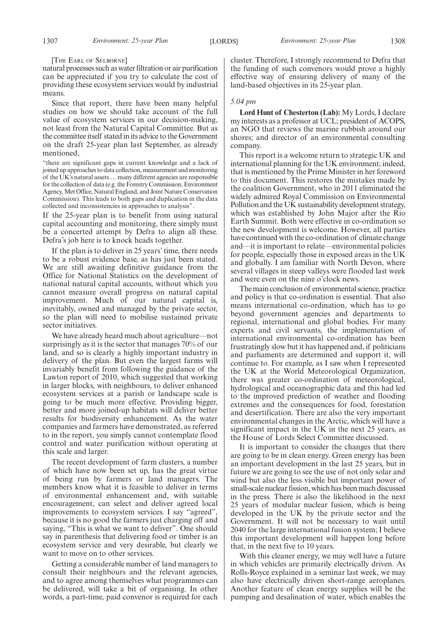[THE EARL OF SELBORNE]

natural processes such as water filtration or air purification can be appreciated if you try to calculate the cost of providing these ecosystem services would by industrial means.

Since that report, there have been many helpful studies on how we should take account of the full value of ecosystem services in our decision-making, not least from the Natural Capital Committee. But as the committee itself stated in its advice to the Government on the draft 25-year plan last September, as already mentioned,

"there are significant gaps in current knowledge and a lack of joined up approaches to data collection, measurement and monitoring of the UK's natural assets … many different agencies are responsible for the collection of data (e.g. the Forestry Commission, Environment Agency, Met Office, Natural England, and Joint Nature Conservation Commission). This leads to both gaps and duplication in the data collected and inconsistencies in approaches to analysis".

If the 25-year plan is to benefit from using natural capital accounting and monitoring, there simply must be a concerted attempt by Defra to align all these. Defra's job here is to knock heads together.

If the plan is to deliver in 25 years' time, there needs to be a robust evidence base, as has just been stated. We are still awaiting definitive guidance from the Office for National Statistics on the development of national natural capital accounts, without which you cannot measure overall progress on natural capital improvement. Much of our natural capital is, inevitably, owned and managed by the private sector, so the plan will need to mobilise sustained private sector initiatives.

We have already heard much about agriculture—not surprisingly as it is the sector that manages 70% of our land, and so is clearly a highly important industry in delivery of the plan. But even the largest farms will invariably benefit from following the guidance of the Lawton report of 2010, which suggested that working in larger blocks, with neighbours, to deliver enhanced ecosystem services at a parish or landscape scale is going to be much more effective. Providing bigger, better and more joined-up habitats will deliver better results for biodiversity enhancement. As the water companies and farmers have demonstrated, as referred to in the report, you simply cannot contemplate flood control and water purification without operating at this scale and larger.

The recent development of farm clusters, a number of which have now been set up, has the great virtue of being run by farmers or land managers. The members know what it is feasible to deliver in terms of environmental enhancement and, with suitable encouragement, can select and deliver agreed local improvements to ecosystem services. I say "agreed", because it is no good the farmers just charging off and saying, "This is what we want to deliver". One should say in parenthesis that delivering food or timber is an ecosystem service and very desirable, but clearly we want to move on to other services.

Getting a considerable number of land managers to consult their neighbours and the relevant agencies, and to agree among themselves what programmes can be delivered, will take a bit of organising. In other words, a part-time, paid convenor is required for each cluster. Therefore, I strongly recommend to Defra that the funding of such convenors would prove a highly effective way of ensuring delivery of many of the land-based objectives in its 25-year plan.

#### *5.04 pm*

**Lord Hunt of Chesterton (Lab):** My Lords, I declare my interests as a professor at UCL; president of ACOPS, an NGO that reviews the marine rubbish around our shores; and director of an environmental consulting company.

This report is a welcome return to strategic UK and international planning for the UK environment; indeed, that is mentioned by the Prime Minister in her foreword to this document. This restores the mistakes made by the coalition Government, who in 2011 eliminated the widely admired Royal Commission on Environmental Pollution and the UK sustainability development strategy, which was established by John Major after the Rio Earth Summit. Both were effective in co-ordination so the new development is welcome. However, all parties have continued with the co-ordination of climate change and—it is important to relate—environmental policies for people, especially those in exposed areas in the UK and globally. I am familiar with North Devon, where several villages in steep valleys were flooded last week and were even on the nine o'clock news.

The main conclusion of environmental science, practice and policy is that co-ordination is essential. That also means international co-ordination, which has to go beyond government agencies and departments to regional, international and global bodies. For many experts and civil servants, the implementation of international environmental co-ordination has been frustratingly slow but it has happened and, if politicians and parliaments are determined and support it, will continue to. For example, as I saw when I represented the UK at the World Meteorological Organization, there was greater co-ordination of meteorological, hydrological and oceanographic data and this had led to the improved prediction of weather and flooding extremes and the consequences for food, forestation and desertification. There are also the very important environmental changes in the Arctic, which will have a significant impact in the UK in the next 25 years, as the House of Lords Select Committee discussed.

It is important to consider the changes that there are going to be in clean energy. Green energy has been an important development in the last 25 years, but in future we are going to see the use of not only solar and wind but also the less visible but important power of small-scale nuclear fission, which has been much discussed in the press. There is also the likelihood in the next 25 years of modular nuclear fusion, which is being developed in the UK by the private sector and the Government. It will not be necessary to wait until 2040 for the large international fusion system; I believe this important development will happen long before that, in the next five to 10 years.

With this cleaner energy, we may well have a future in which vehicles are primarily electrically driven. As Rolls-Royce explained in a seminar last week, we may also have electrically driven short-range aeroplanes. Another feature of clean energy supplies will be the pumping and desalination of water, which enables the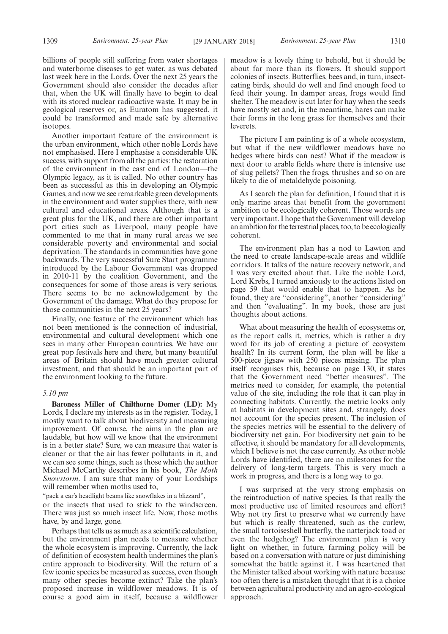billions of people still suffering from water shortages and waterborne diseases to get water, as was debated last week here in the Lords. Over the next 25 years the Government should also consider the decades after that, when the UK will finally have to begin to deal with its stored nuclear radioactive waste. It may be in geological reserves or, as Euratom has suggested, it could be transformed and made safe by alternative isotopes.

Another important feature of the environment is the urban environment, which other noble Lords have not emphasised. Here I emphasise a considerable UK success, with support from all the parties: the restoration of the environment in the east end of London—the Olympic legacy, as it is called. No other country has been as successful as this in developing an Olympic Games, and now we see remarkable green developments in the environment and water supplies there, with new cultural and educational areas. Although that is a great plus for the UK, and there are other important port cities such as Liverpool, many people have commented to me that in many rural areas we see considerable poverty and environmental and social deprivation. The standards in communities have gone backwards. The very successful Sure Start programme introduced by the Labour Government was dropped in 2010-11 by the coalition Government, and the consequences for some of those areas is very serious. There seems to be no acknowledgement by the Government of the damage. What do they propose for those communities in the next 25 years?

Finally, one feature of the environment which has not been mentioned is the connection of industrial, environmental and cultural development which one sees in many other European countries. We have our great pop festivals here and there, but many beautiful areas of Britain should have much greater cultural investment, and that should be an important part of the environment looking to the future.

# *5.10 pm*

**Baroness Miller of Chilthorne Domer (LD):** My Lords, I declare my interests as in the register. Today, I mostly want to talk about biodiversity and measuring improvement. Of course, the aims in the plan are laudable, but how will we know that the environment is in a better state? Sure, we can measure that water is cleaner or that the air has fewer pollutants in it, and we can see some things, such as those which the author Michael McCarthy describes in his book, *The Moth Snowstorm*. I am sure that many of your Lordships will remember when moths used to,

"pack a car's headlight beams like snowflakes in a blizzard",

or the insects that used to stick to the windscreen. There was just so much insect life. Now, those moths have, by and large, gone.

Perhaps that tells us as much as a scientific calculation, but the environment plan needs to measure whether the whole ecosystem is improving. Currently, the lack of definition of ecosystem health undermines the plan's entire approach to biodiversity. Will the return of a few iconic species be measured as success, even though many other species become extinct? Take the plan's proposed increase in wildflower meadows. It is of course a good aim in itself, because a wildflower meadow is a lovely thing to behold, but it should be about far more than its flowers. It should support colonies of insects. Butterflies, bees and, in turn, insecteating birds, should do well and find enough food to feed their young. In damper areas, frogs would find shelter. The meadow is cut later for hay when the seeds have mostly set and, in the meantime, hares can make their forms in the long grass for themselves and their leverets.

The picture I am painting is of a whole ecosystem. but what if the new wildflower meadows have no hedges where birds can nest? What if the meadow is next door to arable fields where there is intensive use of slug pellets? Then the frogs, thrushes and so on are likely to die of metaldehyde poisoning.

As I search the plan for definition, I found that it is only marine areas that benefit from the government ambition to be ecologically coherent. Those words are very important. I hope that the Government will develop an ambition for the terrestrial places, too, to be ecologically coherent.

The environment plan has a nod to Lawton and the need to create landscape-scale areas and wildlife corridors. It talks of the nature recovery network, and I was very excited about that. Like the noble Lord, Lord Krebs, I turned anxiously to the actions listed on page 59 that would enable that to happen. As he found, they are "considering", another "considering" and then "evaluating". In my book, those are just thoughts about actions.

What about measuring the health of ecosystems or, as the report calls it, metrics, which is rather a dry word for its job of creating a picture of ecosystem health? In its current form, the plan will be like a 500-piece jigsaw with 250 pieces missing. The plan itself recognises this, because on page 130, it states that the Government need "better measures". The metrics need to consider, for example, the potential value of the site, including the role that it can play in connecting habitats. Currently, the metric looks only at habitats in development sites and, strangely, does not account for the species present. The inclusion of the species metrics will be essential to the delivery of biodiversity net gain. For biodiversity net gain to be effective, it should be mandatory for all developments, which I believe is not the case currently. As other noble Lords have identified, there are no milestones for the delivery of long-term targets. This is very much a work in progress, and there is a long way to go.

I was surprised at the very strong emphasis on the reintroduction of native species. Is that really the most productive use of limited resources and effort? Why not try first to preserve what we currently have but which is really threatened, such as the curlew, the small tortoiseshell butterfly, the natterjack toad or even the hedgehog? The environment plan is very light on whether, in future, farming policy will be based on a conversation with nature or just diminishing somewhat the battle against it. I was heartened that the Minister talked about working with nature because too often there is a mistaken thought that it is a choice between agricultural productivity and an agro-ecological approach.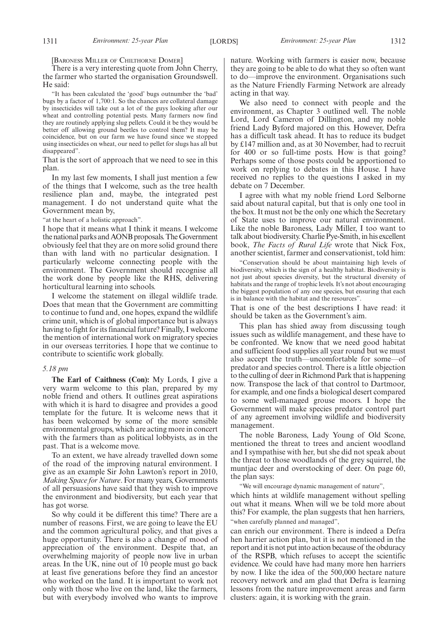[BARONESS MILLER OF CHILTHORNE DOMER]

There is a very interesting quote from John Cherry, the farmer who started the organisation Groundswell. He said:

"It has been calculated the 'good' bugs outnumber the 'bad' bugs by a factor of 1,700:1. So the chances are collateral damage by insecticides will take out a lot of the guys looking after our wheat and controlling potential pests. Many farmers now find they are routinely applying slug pellets. Could it be they would be better off allowing ground beetles to control them? It may be coincidence, but on our farm we have found since we stopped using insecticides on wheat, our need to pellet for slugs has all but disappeared".

That is the sort of approach that we need to see in this plan.

In my last few moments, I shall just mention a few of the things that I welcome, such as the tree health resilience plan and, maybe, the integrated pest management. I do not understand quite what the Government mean by,

"at the heart of a holistic approach".

I hope that it means what I think it means. I welcome the national parks and AONB proposals. The Government obviously feel that they are on more solid ground there than with land with no particular designation. I particularly welcome connecting people with the environment. The Government should recognise all the work done by people like the RHS, delivering horticultural learning into schools.

I welcome the statement on illegal wildlife trade. Does that mean that the Government are committing to continue to fund and, one hopes, expand the wildlife crime unit, which is of global importance but is always having to fight for its financial future? Finally, I welcome the mention of international work on migratory species in our overseas territories. I hope that we continue to contribute to scientific work globally.

#### *5.18 pm*

**The Earl of Caithness (Con):** My Lords, I give a very warm welcome to this plan, prepared by my noble friend and others. It outlines great aspirations with which it is hard to disagree and provides a good template for the future. It is welcome news that it has been welcomed by some of the more sensible environmental groups, which are acting more in concert with the farmers than as political lobbyists, as in the past. That is a welcome move.

To an extent, we have already travelled down some of the road of the improving natural environment. I give as an example Sir John Lawton's report in 2010, *Making Space for Nature*. For many years, Governments of all persuasions have said that they wish to improve the environment and biodiversity, but each year that has got worse.

So why could it be different this time? There are a number of reasons. First, we are going to leave the EU and the common agricultural policy, and that gives a huge opportunity. There is also a change of mood of appreciation of the environment. Despite that, an overwhelming majority of people now live in urban areas. In the UK, nine out of 10 people must go back at least five generations before they find an ancestor who worked on the land. It is important to work not only with those who live on the land, like the farmers, but with everybody involved who wants to improve nature. Working with farmers is easier now, because they are going to be able to do what they so often want to do—improve the environment. Organisations such as the Nature Friendly Farming Network are already acting in that way.

We also need to connect with people and the environment, as Chapter 3 outlined well. The noble Lord, Lord Cameron of Dillington, and my noble friend Lady Byford majored on this. However, Defra has a difficult task ahead. It has to reduce its budget by £147 million and, as at 30 November, had to recruit for 400 or so full-time posts. How is that going? Perhaps some of those posts could be apportioned to work on replying to debates in this House. I have received no replies to the questions I asked in my debate on 7 December.

I agree with what my noble friend Lord Selborne said about natural capital, but that is only one tool in the box. It must not be the only one which the Secretary of State uses to improve our natural environment. Like the noble Baroness, Lady Miller, I too want to talk about biodiversity. Charlie Pye-Smith, in his excellent book, *The Facts of Rural Life* wrote that Nick Fox, another scientist, farmer and conservationist, told him:

"Conservation should be about maintaining high levels of biodiversity, which is the sign of a healthy habitat. Biodiversity is not just about species diversity, but the structural diversity of habitats and the range of trophic levels. It's not about encouraging the biggest population of any one species, but ensuring that each is in balance with the habitat and the resources".

That is one of the best descriptions I have read: it should be taken as the Government's aim.

This plan has shied away from discussing tough issues such as wildlife management, and these have to be confronted. We know that we need good habitat and sufficient food supplies all year round but we must also accept the truth—uncomfortable for some—of predator and species control. There is a little objection to the culling of deer in Richmond Park that is happening now. Transpose the lack of that control to Dartmoor, for example, and one finds a biological desert compared to some well-managed grouse moors. I hope the Government will make species predator control part of any agreement involving wildlife and biodiversity management.

The noble Baroness, Lady Young of Old Scone, mentioned the threat to trees and ancient woodland and I sympathise with her, but she did not speak about the threat to those woodlands of the grey squirrel, the muntjac deer and overstocking of deer. On page 60, the plan says:

"We will encourage dynamic management of nature",

which hints at wildlife management without spelling out what it means. When will we be told more about this? For example, the plan suggests that hen harriers, "when carefully planned and managed",

can enrich our environment. There is indeed a Defra hen harrier action plan, but it is not mentioned in the report and it is not put into action because of the obduracy of the RSPB, which refuses to accept the scientific evidence. We could have had many more hen harriers by now. I like the idea of the 500,000 hectare nature recovery network and am glad that Defra is learning lessons from the nature improvement areas and farm clusters: again, it is working with the grain.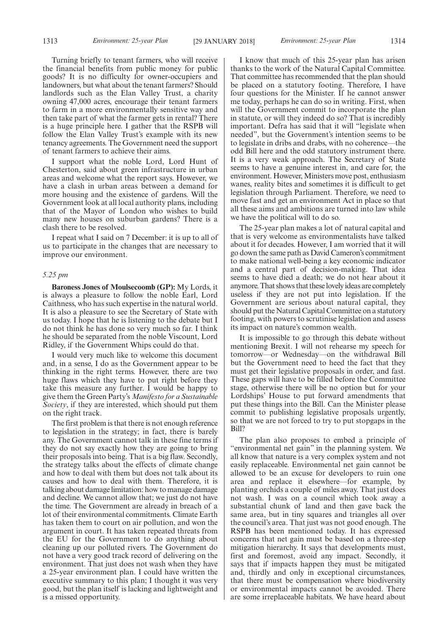Turning briefly to tenant farmers, who will receive the financial benefits from public money for public goods? It is no difficulty for owner-occupiers and landowners, but what about the tenant farmers? Should landlords such as the Elan Valley Trust, a charity owning 47,000 acres, encourage their tenant farmers to farm in a more environmentally sensitive way and then take part of what the farmer gets in rental? There is a huge principle here. I gather that the RSPB will follow the Elan Valley Trust's example with its new tenancy agreements. The Government need the support of tenant farmers to achieve their aims.

I support what the noble Lord, Lord Hunt of Chesterton, said about green infrastructure in urban areas and welcome what the report says. However, we have a clash in urban areas between a demand for more housing and the existence of gardens. Will the Government look at all local authority plans, including that of the Mayor of London who wishes to build many new houses on suburban gardens? There is a clash there to be resolved.

I repeat what I said on 7 December: it is up to all of us to participate in the changes that are necessary to improve our environment.

#### *5.25 pm*

**Baroness Jones of Moulsecoomb (GP):** My Lords, it is always a pleasure to follow the noble Earl, Lord Caithness, who has such expertise in the natural world. It is also a pleasure to see the Secretary of State with us today. I hope that he is listening to the debate but I do not think he has done so very much so far. I think he should be separated from the noble Viscount, Lord Ridley, if the Government Whips could do that.

I would very much like to welcome this document and, in a sense, I do as the Government appear to be thinking in the right terms. However, there are two huge flaws which they have to put right before they take this measure any further. I would be happy to give them the Green Party's *Manifesto for a Sustainable Society*, if they are interested, which should put them on the right track.

The first problem is that there is not enough reference to legislation in the strategy; in fact, there is barely any. The Government cannot talk in these fine terms if they do not say exactly how they are going to bring their proposals into being. That is a big flaw. Secondly, the strategy talks about the effects of climate change and how to deal with them but does not talk about its causes and how to deal with them. Therefore, it is talking about damage limitation: how to manage damage and decline. We cannot allow that; we just do not have the time. The Government are already in breach of a lot of their environmental commitments. Climate Earth has taken them to court on air pollution, and won the argument in court. It has taken repeated threats from the EU for the Government to do anything about cleaning up our polluted rivers. The Government do not have a very good track record of delivering on the environment. That just does not wash when they have a 25-year environment plan. I could have written the executive summary to this plan; I thought it was very good, but the plan itself is lacking and lightweight and is a missed opportunity.

I know that much of this 25-year plan has arisen thanks to the work of the Natural Capital Committee. That committee has recommended that the plan should be placed on a statutory footing. Therefore, I have four questions for the Minister. If he cannot answer me today, perhaps he can do so in writing. First, when will the Government commit to incorporate the plan in statute, or will they indeed do so? That is incredibly important. Defra has said that it will "legislate when needed", but the Government's intention seems to be to legislate in dribs and drabs, with no coherence—the odd Bill here and the odd statutory instrument there. It is a very weak approach. The Secretary of State seems to have a genuine interest in, and care for, the environment. However, Ministers move post, enthusiasm wanes, reality bites and sometimes it is difficult to get legislation through Parliament. Therefore, we need to move fast and get an environment Act in place so that all these aims and ambitions are turned into law while we have the political will to do so.

The 25-year plan makes a lot of natural capital and that is very welcome as environmentalists have talked about it for decades. However, I am worried that it will go down the same path as David Cameron's commitment to make national well-being a key economic indicator and a central part of decision-making. That idea seems to have died a death; we do not hear about it anymore. That shows that these lovely ideas are completely useless if they are not put into legislation. If the Government are serious about natural capital, they should put the Natural Capital Committee on a statutory footing, with powers to scrutinise legislation and assess its impact on nature's common wealth.

It is impossible to go through this debate without mentioning Brexit. I will not rehearse my speech for tomorrow—or Wednesday—on the withdrawal Bill but the Government need to heed the fact that they must get their legislative proposals in order, and fast. These gaps will have to be filled before the Committee stage, otherwise there will be no option but for your Lordships' House to put forward amendments that put these things into the Bill. Can the Minister please commit to publishing legislative proposals urgently, so that we are not forced to try to put stopgaps in the Bill?

The plan also proposes to embed a principle of "environmental net gain" in the planning system. We all know that nature is a very complex system and not easily replaceable. Environmental net gain cannot be allowed to be an excuse for developers to ruin one area and replace it elsewhere—for example, by planting orchids a couple of miles away. That just does not wash. I was on a council which took away a substantial chunk of land and then gave back the same area, but in tiny squares and triangles all over the council's area. That just was not good enough. The RSPB has been mentioned today. It has expressed concerns that net gain must be based on a three-step mitigation hierarchy. It says that developments must, first and foremost, avoid any impact. Secondly, it says that if impacts happen they must be mitigated and, thirdly and only in exceptional circumstances, that there must be compensation where biodiversity or environmental impacts cannot be avoided. There are some irreplaceable habitats. We have heard about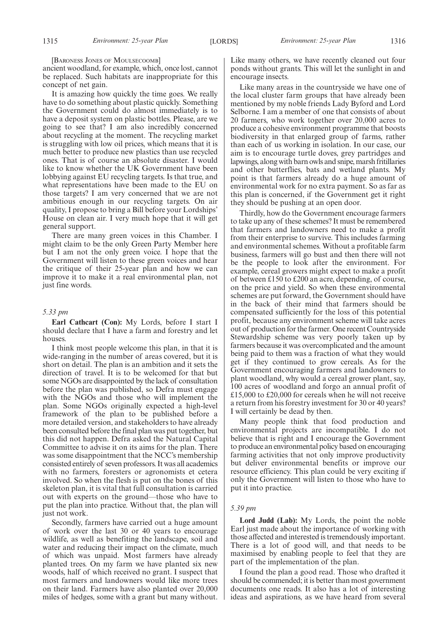[BARONESS JONES OF MOULSECOOMB]

ancient woodland, for example, which, once lost, cannot be replaced. Such habitats are inappropriate for this concept of net gain.

It is amazing how quickly the time goes. We really have to do something about plastic quickly. Something the Government could do almost immediately is to have a deposit system on plastic bottles. Please, are we going to see that? I am also incredibly concerned about recycling at the moment. The recycling market is struggling with low oil prices, which means that it is much better to produce new plastics than use recycled ones. That is of course an absolute disaster. I would like to know whether the UK Government have been lobbying against EU recycling targets. Is that true, and what representations have been made to the EU on those targets? I am very concerned that we are not ambitious enough in our recycling targets. On air quality, I propose to bring a Bill before your Lordships' House on clean air. I very much hope that it will get general support.

There are many green voices in this Chamber. I might claim to be the only Green Party Member here but I am not the only green voice. I hope that the Government will listen to these green voices and hear the critique of their 25-year plan and how we can improve it to make it a real environmental plan, not just fine words.

#### *5.33 pm*

**Earl Cathcart (Con):** My Lords, before I start I should declare that I have a farm and forestry and let houses.

I think most people welcome this plan, in that it is wide-ranging in the number of areas covered, but it is short on detail. The plan is an ambition and it sets the direction of travel. It is to be welcomed for that but some NGOs are disappointed by the lack of consultation before the plan was published, so Defra must engage with the NGOs and those who will implement the plan. Some NGOs originally expected a high-level framework of the plan to be published before a more detailed version, and stakeholders to have already been consulted before the final plan was put together, but this did not happen. Defra asked the Natural Capital Committee to advise it on its aims for the plan. There was some disappointment that the NCC's membership consisted entirely of seven professors. It was all academics with no farmers, foresters or agronomists et cetera involved. So when the flesh is put on the bones of this skeleton plan, it is vital that full consultation is carried out with experts on the ground—those who have to put the plan into practice. Without that, the plan will just not work.

Secondly, farmers have carried out a huge amount of work over the last 30 or 40 years to encourage wildlife, as well as benefiting the landscape, soil and water and reducing their impact on the climate, much of which was unpaid. Most farmers have already planted trees. On my farm we have planted six new woods, half of which received no grant. I suspect that most farmers and landowners would like more trees on their land. Farmers have also planted over 20,000 miles of hedges, some with a grant but many without. Like many others, we have recently cleaned out four ponds without grants. This will let the sunlight in and encourage insects.

Like many areas in the countryside we have one of the local cluster farm groups that have already been mentioned by my noble friends Lady Byford and Lord Selborne. I am a member of one that consists of about 20 farmers, who work together over 20,000 acres to produce a cohesive environment programme that boosts biodiversity in that enlarged group of farms, rather than each of us working in isolation. In our case, our aim is to encourage turtle doves, grey partridges and lapwings, along with barn owls and snipe, marsh fritillaries and other butterflies, bats and wetland plants. My point is that farmers already do a huge amount of environmental work for no extra payment. So as far as this plan is concerned, if the Government get it right they should be pushing at an open door.

Thirdly, how do the Government encourage farmers to take up any of these schemes? It must be remembered that farmers and landowners need to make a profit from their enterprise to survive. This includes farming and environmental schemes. Without a profitable farm business, farmers will go bust and then there will not be the people to look after the environment. For example, cereal growers might expect to make a profit of between £150 to £200 an acre, depending, of course, on the price and yield. So when these environmental schemes are put forward, the Government should have in the back of their mind that farmers should be compensated sufficiently for the loss of this potential profit, because any environment scheme will take acres out of production for the farmer. One recent Countryside Stewardship scheme was very poorly taken up by farmers because it was overcomplicated and the amount being paid to them was a fraction of what they would get if they continued to grow cereals. As for the Government encouraging farmers and landowners to plant woodland, why would a cereal grower plant, say, 100 acres of woodland and forgo an annual profit of £15,000 to £20,000 for cereals when he will not receive a return from his forestry investment for 30 or 40 years? I will certainly be dead by then.

Many people think that food production and environmental projects are incompatible. I do not believe that is right and I encourage the Government to produce an environmental policy based on encouraging farming activities that not only improve productivity but deliver environmental benefits or improve our resource efficiency. This plan could be very exciting if only the Government will listen to those who have to put it into practice.

#### *5.39 pm*

**Lord Judd (Lab):** My Lords, the point the noble Earl just made about the importance of working with those affected and interested is tremendously important. There is a lot of good will, and that needs to be maximised by enabling people to feel that they are part of the implementation of the plan.

I found the plan a good read. Those who drafted it should be commended; it is better than most government documents one reads. It also has a lot of interesting ideas and aspirations, as we have heard from several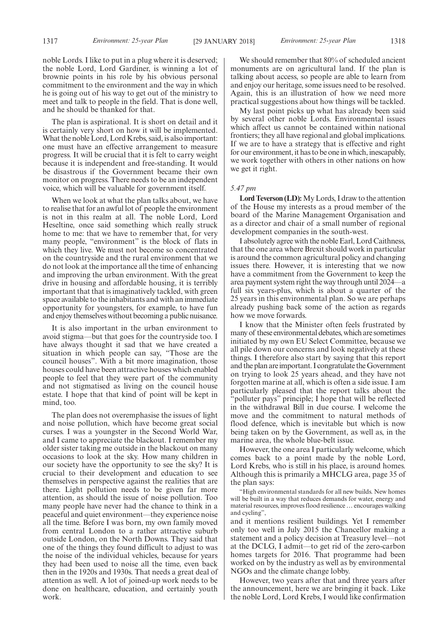noble Lords. I like to put in a plug where it is deserved; the noble Lord, Lord Gardiner, is winning a lot of brownie points in his role by his obvious personal commitment to the environment and the way in which he is going out of his way to get out of the ministry to meet and talk to people in the field. That is done well, and he should be thanked for that.

The plan is aspirational. It is short on detail and it is certainly very short on how it will be implemented. What the noble Lord, Lord Krebs, said, is also important: one must have an effective arrangement to measure progress. It will be crucial that it is felt to carry weight because it is independent and free-standing. It would be disastrous if the Government became their own monitor on progress. There needs to be an independent voice, which will be valuable for government itself.

When we look at what the plan talks about, we have to realise that for an awful lot of people the environment is not in this realm at all. The noble Lord, Lord Heseltine, once said something which really struck home to me: that we have to remember that, for very many people, "environment" is the block of flats in which they live. We must not become so concentrated on the countryside and the rural environment that we do not look at the importance all the time of enhancing and improving the urban environment. With the great drive in housing and affordable housing, it is terribly important that that is imaginatively tackled, with green space available to the inhabitants and with an immediate opportunity for youngsters, for example, to have fun and enjoy themselves without becoming a public nuisance.

It is also important in the urban environment to avoid stigma—but that goes for the countryside too. I have always thought it sad that we have created a situation in which people can say, "Those are the council houses". With a bit more imagination, those houses could have been attractive houses which enabled people to feel that they were part of the community and not stigmatised as living on the council house estate. I hope that that kind of point will be kept in mind, too.

The plan does not overemphasise the issues of light and noise pollution, which have become great social curses. I was a youngster in the Second World War, and I came to appreciate the blackout. I remember my older sister taking me outside in the blackout on many occasions to look at the sky. How many children in our society have the opportunity to see the sky? It is crucial to their development and education to see themselves in perspective against the realities that are there. Light pollution needs to be given far more attention, as should the issue of noise pollution. Too many people have never had the chance to think in a peaceful and quiet environment—they experience noise all the time. Before I was born, my own family moved from central London to a rather attractive suburb outside London, on the North Downs. They said that one of the things they found difficult to adjust to was the noise of the individual vehicles, because for years they had been used to noise all the time, even back then in the 1920s and 1930s. That needs a great deal of attention as well. A lot of joined-up work needs to be done on healthcare, education, and certainly youth work.

We should remember that 80% of scheduled ancient monuments are on agricultural land. If the plan is talking about access, so people are able to learn from and enjoy our heritage, some issues need to be resolved. Again, this is an illustration of how we need more practical suggestions about how things will be tackled.

My last point picks up what has already been said by several other noble Lords. Environmental issues which affect us cannot be contained within national frontiers; they all have regional and global implications. If we are to have a strategy that is effective and right for our environment, it has to be one in which, inescapably, we work together with others in other nations on how we get it right.

#### *5.47 pm*

**Lord Teverson (LD):**My Lords, I draw to the attention of the House my interests as a proud member of the board of the Marine Management Organisation and as a director and chair of a small number of regional development companies in the south-west.

I absolutely agree with the noble Earl, Lord Caithness, that the one area where Brexit should work in particular is around the common agricultural policy and changing issues there. However, it is interesting that we now have a commitment from the Government to keep the area payment system right the way through until 2024—a full six years-plus, which is about a quarter of the 25 years in this environmental plan. So we are perhaps already pushing back some of the action as regards how we move forwards.

I know that the Minister often feels frustrated by many of these environmental debates, which are sometimes initiated by my own EU Select Committee, because we all pile down our concerns and look negatively at these things. I therefore also start by saying that this report and the plan are important. I congratulate the Government on trying to look 25 years ahead, and they have not forgotten marine at all, which is often a side issue. I am particularly pleased that the report talks about the "polluter pays" principle; I hope that will be reflected in the withdrawal Bill in due course. I welcome the move and the commitment to natural methods of flood defence, which is inevitable but which is now being taken on by the Government, as well as, in the marine area, the whole blue-belt issue.

However, the one area I particularly welcome, which comes back to a point made by the noble Lord, Lord Krebs, who is still in his place, is around homes. Although this is primarily a MHCLG area, page 35 of the plan says:

"High environmental standards for all new builds. New homes will be built in a way that reduces demands for water, energy and material resources, improves flood resilience … encourages walking and cycling",

and it mentions resilient buildings. Yet I remember only too well in July 2015 the Chancellor making a statement and a policy decision at Treasury level—not at the DCLG, I admit—to get rid of the zero-carbon homes targets for 2016. That programme had been worked on by the industry as well as by environmental NGOs and the climate change lobby.

However, two years after that and three years after the announcement, here we are bringing it back. Like the noble Lord, Lord Krebs, I would like confirmation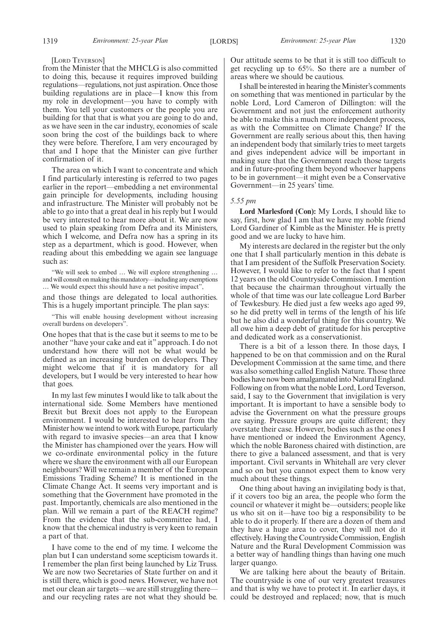#### [LORD TEVERSON]

from the Minister that the MHCLG is also committed to doing this, because it requires improved building regulations—regulations, not just aspiration. Once those building regulations are in place—I know this from my role in development—you have to comply with them. You tell your customers or the people you are building for that that is what you are going to do and, as we have seen in the car industry, economies of scale soon bring the cost of the buildings back to where they were before. Therefore, I am very encouraged by that and I hope that the Minister can give further confirmation of it.

The area on which I want to concentrate and which I find particularly interesting is referred to two pages earlier in the report—embedding a net environmental gain principle for developments, including housing and infrastructure. The Minister will probably not be able to go into that a great deal in his reply but I would be very interested to hear more about it. We are now used to plain speaking from Defra and its Ministers, which I welcome, and Defra now has a spring in its step as a department, which is good. However, when reading about this embedding we again see language such as:

"We will seek to embed … We will explore strengthening … and will consult on making this mandatory—including any exemptions … We would expect this should have a net positive impact",

and those things are delegated to local authorities. This is a hugely important principle. The plan says:

"This will enable housing development without increasing overall burdens on developers".

One hopes that that is the case but it seems to me to be another "have your cake and eat it" approach. I do not understand how there will not be what would be defined as an increasing burden on developers. They might welcome that if it is mandatory for all developers, but I would be very interested to hear how that goes.

In my last few minutes I would like to talk about the international side. Some Members have mentioned Brexit but Brexit does not apply to the European environment. I would be interested to hear from the Minister how we intend to work with Europe, particularly with regard to invasive species—an area that I know the Minister has championed over the years. How will we co-ordinate environmental policy in the future where we share the environment with all our European neighbours? Will we remain a member of the European Emissions Trading Scheme? It is mentioned in the Climate Change Act. It seems very important and is something that the Government have promoted in the past. Importantly, chemicals are also mentioned in the plan. Will we remain a part of the REACH regime? From the evidence that the sub-committee had, I know that the chemical industry is very keen to remain a part of that.

I have come to the end of my time. I welcome the plan but I can understand some scepticism towards it. I remember the plan first being launched by Liz Truss. We are now two Secretaries of State further on and it is still there, which is good news. However, we have not met our clean air targets—we are still struggling there and our recycling rates are not what they should be. Our attitude seems to be that it is still too difficult to get recycling up to 65%. So there are a number of areas where we should be cautious.

I shall be interested in hearing the Minister's comments on something that was mentioned in particular by the noble Lord, Lord Cameron of Dillington: will the Government and not just the enforcement authority be able to make this a much more independent process, as with the Committee on Climate Change? If the Government are really serious about this, then having an independent body that similarly tries to meet targets and gives independent advice will be important in making sure that the Government reach those targets and in future-proofing them beyond whoever happens to be in government—it might even be a Conservative Government—in 25 years' time.

#### *5.55 pm*

**Lord Marlesford (Con):** My Lords, I should like to say, first, how glad I am that we have my noble friend Lord Gardiner of Kimble as the Minister. He is pretty good and we are lucky to have him.

My interests are declared in the register but the only one that I shall particularly mention in this debate is that I am president of the Suffolk Preservation Society. However, I would like to refer to the fact that I spent 12 years on the old Countryside Commission. I mention that because the chairman throughout virtually the whole of that time was our late colleague Lord Barber of Tewkesbury. He died just a few weeks ago aged 99, so he did pretty well in terms of the length of his life but he also did a wonderful thing for this country. We all owe him a deep debt of gratitude for his perceptive and dedicated work as a conservationist.

There is a bit of a lesson there. In those days, I happened to be on that commission and on the Rural Development Commission at the same time, and there was also something called English Nature. Those three bodies have now been amalgamated into Natural England. Following on from what the noble Lord, Lord Teverson, said, I say to the Government that invigilation is very important. It is important to have a sensible body to advise the Government on what the pressure groups are saying. Pressure groups are quite different; they overstate their case. However, bodies such as the ones I have mentioned or indeed the Environment Agency, which the noble Baroness chaired with distinction, are there to give a balanced assessment, and that is very important. Civil servants in Whitehall are very clever and so on but you cannot expect them to know very much about these things.

One thing about having an invigilating body is that, if it covers too big an area, the people who form the council or whatever it might be—outsiders; people like us who sit on it—have too big a responsibility to be able to do it properly. If there are a dozen of them and they have a huge area to cover, they will not do it effectively. Having the Countryside Commission, English Nature and the Rural Development Commission was a better way of handling things than having one much larger quango.

We are talking here about the beauty of Britain. The countryside is one of our very greatest treasures and that is why we have to protect it. In earlier days, it could be destroyed and replaced; now, that is much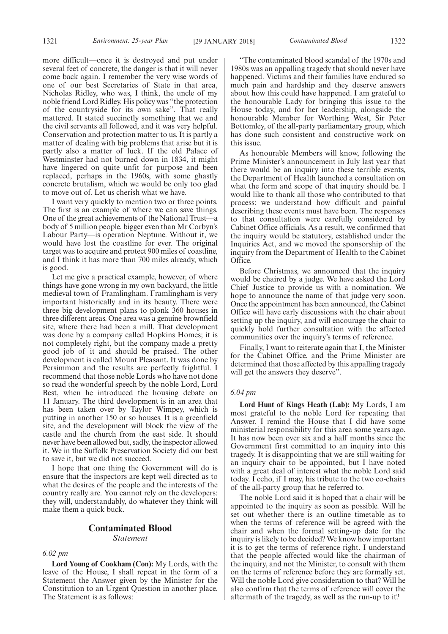more difficult—once it is destroyed and put under several feet of concrete, the danger is that it will never come back again. I remember the very wise words of one of our best Secretaries of State in that area, Nicholas Ridley, who was, I think, the uncle of my noble friend Lord Ridley. His policy was "the protection of the countryside for its own sake". That really mattered. It stated succinctly something that we and the civil servants all followed, and it was very helpful. Conservation and protection matter to us. It is partly a matter of dealing with big problems that arise but it is partly also a matter of luck. If the old Palace of Westminster had not burned down in 1834, it might have lingered on quite unfit for purpose and been replaced, perhaps in the 1960s, with some ghastly concrete brutalism, which we would be only too glad to move out of. Let us cherish what we have.

I want very quickly to mention two or three points. The first is an example of where we can save things. One of the great achievements of the National Trust—a body of 5 million people, bigger even than Mr Corbyn's Labour Party—is operation Neptune. Without it, we would have lost the coastline for ever. The original target was to acquire and protect 900 miles of coastline, and I think it has more than 700 miles already, which is good.

Let me give a practical example, however, of where things have gone wrong in my own backyard, the little medieval town of Framlingham. Framlingham is very important historically and in its beauty. There were three big development plans to plonk 360 houses in three different areas. One area was a genuine brownfield site, where there had been a mill. That development was done by a company called Hopkins Homes; it is not completely right, but the company made a pretty good job of it and should be praised. The other development is called Mount Pleasant. It was done by Persimmon and the results are perfectly frightful. I recommend that those noble Lords who have not done so read the wonderful speech by the noble Lord, Lord Best, when he introduced the housing debate on 11 January. The third development is in an area that has been taken over by Taylor Wimpey, which is putting in another 150 or so houses. It is a greenfield site, and the development will block the view of the castle and the church from the east side. It should never have been allowed but, sadly, the inspector allowed it. We in the Suffolk Preservation Society did our best to save it, but we did not succeed.

I hope that one thing the Government will do is ensure that the inspectors are kept well directed as to what the desires of the people and the interests of the country really are. You cannot rely on the developers: they will, understandably, do whatever they think will make them a quick buck.

# **Contaminated Blood** *Statement*

*6.02 pm*

**Lord Young of Cookham (Con):** My Lords, with the leave of the House, I shall repeat in the form of a Statement the Answer given by the Minister for the Constitution to an Urgent Question in another place. The Statement is as follows:

"The contaminated blood scandal of the 1970s and 1980s was an appalling tragedy that should never have happened. Victims and their families have endured so much pain and hardship and they deserve answers about how this could have happened. I am grateful to the honourable Lady for bringing this issue to the House today, and for her leadership, alongside the honourable Member for Worthing West, Sir Peter Bottomley, of the all-party parliamentary group, which has done such consistent and constructive work on this issue.

As honourable Members will know, following the Prime Minister's announcement in July last year that there would be an inquiry into these terrible events, the Department of Health launched a consultation on what the form and scope of that inquiry should be. I would like to thank all those who contributed to that process: we understand how difficult and painful describing these events must have been. The responses to that consultation were carefully considered by Cabinet Office officials. As a result, we confirmed that the inquiry would be statutory, established under the Inquiries Act, and we moved the sponsorship of the inquiry from the Department of Health to the Cabinet Office.

Before Christmas, we announced that the inquiry would be chaired by a judge. We have asked the Lord Chief Justice to provide us with a nomination. We hope to announce the name of that judge very soon. Once the appointment has been announced, the Cabinet Office will have early discussions with the chair about setting up the inquiry, and will encourage the chair to quickly hold further consultation with the affected communities over the inquiry's terms of reference.

Finally, I want to reiterate again that I, the Minister for the Cabinet Office, and the Prime Minister are determined that those affected by this appalling tragedy will get the answers they deserve".

#### *6.04 pm*

**Lord Hunt of Kings Heath (Lab):** My Lords, I am most grateful to the noble Lord for repeating that Answer. I remind the House that I did have some ministerial responsibility for this area some years ago. It has now been over six and a half months since the Government first committed to an inquiry into this tragedy. It is disappointing that we are still waiting for an inquiry chair to be appointed, but I have noted with a great deal of interest what the noble Lord said today. I echo, if I may, his tribute to the two co-chairs of the all-party group that he referred to.

The noble Lord said it is hoped that a chair will be appointed to the inquiry as soon as possible. Will he set out whether there is an outline timetable as to when the terms of reference will be agreed with the chair and when the formal setting-up date for the inquiry is likely to be decided? We know how important it is to get the terms of reference right. I understand that the people affected would like the chairman of the inquiry, and not the Minister, to consult with them on the terms of reference before they are formally set. Will the noble Lord give consideration to that? Will he also confirm that the terms of reference will cover the aftermath of the tragedy, as well as the run-up to it?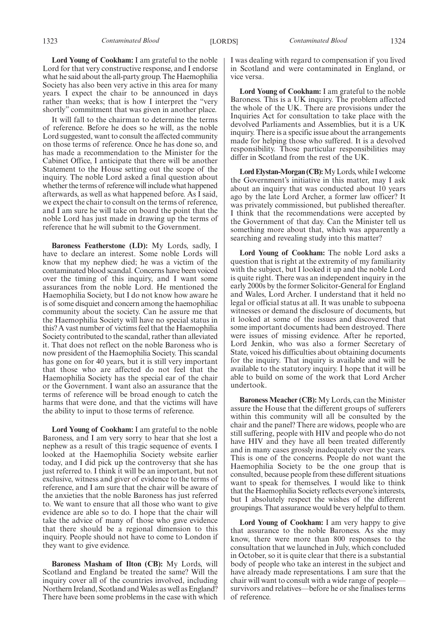**Lord Young of Cookham:** I am grateful to the noble Lord for that very constructive response, and I endorse what he said about the all-party group. The Haemophilia Society has also been very active in this area for many years. I expect the chair to be announced in days rather than weeks; that is how I interpret the "very shortly" commitment that was given in another place.

It will fall to the chairman to determine the terms of reference. Before he does so he will, as the noble Lord suggested, want to consult the affected community on those terms of reference. Once he has done so, and has made a recommendation to the Minister for the Cabinet Office, I anticipate that there will be another Statement to the House setting out the scope of the inquiry. The noble Lord asked a final question about whether the terms of reference will include what happened afterwards, as well as what happened before. As I said, we expect the chair to consult on the terms of reference, and I am sure he will take on board the point that the noble Lord has just made in drawing up the terms of reference that he will submit to the Government.

**Baroness Featherstone (LD):** My Lords, sadly, I have to declare an interest. Some noble Lords will know that my nephew died; he was a victim of the contaminated blood scandal. Concerns have been voiced over the timing of this inquiry, and I want some assurances from the noble Lord. He mentioned the Haemophilia Society, but I do not know how aware he is of some disquiet and concern among the haemophiliac community about the society. Can he assure me that the Haemophilia Society will have no special status in this? A vast number of victims feel that the Haemophilia Society contributed to the scandal, rather than alleviated it. That does not reflect on the noble Baroness who is now president of the Haemophilia Society. This scandal has gone on for 40 years, but it is still very important that those who are affected do not feel that the Haemophilia Society has the special ear of the chair or the Government. I want also an assurance that the terms of reference will be broad enough to catch the harms that were done, and that the victims will have the ability to input to those terms of reference.

**Lord Young of Cookham:** I am grateful to the noble Baroness, and I am very sorry to hear that she lost a nephew as a result of this tragic sequence of events. I looked at the Haemophilia Society website earlier today, and I did pick up the controversy that she has just referred to. I think it will be an important, but not exclusive, witness and giver of evidence to the terms of reference, and I am sure that the chair will be aware of the anxieties that the noble Baroness has just referred to. We want to ensure that all those who want to give evidence are able so to do. I hope that the chair will take the advice of many of those who gave evidence that there should be a regional dimension to this inquiry. People should not have to come to London if they want to give evidence.

**Baroness Masham of Ilton (CB):** My Lords, will Scotland and England be treated the same? Will the inquiry cover all of the countries involved, including Northern Ireland, Scotland and Wales as well as England? There have been some problems in the case with which I was dealing with regard to compensation if you lived in Scotland and were contaminated in England, or vice versa.

**Lord Young of Cookham:** I am grateful to the noble Baroness. This is a UK inquiry. The problem affected the whole of the UK. There are provisions under the Inquiries Act for consultation to take place with the devolved Parliaments and Assemblies, but it is a UK inquiry. There is a specific issue about the arrangements made for helping those who suffered. It is a devolved responsibility. Those particular responsibilities may differ in Scotland from the rest of the UK.

**Lord Elystan-Morgan (CB):**My Lords, while I welcome the Government's initiative in this matter, may I ask about an inquiry that was conducted about 10 years ago by the late Lord Archer, a former law officer? It was privately commissioned, but published thereafter. I think that the recommendations were accepted by the Government of that day. Can the Minister tell us something more about that, which was apparently a searching and revealing study into this matter?

**Lord Young of Cookham:** The noble Lord asks a question that is right at the extremity of my familiarity with the subject, but I looked it up and the noble Lord is quite right. There was an independent inquiry in the early 2000s by the former Solicitor-General for England and Wales, Lord Archer. I understand that it held no legal or official status at all. It was unable to subpoena witnesses or demand the disclosure of documents, but it looked at some of the issues and discovered that some important documents had been destroyed. There were issues of missing evidence. After he reported, Lord Jenkin, who was also a former Secretary of State, voiced his difficulties about obtaining documents for the inquiry. That inquiry is available and will be available to the statutory inquiry. I hope that it will be able to build on some of the work that Lord Archer undertook.

**Baroness Meacher (CB):** My Lords, can the Minister assure the House that the different groups of sufferers within this community will all be consulted by the chair and the panel? There are widows, people who are still suffering, people with HIV and people who do not have HIV and they have all been treated differently and in many cases grossly inadequately over the years. This is one of the concerns. People do not want the Haemophilia Society to be the one group that is consulted, because people from these different situations want to speak for themselves. I would like to think that the Haemophilia Society reflects everyone's interests, but I absolutely respect the wishes of the different groupings. That assurance would be very helpful to them.

**Lord Young of Cookham:** I am very happy to give that assurance to the noble Baroness. As she may know, there were more than 800 responses to the consultation that we launched in July, which concluded in October, so it is quite clear that there is a substantial body of people who take an interest in the subject and have already made representations. I am sure that the chair will want to consult with a wide range of people survivors and relatives—before he or she finalises terms of reference.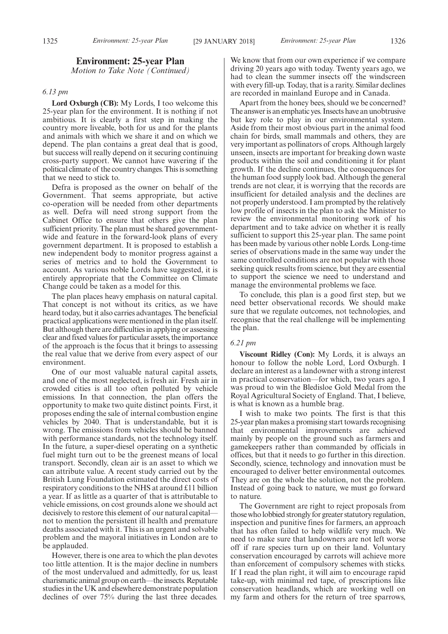# **Environment: 25-year Plan**

*Motion to Take Note (Continued)*

#### *6.13 pm*

**Lord Oxburgh (CB):** My Lords, I too welcome this 25-year plan for the environment. It is nothing if not ambitious. It is clearly a first step in making the country more liveable, both for us and for the plants and animals with which we share it and on which we depend. The plan contains a great deal that is good, but success will really depend on it securing continuing cross-party support. We cannot have wavering if the political climate of the country changes. This is something that we need to stick to.

Defra is proposed as the owner on behalf of the Government. That seems appropriate, but active co-operation will be needed from other departments as well. Defra will need strong support from the Cabinet Office to ensure that others give the plan sufficient priority. The plan must be shared governmentwide and feature in the forward-look plans of every government department. It is proposed to establish a new independent body to monitor progress against a series of metrics and to hold the Government to account. As various noble Lords have suggested, it is entirely appropriate that the Committee on Climate Change could be taken as a model for this.

The plan places heavy emphasis on natural capital. That concept is not without its critics, as we have heard today, but it also carries advantages. The beneficial practical applications were mentioned in the plan itself. But although there are difficulties in applying or assessing clear and fixed values for particular assets, the importance of the approach is the focus that it brings to assessing the real value that we derive from every aspect of our environment.

One of our most valuable natural capital assets, and one of the most neglected, is fresh air. Fresh air in crowded cities is all too often polluted by vehicle emissions. In that connection, the plan offers the opportunity to make two quite distinct points. First, it proposes ending the sale of internal combustion engine vehicles by 2040. That is understandable, but it is wrong. The emissions from vehicles should be banned with performance standards, not the technology itself. In the future, a super-diesel operating on a synthetic fuel might turn out to be the greenest means of local transport. Secondly, clean air is an asset to which we can attribute value. A recent study carried out by the British Lung Foundation estimated the direct costs of respiratory conditions to the NHS at around £11 billion a year. If as little as a quarter of that is attributable to vehicle emissions, on cost grounds alone we should act decisively to restore this element of our natural capital not to mention the persistent ill health and premature deaths associated with it. This is an urgent and solvable problem and the mayoral initiatives in London are to be applauded.

However, there is one area to which the plan devotes too little attention. It is the major decline in numbers of the most undervalued and admittedly, for us, least charismatic animal group on earth—the insects. Reputable studies in the UK and elsewhere demonstrate population declines of over 75% during the last three decades.

We know that from our own experience if we compare driving 20 years ago with today. Twenty years ago, we had to clean the summer insects off the windscreen with every fill-up. Today, that is a rarity. Similar declines are recorded in mainland Europe and in Canada.

Apart from the honey bees, should we be concerned? The answer is an emphatic yes. Insects have an unobtrusive but key role to play in our environmental system. Aside from their most obvious part in the animal food chain for birds, small mammals and others, they are very important as pollinators of crops. Although largely unseen, insects are important for breaking down waste products within the soil and conditioning it for plant growth. If the decline continues, the consequences for the human food supply look bad. Although the general trends are not clear, it is worrying that the records are insufficient for detailed analysis and the declines are not properly understood. I am prompted by the relatively low profile of insects in the plan to ask the Minister to review the environmental monitoring work of his department and to take advice on whether it is really sufficient to support this 25-year plan. The same point has been made by various other noble Lords. Long-time series of observations made in the same way under the same controlled conditions are not popular with those seeking quick results from science, but they are essential to support the science we need to understand and manage the environmental problems we face.

To conclude, this plan is a good first step, but we need better observational records. We should make sure that we regulate outcomes, not technologies, and recognise that the real challenge will be implementing the plan.

# *6.21 pm*

**Viscount Ridley (Con):** My Lords, it is always an honour to follow the noble Lord, Lord Oxburgh. I declare an interest as a landowner with a strong interest in practical conservation—for which, two years ago, I was proud to win the Bledisloe Gold Medal from the Royal Agricultural Society of England. That, I believe, is what is known as a humble brag.

I wish to make two points. The first is that this 25-year plan makes a promising start towards recognising that environmental improvements are achieved mainly by people on the ground such as farmers and gamekeepers rather than commanded by officials in offices, but that it needs to go further in this direction. Secondly, science, technology and innovation must be encouraged to deliver better environmental outcomes. They are on the whole the solution, not the problem. Instead of going back to nature, we must go forward to nature.

The Government are right to reject proposals from those who lobbied strongly for greater statutory regulation, inspection and punitive fines for farmers, an approach that has often failed to help wildlife very much. We need to make sure that landowners are not left worse off if rare species turn up on their land. Voluntary conservation encouraged by carrots will achieve more than enforcement of compulsory schemes with sticks. If I read the plan right, it will aim to encourage rapid take-up, with minimal red tape, of prescriptions like conservation headlands, which are working well on my farm and others for the return of tree sparrows,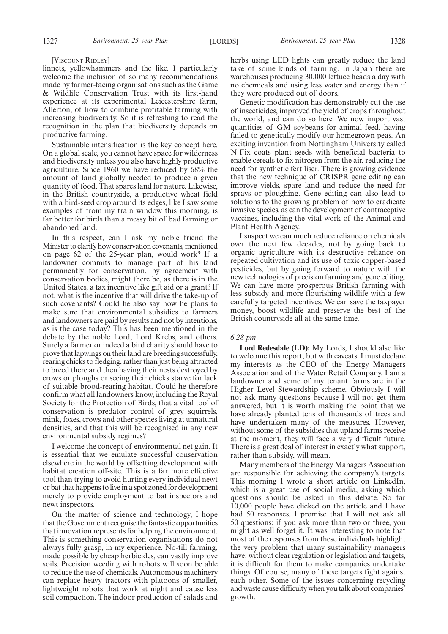#### [VISCOUNT RIDLEY]

linnets, yellowhammers and the like. I particularly welcome the inclusion of so many recommendations made by farmer-facing organisations such as the Game & Wildlife Conservation Trust with its first-hand experience at its experimental Leicestershire farm, Allerton, of how to combine profitable farming with increasing biodiversity. So it is refreshing to read the recognition in the plan that biodiversity depends on productive farming.

Sustainable intensification is the key concept here. On a global scale, you cannot have space for wilderness and biodiversity unless you also have highly productive agriculture. Since 1960 we have reduced by 68% the amount of land globally needed to produce a given quantity of food. That spares land for nature. Likewise, in the British countryside, a productive wheat field with a bird-seed crop around its edges, like I saw some examples of from my train window this morning, is far better for birds than a messy bit of bad farming or abandoned land.

In this respect, can I ask my noble friend the Minister to clarify how conservation covenants, mentioned on page 62 of the 25-year plan, would work? If a landowner commits to manage part of his land permanently for conservation, by agreement with conservation bodies, might there be, as there is in the United States, a tax incentive like gift aid or a grant? If not, what is the incentive that will drive the take-up of such covenants? Could he also say how he plans to make sure that environmental subsidies to farmers and landowners are paid by results and not by intentions, as is the case today? This has been mentioned in the debate by the noble Lord, Lord Krebs, and others. Surely a farmer or indeed a bird charity should have to prove that lapwings on their land are breeding successfully, rearing chicks to fledging, rather than just being attracted to breed there and then having their nests destroyed by crows or ploughs or seeing their chicks starve for lack of suitable brood-rearing habitat. Could he therefore confirm what all landowners know, including the Royal Society for the Protection of Birds, that a vital tool of conservation is predator control of grey squirrels, mink, foxes, crows and other species living at unnatural densities, and that this will be recognised in any new environmental subsidy regimes?

I welcome the concept of environmental net gain. It is essential that we emulate successful conservation elsewhere in the world by offsetting development with habitat creation off-site. This is a far more effective tool than trying to avoid hurting every individual newt or bat that happens to live in a spot zoned for development merely to provide employment to bat inspectors and newt inspectors.

On the matter of science and technology, I hope that the Government recognise the fantastic opportunities that innovation represents for helping the environment. This is something conservation organisations do not always fully grasp, in my experience. No-till farming, made possible by cheap herbicides, can vastly improve soils. Precision weeding with robots will soon be able to reduce the use of chemicals. Autonomous machinery can replace heavy tractors with platoons of smaller, lightweight robots that work at night and cause less soil compaction. The indoor production of salads and herbs using LED lights can greatly reduce the land take of some kinds of farming. In Japan there are warehouses producing 30,000 lettuce heads a day with no chemicals and using less water and energy than if they were produced out of doors.

Genetic modification has demonstrably cut the use of insecticides, improved the yield of crops throughout the world, and can do so here. We now import vast quantities of GM soybeans for animal feed, having failed to genetically modify our homegrown peas. An exciting invention from Nottingham University called N-Fix coats plant seeds with beneficial bacteria to enable cereals to fix nitrogen from the air, reducing the need for synthetic fertiliser. There is growing evidence that the new technique of CRISPR gene editing can improve yields, spare land and reduce the need for sprays or ploughing. Gene editing can also lead to solutions to the growing problem of how to eradicate invasive species, as can the development of contraceptive vaccines, including the vital work of the Animal and Plant Health Agency.

I suspect we can much reduce reliance on chemicals over the next few decades, not by going back to organic agriculture with its destructive reliance on repeated cultivation and its use of toxic copper-based pesticides, but by going forward to nature with the new technologies of precision farming and gene editing. We can have more prosperous British farming with less subsidy and more flourishing wildlife with a few carefully targeted incentives. We can save the taxpayer money, boost wildlife and preserve the best of the British countryside all at the same time.

#### *6.28 pm*

**Lord Redesdale (LD):** My Lords, I should also like to welcome this report, but with caveats. I must declare my interests as the CEO of the Energy Managers Association and of the Water Retail Company. I am a landowner and some of my tenant farms are in the Higher Level Stewardship scheme. Obviously I will not ask many questions because I will not get them answered, but it is worth making the point that we have already planted tens of thousands of trees and have undertaken many of the measures. However, without some of the subsidies that upland farms receive at the moment, they will face a very difficult future. There is a great deal of interest in exactly what support, rather than subsidy, will mean.

Many members of the Energy Managers Association are responsible for achieving the company's targets. This morning I wrote a short article on LinkedIn, which is a great use of social media, asking which questions should be asked in this debate. So far 10,000 people have clicked on the article and I have had 50 responses. I promise that I will not ask all 50 questions; if you ask more than two or three, you might as well forget it. It was interesting to note that most of the responses from these individuals highlight the very problem that many sustainability managers have: without clear regulation or legislation and targets, it is difficult for them to make companies undertake things. Of course, many of these targets fight against each other. Some of the issues concerning recycling and waste cause difficulty when you talk about companies' growth.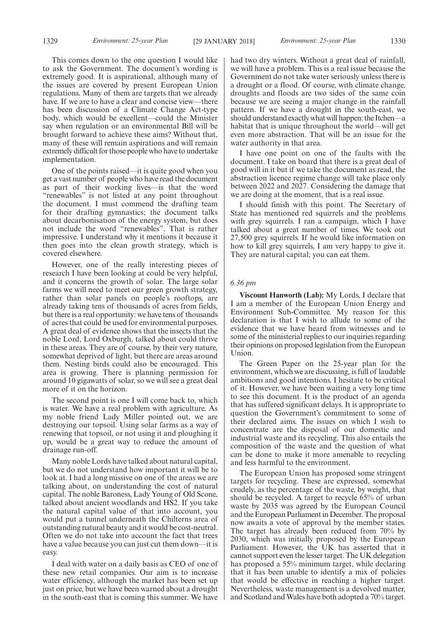This comes down to the one question I would like to ask the Government. The document's wording is extremely good. It is aspirational, although many of the issues are covered by present European Union regulations. Many of them are targets that we already have. If we are to have a clear and concise view—there has been discussion of a Climate Change Act-type body, which would be excellent—could the Minister say when regulation or an environmental Bill will be brought forward to achieve these aims? Without that, many of these will remain aspirations and will remain extremely difficult for those people who have to undertake implementation.

One of the points raised—it is quite good when you get a vast number of people who have read the document as part of their working lives—is that the word "renewables" is not listed at any point throughout the document. I must commend the drafting team for their drafting gymnastics; the document talks about decarbonisation of the energy system, but does not include the word "renewables". That is rather impressive. I understand why it mentions it because it then goes into the clean growth strategy, which is covered elsewhere.

However, one of the really interesting pieces of research I have been looking at could be very helpful, and it concerns the growth of solar. The large solar farms we will need to meet our green growth strategy, rather than solar panels on people's rooftops, are already taking tens of thousands of acres from fields, but there is a real opportunity: we have tens of thousands of acres that could be used for environmental purposes. A great deal of evidence shows that the insects that the noble Lord, Lord Oxburgh, talked about could thrive in these areas. They are of course, by their very nature, somewhat deprived of light, but there are areas around them. Nesting birds could also be encouraged. This area is growing. There is planning permission for around 10 gigawatts of solar, so we will see a great deal more of it on the horizon.

The second point is one I will come back to, which is water. We have a real problem with agriculture. As my noble friend Lady Miller pointed out, we are destroying our topsoil. Using solar farms as a way of renewing that topsoil, or not using it and ploughing it up, would be a great way to reduce the amount of drainage run-off.

Many noble Lords have talked about natural capital, but we do not understand how important it will be to look at. I had a long missive on one of the areas we are talking about, on understanding the cost of natural capital. The noble Baroness, Lady Young of Old Scone, talked about ancient woodlands and HS2. If you take the natural capital value of that into account, you would put a tunnel underneath the Chilterns area of outstanding natural beauty and it would be cost-neutral. Often we do not take into account the fact that trees have a value because you can just cut them down—it is easy.

I deal with water on a daily basis as CEO of one of these new retail companies. Our aim is to increase water efficiency, although the market has been set up just on price, but we have been warned about a drought in the south-east that is coming this summer. We have

had two dry winters. Without a great deal of rainfall, we will have a problem. This is a real issue because the Government do not take water seriously unless there is a drought or a flood. Of course, with climate change, droughts and floods are two sides of the same coin because we are seeing a major change in the rainfall pattern. If we have a drought in the south-east, we should understand exactly what will happen: the Itchen—a habitat that is unique throughout the world—will get even more abstraction. That will be an issue for the water authority in that area.

I have one point on one of the faults with the document. I take on board that there is a great deal of good will in it but if we take the document as read, the abstraction licence regime change will take place only between 2022 and 2027. Considering the damage that we are doing at the moment, that is a real issue.

I should finish with this point. The Secretary of State has mentioned red squirrels and the problems with grey squirrels. I ran a campaign, which I have talked about a great number of times. We took out 27,500 grey squirrels. If he would like information on how to kill grey squirrels, I am very happy to give it. They are natural capital; you can eat them.

# *6.36 pm*

**Viscount Hanworth (Lab):** My Lords, I declare that I am a member of the European Union Energy and Environment Sub-Committee. My reason for this declaration is that I wish to allude to some of the evidence that we have heard from witnesses and to some of the ministerial replies to our inquiries regarding their opinions on proposed legislation from the European Union.

The Green Paper on the 25-year plan for the environment, which we are discussing, is full of laudable ambitions and good intentions. I hesitate to be critical of it. However, we have been waiting a very long time to see this document. It is the product of an agenda that has suffered significant delays. It is appropriate to question the Government's commitment to some of their declared aims. The issues on which I wish to concentrate are the disposal of our domestic and industrial waste and its recycling. This also entails the composition of the waste and the question of what can be done to make it more amenable to recycling and less harmful to the environment.

The European Union has proposed some stringent targets for recycling. These are expressed, somewhat crudely, as the percentage of the waste, by weight, that should be recycled. A target to recycle 65% of urban waste by 2035 was agreed by the European Council and the European Parliament in December. The proposal now awaits a vote of approval by the member states. The target has already been reduced from 70% by 2030, which was initially proposed by the European Parliament. However, the UK has asserted that it cannot support even the lesser target. The UK delegation has proposed a 55% minimum target, while declaring that it has been unable to identify a mix of policies that would be effective in reaching a higher target. Nevertheless, waste management is a devolved matter, and Scotland and Wales have both adopted a 70% target.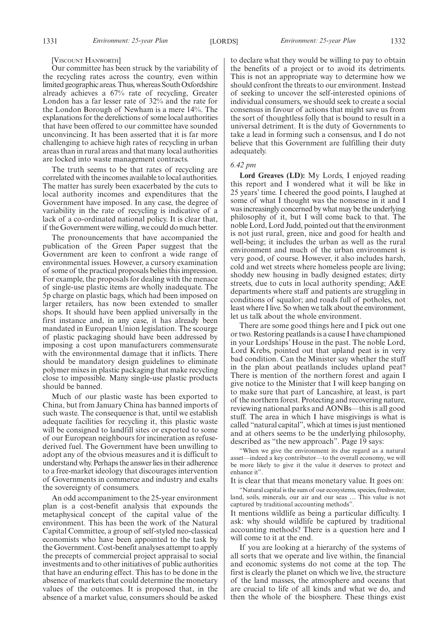#### [VISCOUNT HANWORTH]

Our committee has been struck by the variability of the recycling rates across the country, even within limited geographic areas. Thus, whereas South Oxfordshire already achieves a 67% rate of recycling, Greater London has a far lesser rate of 32% and the rate for the London Borough of Newham is a mere 14%. The explanations for the derelictions of some local authorities that have been offered to our committee have sounded unconvincing. It has been asserted that it is far more challenging to achieve high rates of recycling in urban areas than in rural areas and that many local authorities are locked into waste management contracts.

The truth seems to be that rates of recycling are correlated with the incomes available to local authorities. The matter has surely been exacerbated by the cuts to local authority incomes and expenditures that the Government have imposed. In any case, the degree of variability in the rate of recycling is indicative of a lack of a co-ordinated national policy. It is clear that, if the Government were willing, we could do much better.

The pronouncements that have accompanied the publication of the Green Paper suggest that the Government are keen to confront a wide range of environmental issues. However, a cursory examination of some of the practical proposals belies this impression. For example, the proposals for dealing with the menace of single-use plastic items are wholly inadequate. The 5p charge on plastic bags, which had been imposed on larger retailers, has now been extended to smaller shops. It should have been applied universally in the first instance and, in any case, it has already been mandated in European Union legislation. The scourge of plastic packaging should have been addressed by imposing a cost upon manufacturers commensurate with the environmental damage that it inflicts. There should be mandatory design guidelines to eliminate polymer mixes in plastic packaging that make recycling close to impossible. Many single-use plastic products should be banned.

Much of our plastic waste has been exported to China, but from January China has banned imports of such waste. The consequence is that, until we establish adequate facilities for recycling it, this plastic waste will be consigned to landfill sites or exported to some of our European neighbours for incineration as refusederived fuel. The Government have been unwilling to adopt any of the obvious measures and it is difficult to understand why. Perhaps the answer lies in their adherence to a free-market ideology that discourages intervention of Governments in commerce and industry and exalts the sovereignty of consumers.

An odd accompaniment to the 25-year environment plan is a cost-benefit analysis that expounds the metaphysical concept of the capital value of the environment. This has been the work of the Natural Capital Committee, a group of self-styled neo-classical economists who have been appointed to the task by the Government. Cost-benefit analyses attempt to apply the precepts of commercial project appraisal to social investments and to other initiatives of public authorities that have an enduring effect. This has to be done in the absence of markets that could determine the monetary values of the outcomes. It is proposed that, in the absence of a market value, consumers should be asked to declare what they would be willing to pay to obtain the benefits of a project or to avoid its detriments. This is not an appropriate way to determine how we should confront the threats to our environment. Instead of seeking to uncover the self-interested opinions of individual consumers, we should seek to create a social consensus in favour of actions that might save us from the sort of thoughtless folly that is bound to result in a universal detriment. It is the duty of Governments to take a lead in forming such a consensus, and I do not believe that this Government are fulfilling their duty adequately.

*6.42 pm*

**Lord Greaves (LD):** My Lords, I enjoyed reading this report and I wondered what it will be like in 25 years' time. I cheered the good points, I laughed at some of what I thought was the nonsense in it and I was increasingly concerned by what may be the underlying philosophy of it, but I will come back to that. The noble Lord, Lord Judd, pointed out that the environment is not just rural, green, nice and good for health and well-being; it includes the urban as well as the rural environment and much of the urban environment is very good, of course. However, it also includes harsh, cold and wet streets where homeless people are living; shoddy new housing in badly designed estates; dirty streets, due to cuts in local authority spending; A&E departments where staff and patients are struggling in conditions of squalor; and roads full of potholes, not least where I live. So when we talk about the environment, let us talk about the whole environment.

There are some good things here and I pick out one or two. Restoring peatlands is a cause I have championed in your Lordships' House in the past. The noble Lord, Lord Krebs, pointed out that upland peat is in very bad condition. Can the Minister say whether the stuff in the plan about peatlands includes upland peat? There is mention of the northern forest and again I give notice to the Minister that I will keep banging on to make sure that part of Lancashire, at least, is part of the northern forest. Protecting and recovering nature, reviewing national parks and AONBs—this is all good stuff. The area in which I have misgivings is what is called "natural capital", which at times is just mentioned and at others seems to be the underlying philosophy, described as "the new approach". Page 19 says:

"When we give the environment its due regard as a natural asset—indeed a key contributor—to the overall economy, we will be more likely to give it the value it deserves to protect and enhance it".

It is clear that that means monetary value. It goes on:

"Natural capital is the sum of our ecosystems, species, freshwater, land, soils, minerals, our air and our seas … This value is not captured by traditional accounting methods".

It mentions wildlife as being a particular difficulty. I ask: why should wildlife be captured by traditional accounting methods? There is a question here and I will come to it at the end.

If you are looking at a hierarchy of the systems of all sorts that we operate and live within, the financial and economic systems do not come at the top. The first is clearly the planet on which we live, the structure of the land masses, the atmosphere and oceans that are crucial to life of all kinds and what we do, and then the whole of the biosphere. These things exist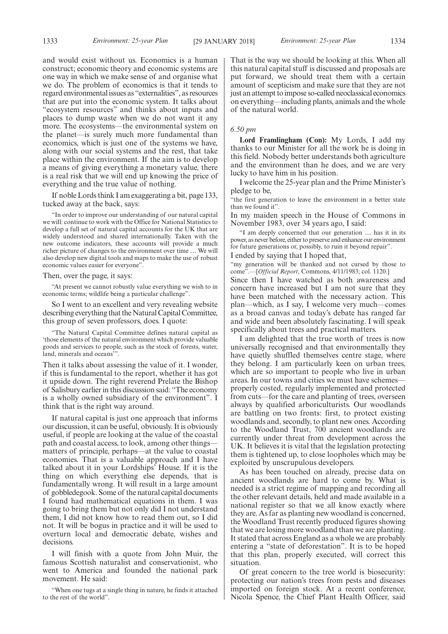and would exist without us. Economics is a human construct; economic theory and economic systems are one way in which we make sense of and organise what we do. The problem of economics is that it tends to regard environmental issues as "externalities", as resources that are put into the economic system. It talks about "ecosystem resources" and thinks about inputs and places to dump waste when we do not want it any more. The ecosystems—the environmental system on the planet—is surely much more fundamental than economics, which is just one of the systems we have, along with our social systems and the rest, that take place within the environment. If the aim is to develop a means of giving everything a monetary value, there is a real risk that we will end up knowing the price of everything and the true value of nothing.

If noble Lords think I am exaggerating a bit, page 133, tucked away at the back, says:

"In order to improve our understanding of our natural capital we will: continue to work with the Office for National Statistics to develop a full set of natural capital accounts for the UK that are widely understood and shared internationally. Taken with the new outcome indicators, these accounts will provide a much richer picture of changes to the environment over time … We will also develop new digital tools and maps to make the use of robust economic values easier for everyone".

#### Then, over the page, it says:

"At present we cannot robustly value everything we wish to in economic terms; wildlife being a particular challenge".

So I went to an excellent and very revealing website describing everything that the Natural Capital Committee, this group of seven professors, does. I quote:

"The Natural Capital Committee defines natural capital as 'those elements of the natural environment which provide valuable goods and services to people, such as the stock of forests, water, land, minerals and oceans"

Then it talks about assessing the value of it. I wonder, if this is fundamental to the report, whether it has got it upside down. The right reverend Prelate the Bishop of Salisbury earlier in this discussion said: "The economy is a wholly owned subsidiary of the environment". I think that is the right way around.

If natural capital is just one approach that informs our discussion, it can be useful, obviously. It is obviously useful, if people are looking at the value of the coastal path and coastal access, to look, among other things matters of principle, perhaps—at the value to coastal economies. That is a valuable approach and I have talked about it in your Lordships' House. If it is the thing on which everything else depends, that is fundamentally wrong. It will result in a large amount of gobbledegook. Some of the natural capital documents I found had mathematical equations in them. I was going to bring them but not only did I not understand them, I did not know how to read them out, so I did not. It will be bogus in practice and it will be used to overturn local and democratic debate, wishes and decisions.

I will finish with a quote from John Muir, the famous Scottish naturalist and conservationist, who went to America and founded the national park movement. He said:

"When one tugs at a single thing in nature, he finds it attached to the rest of the world".

That is the way we should be looking at this. When all this natural capital stuff is discussed and proposals are put forward, we should treat them with a certain amount of scepticism and make sure that they are not just an attempt to impose so-called neoclassical economics on everything—including plants, animals and the whole of the natural world.

#### *6.50 pm*

**Lord Framlingham (Con):** My Lords, I add my thanks to our Minister for all the work he is doing in this field. Nobody better understands both agriculture and the environment than he does, and we are very lucky to have him in his position.

I welcome the 25-year plan and the Prime Minister's pledge to be,

"the first generation to leave the environment in a better state than we found it".

In my maiden speech in the House of Commons in November 1983, over 34 years ago, I said:

"I am deeply concerned that our generation … has it in its power, as never before, either to preserve and enhance our environment for future generations or, possibly, to ruin it beyond repair". I ended by saying that I hoped that,

"my generation will be thanked and not cursed by those to come".—[*Official Report*, Commons, 4/11/1983; col. 1120.]

Since then I have watched as both awareness and concern have increased but I am not sure that they have been matched with the necessary action. This plan—which, as I say, I welcome very much—comes as a broad canvas and today's debate has ranged far and wide and been absolutely fascinating. I will speak specifically about trees and practical matters.

I am delighted that the true worth of trees is now universally recognised and that environmentally they have quietly shuffled themselves centre stage, where they belong. I am particularly keen on urban trees, which are so important to people who live in urban areas. In our towns and cities we must have schemes properly costed, regularly implemented and protected from cuts—for the care and planting of trees, overseen always by qualified arboriculturists. Our woodlands are battling on two fronts: first, to protect existing woodlands and, secondly, to plant new ones. According to the Woodland Trust, 700 ancient woodlands are currently under threat from development across the UK. It believes it is vital that the legislation protecting them is tightened up, to close loopholes which may be exploited by unscrupulous developers.

As has been touched on already, precise data on ancient woodlands are hard to come by. What is needed is a strict regime of mapping and recording all the other relevant details, held and made available in a national register so that we all know exactly where they are. As far as planting new woodland is concerned, the Woodland Trust recently produced figures showing that we are losing more woodland than we are planting. It stated that across England as a whole we are probably entering a "state of deforestation". It is to be hoped that this plan, properly executed, will correct this situation.

Of great concern to the tree world is biosecurity: protecting our nation's trees from pests and diseases imported on foreign stock. At a recent conference, Nicola Spence, the Chief Plant Health Officer, said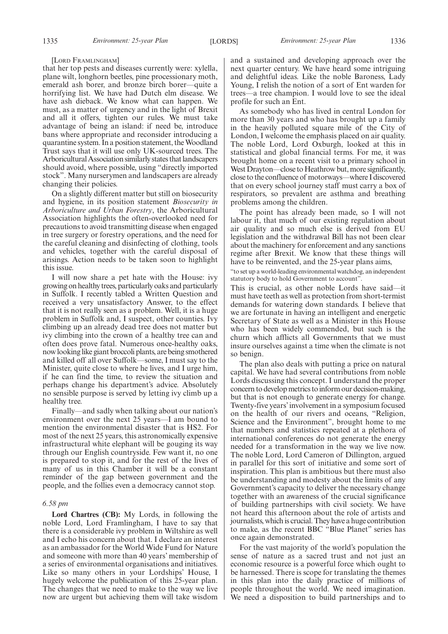#### [LORD FRAMLINGHAM]

that her top pests and diseases currently were: xylella, plane wilt, longhorn beetles, pine processionary moth, emerald ash borer, and bronze birch borer—quite a horrifying list. We have had Dutch elm disease. We have ash dieback. We know what can happen. We must, as a matter of urgency and in the light of Brexit and all it offers, tighten our rules. We must take advantage of being an island: if need be, introduce bans where appropriate and reconsider introducing a quarantine system. In a position statement, the Woodland Trust says that it will use only UK-sourced trees. The Arboricultural Association similarly states that landscapers should avoid, where possible, using "directly imported stock". Many nurserymen and landscapers are already changing their policies.

On a slightly different matter but still on biosecurity and hygiene, in its position statement *Biosecurity in Arboriculture and Urban Forestry*, the Arboricultural Association highlights the often-overlooked need for precautions to avoid transmitting disease when engaged in tree surgery or forestry operations, and the need for the careful cleaning and disinfecting of clothing, tools and vehicles, together with the careful disposal of arisings. Action needs to be taken soon to highlight this issue.

I will now share a pet hate with the House: ivy growing on healthy trees, particularly oaks and particularly in Suffolk. I recently tabled a Written Question and received a very unsatisfactory Answer, to the effect that it is not really seen as a problem. Well, it is a huge problem in Suffolk and, I suspect, other counties. Ivy climbing up an already dead tree does not matter but ivy climbing into the crown of a healthy tree can and often does prove fatal. Numerous once-healthy oaks, now looking like giant broccoli plants, are being smothered and killed off all over Suffolk—some, I must say to the Minister, quite close to where he lives, and I urge him, if he can find the time, to review the situation and perhaps change his department's advice. Absolutely no sensible purpose is served by letting ivy climb up a healthy tree.

Finally—and sadly when talking about our nation's environment over the next 25 years—I am bound to mention the environmental disaster that is HS2. For most of the next 25 years, this astronomically expensive infrastructural white elephant will be gouging its way through our English countryside. Few want it, no one is prepared to stop it, and for the rest of the lives of many of us in this Chamber it will be a constant reminder of the gap between government and the people, and the follies even a democracy cannot stop.

#### *6.58 pm*

**Lord Chartres (CB):** My Lords, in following the noble Lord, Lord Framlingham, I have to say that there is a considerable ivy problem in Wiltshire as well and I echo his concern about that. I declare an interest as an ambassador for the World Wide Fund for Nature and someone with more than 40 years' membership of a series of environmental organisations and initiatives. Like so many others in your Lordships' House, I hugely welcome the publication of this 25-year plan. The changes that we need to make to the way we live now are urgent but achieving them will take wisdom and a sustained and developing approach over the next quarter century. We have heard some intriguing and delightful ideas. Like the noble Baroness, Lady Young, I relish the notion of a sort of Ent warden for trees—a tree champion. I would love to see the ideal profile for such an Ent.

As somebody who has lived in central London for more than 30 years and who has brought up a family in the heavily polluted square mile of the City of London, I welcome the emphasis placed on air quality. The noble Lord, Lord Oxburgh, looked at this in statistical and global financial terms. For me, it was brought home on a recent visit to a primary school in West Drayton—close to Heathrow but, more significantly, close to the confluence of motorways—where I discovered that on every school journey staff must carry a box of respirators, so prevalent are asthma and breathing problems among the children.

The point has already been made, so I will not labour it, that much of our existing regulation about air quality and so much else is derived from EU legislation and the withdrawal Bill has not been clear about the machinery for enforcement and any sanctions regime after Brexit. We know that these things will have to be reinvented, and the 25-year plans aims,

"to set up a world-leading environmental watchdog, an independent statutory body to hold Government to account".

This is crucial, as other noble Lords have said—it must have teeth as well as protection from short-termist demands for watering down standards. I believe that we are fortunate in having an intelligent and energetic Secretary of State as well as a Minister in this House who has been widely commended, but such is the churn which afflicts all Governments that we must insure ourselves against a time when the climate is not so benign.

The plan also deals with putting a price on natural capital. We have had several contributions from noble Lords discussing this concept. I understand the proper concern to develop metrics to inform our decision-making, but that is not enough to generate energy for change. Twenty-five years' involvement in a symposium focused on the health of our rivers and oceans, "Religion, Science and the Environment", brought home to me that numbers and statistics repeated at a plethora of international conferences do not generate the energy needed for a transformation in the way we live now. The noble Lord, Lord Cameron of Dillington, argued in parallel for this sort of initiative and some sort of inspiration. This plan is ambitious but there must also be understanding and modesty about the limits of any Government's capacity to deliver the necessary change together with an awareness of the crucial significance of building partnerships with civil society. We have not heard this afternoon about the role of artists and journalists, which is crucial. They have a huge contribution to make, as the recent BBC "Blue Planet" series has once again demonstrated.

For the vast majority of the world's population the sense of nature as a sacred trust and not just an economic resource is a powerful force which ought to be harnessed. There is scope for translating the themes in this plan into the daily practice of millions of people throughout the world. We need imagination. We need a disposition to build partnerships and to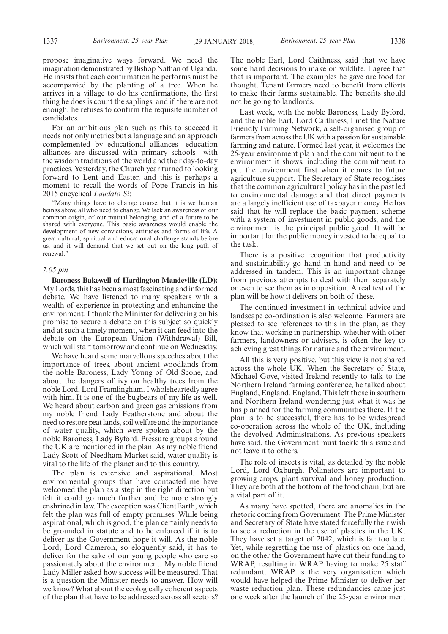propose imaginative ways forward. We need the imagination demonstrated by Bishop Nathan of Uganda. He insists that each confirmation he performs must be accompanied by the planting of a tree. When he arrives in a village to do his confirmations, the first thing he does is count the saplings, and if there are not enough, he refuses to confirm the requisite number of candidates.

For an ambitious plan such as this to succeed it needs not only metrics but a language and an approach complemented by educational alliances—education alliances are discussed with primary schools—with the wisdom traditions of the world and their day-to-day practices. Yesterday, the Church year turned to looking forward to Lent and Easter, and this is perhaps a moment to recall the words of Pope Francis in his 2015 encyclical *Laudato Si*:

"Many things have to change course, but it is we human beings above all who need to change. We lack an awareness of our common origin, of our mutual belonging, and of a future to be shared with everyone. This basic awareness would enable the development of new convictions, attitudes and forms of life. A great cultural, spiritual and educational challenge stands before us, and it will demand that we set out on the long path of renewal."

#### *7.05 pm*

**Baroness Bakewell of Hardington Mandeville (LD):** My Lords, this has been a most fascinating and informed debate. We have listened to many speakers with a wealth of experience in protecting and enhancing the environment. I thank the Minister for delivering on his promise to secure a debate on this subject so quickly and at such a timely moment, when it can feed into the debate on the European Union (Withdrawal) Bill, which will start tomorrow and continue on Wednesday.

We have heard some marvellous speeches about the importance of trees, about ancient woodlands from the noble Baroness, Lady Young of Old Scone, and about the dangers of ivy on healthy trees from the noble Lord, Lord Framlingham. I wholeheartedly agree with him. It is one of the bugbears of my life as well. We heard about carbon and green gas emissions from my noble friend Lady Featherstone and about the need to restore peat lands, soil welfare and the importance of water quality, which were spoken about by the noble Baroness, Lady Byford. Pressure groups around the UK are mentioned in the plan. As my noble friend Lady Scott of Needham Market said, water quality is vital to the life of the planet and to this country.

The plan is extensive and aspirational. Most environmental groups that have contacted me have welcomed the plan as a step in the right direction but felt it could go much further and be more strongly enshrined in law. The exception was ClientEarth, which felt the plan was full of empty promises. While being aspirational, which is good, the plan certainly needs to be grounded in statute and to be enforced if it is to deliver as the Government hope it will. As the noble Lord, Lord Cameron, so eloquently said, it has to deliver for the sake of our young people who care so passionately about the environment. My noble friend Lady Miller asked how success will be measured. That is a question the Minister needs to answer. How will we know? What about the ecologically coherent aspects of the plan that have to be addressed across all sectors?

The noble Earl, Lord Caithness, said that we have some hard decisions to make on wildlife. I agree that that is important. The examples he gave are food for thought. Tenant farmers need to benefit from efforts to make their farms sustainable. The benefits should not be going to landlords.

Last week, with the noble Baroness, Lady Byford, and the noble Earl, Lord Caithness, I met the Nature Friendly Farming Network, a self-organised group of farmers from across the UK with a passion for sustainable farming and nature. Formed last year, it welcomes the 25-year environment plan and the commitment to the environment it shows, including the commitment to put the environment first when it comes to future agriculture support. The Secretary of State recognises that the common agricultural policy has in the past led to environmental damage and that direct payments are a largely inefficient use of taxpayer money. He has said that he will replace the basic payment scheme with a system of investment in public goods, and the environment is the principal public good. It will be important for the public money invested to be equal to the task.

There is a positive recognition that productivity and sustainability go hand in hand and need to be addressed in tandem. This is an important change from previous attempts to deal with them separately or even to see them as in opposition. A real test of the plan will be how it delivers on both of these.

The continued investment in technical advice and landscape co-ordination is also welcome. Farmers are pleased to see references to this in the plan, as they know that working in partnership, whether with other farmers, landowners or advisers, is often the key to achieving great things for nature and the environment.

All this is very positive, but this view is not shared across the whole UK. When the Secretary of State, Michael Gove, visited Ireland recently to talk to the Northern Ireland farming conference, he talked about England, England, England. This left those in southern and Northern Ireland wondering just what it was he has planned for the farming communities there. If the plan is to be successful, there has to be widespread co-operation across the whole of the UK, including the devolved Administrations. As previous speakers have said, the Government must tackle this issue and not leave it to others.

The role of insects is vital, as detailed by the noble Lord, Lord Oxburgh. Pollinators are important to growing crops, plant survival and honey production. They are both at the bottom of the food chain, but are a vital part of it.

As many have spotted, there are anomalies in the rhetoric coming from Government. The Prime Minister and Secretary of State have stated forcefully their wish to see a reduction in the use of plastics in the UK. They have set a target of 2042, which is far too late. Yet, while regretting the use of plastics on one hand, on the other the Government have cut their funding to WRAP, resulting in WRAP having to make 25 staff redundant. WRAP is the very organisation which would have helped the Prime Minister to deliver her waste reduction plan. These redundancies came just one week after the launch of the 25-year environment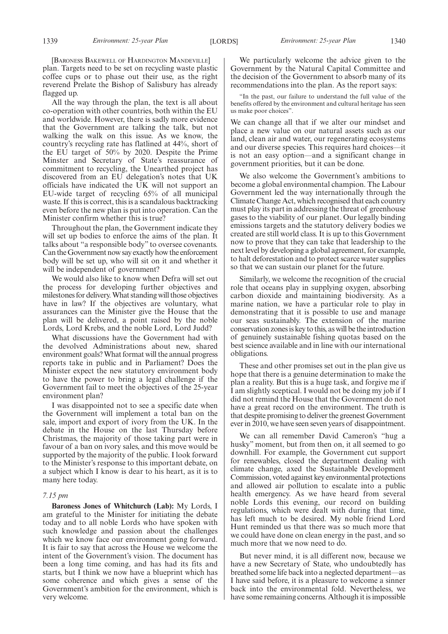[BARONESS BAKEWELL OF HARDINGTON MANDEVILLE] plan. Targets need to be set on recycling waste plastic coffee cups or to phase out their use, as the right reverend Prelate the Bishop of Salisbury has already flagged up.

All the way through the plan, the text is all about co-operation with other countries, both within the EU and worldwide. However, there is sadly more evidence that the Government are talking the talk, but not walking the walk on this issue. As we know, the country's recycling rate has flatlined at 44%, short of the EU target of 50% by 2020. Despite the Prime Minster and Secretary of State's reassurance of commitment to recycling, the Unearthed project has discovered from an EU delegation's notes that UK officials have indicated the UK will not support an EU-wide target of recycling 65% of all municipal waste. If this is correct, this is a scandalous backtracking even before the new plan is put into operation. Can the Minister confirm whether this is true?

Throughout the plan, the Government indicate they will set up bodies to enforce the aims of the plan. It talks about "a responsible body" to oversee covenants. Can the Government now say exactly how the enforcement body will be set up, who will sit on it and whether it will be independent of government?

We would also like to know when Defra will set out the process for developing further objectives and milestones for delivery. What standing will those objectives have in law? If the objectives are voluntary, what assurances can the Minister give the House that the plan will be delivered, a point raised by the noble Lords, Lord Krebs, and the noble Lord, Lord Judd?

What discussions have the Government had with the devolved Administrations about new, shared environment goals? What format will the annual progress reports take in public and in Parliament? Does the Minister expect the new statutory environment body to have the power to bring a legal challenge if the Government fail to meet the objectives of the 25-year environment plan?

I was disappointed not to see a specific date when the Government will implement a total ban on the sale, import and export of ivory from the UK. In the debate in the House on the last Thursday before Christmas, the majority of those taking part were in favour of a ban on ivory sales, and this move would be supported by the majority of the public. I look forward to the Minister's response to this important debate, on a subject which I know is dear to his heart, as it is to many here today.

#### *7.15 pm*

**Baroness Jones of Whitchurch (Lab):** My Lords, I am grateful to the Minister for initiating the debate today and to all noble Lords who have spoken with such knowledge and passion about the challenges which we know face our environment going forward. It is fair to say that across the House we welcome the intent of the Government's vision. The document has been a long time coming, and has had its fits and starts, but I think we now have a blueprint which has some coherence and which gives a sense of the Government's ambition for the environment, which is very welcome.

We particularly welcome the advice given to the Government by the Natural Capital Committee and the decision of the Government to absorb many of its recommendations into the plan. As the report says:

"In the past, our failure to understand the full value of the benefits offered by the environment and cultural heritage has seen us make poor choices".

We can change all that if we alter our mindset and place a new value on our natural assets such as our land, clean air and water, our regenerating ecosystems and our diverse species. This requires hard choices—it is not an easy option—and a significant change in government priorities, but it can be done.

We also welcome the Government's ambitions to become a global environmental champion. The Labour Government led the way internationally through the Climate Change Act, which recognised that each country must play its part in addressing the threat of greenhouse gases to the viability of our planet. Our legally binding emissions targets and the statutory delivery bodies we created are still world class. It is up to this Government now to prove that they can take that leadership to the next level by developing a global agreement, for example, to halt deforestation and to protect scarce water supplies so that we can sustain our planet for the future.

Similarly, we welcome the recognition of the crucial role that oceans play in supplying oxygen, absorbing carbon dioxide and maintaining biodiversity. As a marine nation, we have a particular role to play in demonstrating that it is possible to use and manage our seas sustainably. The extension of the marine conservation zones is key to this, as will be the introduction of genuinely sustainable fishing quotas based on the best science available and in line with our international obligations.

These and other promises set out in the plan give us hope that there is a genuine determination to make the plan a reality. But this is a huge task, and forgive me if I am slightly sceptical. I would not be doing my job if I did not remind the House that the Government do not have a great record on the environment. The truth is that despite promising to deliver the greenest Government ever in 2010, we have seen seven years of disappointment.

We can all remember David Cameron's "hug a husky" moment, but from then on, it all seemed to go downhill. For example, the Government cut support for renewables, closed the department dealing with climate change, axed the Sustainable Development Commission, voted against key environmental protections and allowed air pollution to escalate into a public health emergency. As we have heard from several noble Lords this evening, our record on building regulations, which were dealt with during that time, has left much to be desired. My noble friend Lord Hunt reminded us that there was so much more that we could have done on clean energy in the past, and so much more that we now need to do.

But never mind, it is all different now, because we have a new Secretary of State, who undoubtedly has breathed some life back into a neglected department—as I have said before, it is a pleasure to welcome a sinner back into the environmental fold. Nevertheless, we have some remaining concerns. Although it is impossible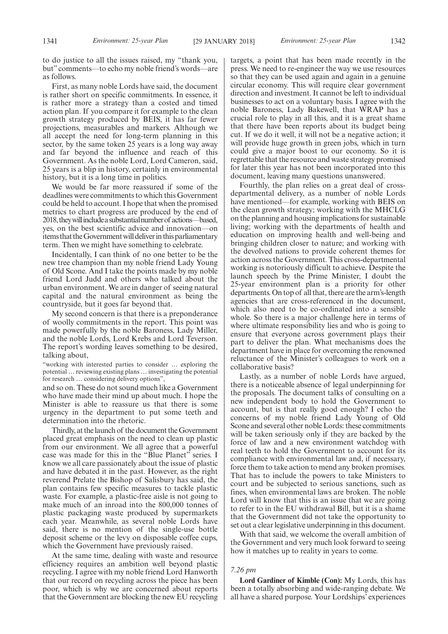to do justice to all the issues raised, my "thank you, but" comments—to echo my noble friend's words—are as follows.

First, as many noble Lords have said, the document is rather short on specific commitments. In essence, it is rather more a strategy than a costed and timed action plan. If you compare it for example to the clean growth strategy produced by BEIS, it has far fewer projections, measurables and markers. Although we all accept the need for long-term planning in this sector, by the same token 25 years is a long way away and far beyond the influence and reach of this Government. As the noble Lord, Lord Cameron, said, 25 years is a blip in history, certainly in environmental history, but it is a long time in politics.

We would be far more reassured if some of the deadlines were commitments to which this Government could be held to account. I hope that when the promised metrics to chart progress are produced by the end of 2018,theywillincludeasubstantialnumberof actions—based, yes, on the best scientific advice and innovation—on items that the Government will deliver in this parliamentary term. Then we might have something to celebrate.

Incidentally, I can think of no one better to be the new tree champion than my noble friend Lady Young of Old Scone. And I take the points made by my noble friend Lord Judd and others who talked about the urban environment. We are in danger of seeing natural capital and the natural environment as being the countryside, but it goes far beyond that.

My second concern is that there is a preponderance of woolly commitments in the report. This point was made powerfully by the noble Baroness, Lady Miller, and the noble Lords, Lord Krebs and Lord Teverson. The report's wording leaves something to be desired, talking about,

"working with interested parties to consider … exploring the potential … reviewing existing plans … investigating the potential for research … considering delivery options",

and so on. These do not sound much like a Government who have made their mind up about much. I hope the Minister is able to reassure us that there is some urgency in the department to put some teeth and determination into the rhetoric.

Thirdly, at the launch of the document the Government placed great emphasis on the need to clean up plastic from our environment. We all agree that a powerful case was made for this in the "Blue Planet" series. I know we all care passionately about the issue of plastic and have debated it in the past. However, as the right reverend Prelate the Bishop of Salisbury has said, the plan contains few specific measures to tackle plastic waste. For example, a plastic-free aisle is not going to make much of an inroad into the 800,000 tonnes of plastic packaging waste produced by supermarkets each year. Meanwhile, as several noble Lords have said, there is no mention of the single-use bottle deposit scheme or the levy on disposable coffee cups, which the Government have previously raised.

At the same time, dealing with waste and resource efficiency requires an ambition well beyond plastic recycling. I agree with my noble friend Lord Hanworth that our record on recycling across the piece has been poor, which is why we are concerned about reports that the Government are blocking the new EU recycling targets, a point that has been made recently in the press. We need to re-engineer the way we use resources so that they can be used again and again in a genuine circular economy. This will require clear government direction and investment. It cannot be left to individual businesses to act on a voluntary basis. I agree with the noble Baroness, Lady Bakewell, that WRAP has a crucial role to play in all this, and it is a great shame that there have been reports about its budget being cut. If we do it well, it will not be a negative action; it will provide huge growth in green jobs, which in turn could give a major boost to our economy. So it is regrettable that the resource and waste strategy promised for later this year has not been incorporated into this document, leaving many questions unanswered.

Fourthly, the plan relies on a great deal of crossdepartmental delivery, as a number of noble Lords have mentioned—for example, working with BEIS on the clean growth strategy; working with the MHCLG on the planning and housing implications for sustainable living; working with the departments of health and education on improving health and well-being and bringing children closer to nature; and working with the devolved nations to provide coherent themes for action across the Government. This cross-departmental working is notoriously difficult to achieve. Despite the launch speech by the Prime Minister, I doubt the 25-year environment plan is a priority for other departments. On top of all that, there are the arm's-length agencies that are cross-referenced in the document, which also need to be co-ordinated into a sensible whole. So there is a major challenge here in terms of where ultimate responsibility lies and who is going to ensure that everyone across government plays their part to deliver the plan. What mechanisms does the department have in place for overcoming the renowned reluctance of the Minister's colleagues to work on a collaborative basis?

Lastly, as a number of noble Lords have argued, there is a noticeable absence of legal underpinning for the proposals. The document talks of consulting on a new independent body to hold the Government to account, but is that really good enough? I echo the concerns of my noble friend Lady Young of Old Scone and several other noble Lords: these commitments will be taken seriously only if they are backed by the force of law and a new environment watchdog with real teeth to hold the Government to account for its compliance with environmental law and, if necessary, force them to take action to mend any broken promises. That has to include the powers to take Ministers to court and be subjected to serious sanctions, such as fines, when environmental laws are broken. The noble Lord will know that this is an issue that we are going to refer to in the EU withdrawal Bill, but it is a shame that the Government did not take the opportunity to set out a clear legislative underpinning in this document.

With that said, we welcome the overall ambition of the Government and very much look forward to seeing how it matches up to reality in years to come.

#### *7.26 pm*

**Lord Gardiner of Kimble (Con):** My Lords, this has been a totally absorbing and wide-ranging debate. We all have a shared purpose. Your Lordships' experiences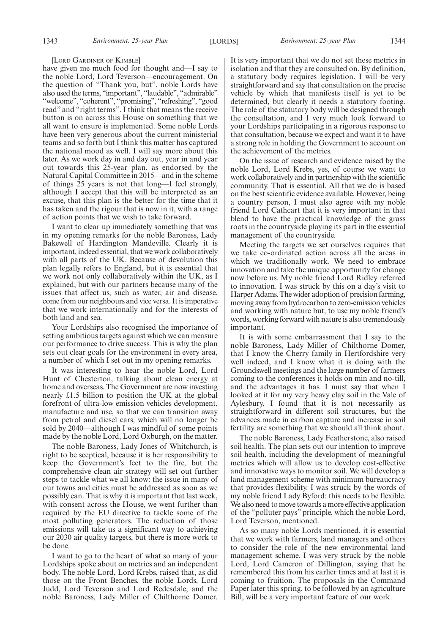#### [LORD GARDINER OF KIMBLE]

have given me much food for thought and—I say to the noble Lord, Lord Teverson—encouragement. On the question of "Thank you, but", noble Lords have also used the terms, "important", "laudable", "admirable" "welcome", "coherent", "promising", "refreshing", "good read" and "right terms". I think that means the receive button is on across this House on something that we all want to ensure is implemented. Some noble Lords have been very generous about the current ministerial teams and so forth but I think this matter has captured the national mood as well. I will say more about this later. As we work day in and day out, year in and year out towards this 25-year plan, as endorsed by the Natural Capital Committee in 2015—and in the scheme of things 25 years is not that long—I feel strongly, although I accept that this will be interpreted as an excuse, that this plan is the better for the time that it has taken and the rigour that is now in it, with a range of action points that we wish to take forward.

I want to clear up immediately something that was in my opening remarks for the noble Baroness, Lady Bakewell of Hardington Mandeville. Clearly it is important, indeed essential, that we work collaboratively with all parts of the UK. Because of devolution this plan legally refers to England, but it is essential that we work not only collaboratively within the UK, as I explained, but with our partners because many of the issues that affect us, such as water, air and disease, come from our neighbours and vice versa. It is imperative that we work internationally and for the interests of both land and sea.

Your Lordships also recognised the importance of setting ambitious targets against which we can measure our performance to drive success. This is why the plan sets out clear goals for the environment in every area, a number of which I set out in my opening remarks.

It was interesting to hear the noble Lord, Lord Hunt of Chesterton, talking about clean energy at home and overseas. The Government are now investing nearly £1.5 billion to position the UK at the global forefront of ultra-low emission vehicles development, manufacture and use, so that we can transition away from petrol and diesel cars, which will no longer be sold by 2040—although I was mindful of some points made by the noble Lord, Lord Oxburgh, on the matter.

The noble Baroness, Lady Jones of Whitchurch, is right to be sceptical, because it is her responsibility to keep the Government's feet to the fire, but the comprehensive clean air strategy will set out further steps to tackle what we all know: the issue in many of our towns and cities must be addressed as soon as we possibly can. That is why it is important that last week, with consent across the House, we went further than required by the EU directive to tackle some of the most polluting generators. The reduction of those emissions will take us a significant way to achieving our 2030 air quality targets, but there is more work to be done.

I want to go to the heart of what so many of your Lordships spoke about on metrics and an independent body. The noble Lord, Lord Krebs, raised that, as did those on the Front Benches, the noble Lords, Lord Judd, Lord Teverson and Lord Redesdale, and the noble Baroness, Lady Miller of Chilthorne Domer. It is very important that we do not set these metrics in isolation and that they are consulted on. By definition, a statutory body requires legislation. I will be very straightforward and say that consultation on the precise vehicle by which that manifests itself is yet to be determined, but clearly it needs a statutory footing. The role of the statutory body will be designed through the consultation, and I very much look forward to your Lordships participating in a rigorous response to that consultation, because we expect and want it to have a strong role in holding the Government to account on the achievement of the metrics.

On the issue of research and evidence raised by the noble Lord, Lord Krebs, yes, of course we want to work collaboratively and in partnership with the scientific community. That is essential. All that we do is based on the best scientific evidence available. However, being a country person, I must also agree with my noble friend Lord Cathcart that it is very important in that blend to have the practical knowledge of the grass roots in the countryside playing its part in the essential management of the countryside.

Meeting the targets we set ourselves requires that we take co-ordinated action across all the areas in which we traditionally work. We need to embrace innovation and take the unique opportunity for change now before us. My noble friend Lord Ridley referred to innovation. I was struck by this on a day's visit to Harper Adams. The wider adoption of precision farming, moving away from hydrocarbon to zero-emission vehicles and working with nature but, to use my noble friend's words, working forward with nature is also tremendously important.

It is with some embarrassment that I say to the noble Baroness, Lady Miller of Chilthorne Domer, that I know the Cherry family in Hertfordshire very well indeed, and I know what it is doing with the Groundswell meetings and the large number of farmers coming to the conferences it holds on min and no-till, and the advantages it has. I must say that when I looked at it for my very heavy clay soil in the Vale of Aylesbury, I found that it is not necessarily as straightforward in different soil structures, but the advances made in carbon capture and increase in soil fertility are something that we should all think about.

The noble Baroness, Lady Featherstone, also raised soil health. The plan sets out our intention to improve soil health, including the development of meaningful metrics which will allow us to develop cost-effective and innovative ways to monitor soil. We will develop a land management scheme with minimum bureaucracy that provides flexibility. I was struck by the words of my noble friend Lady Byford: this needs to be flexible. We also need to move towards a more effective application of the "polluter pays" principle, which the noble Lord, Lord Teverson, mentioned.

As so many noble Lords mentioned, it is essential that we work with farmers, land managers and others to consider the role of the new environmental land management scheme. I was very struck by the noble Lord, Lord Cameron of Dillington, saying that he remembered this from his earlier times and at last it is coming to fruition. The proposals in the Command Paper later this spring, to be followed by an agriculture Bill, will be a very important feature of our work.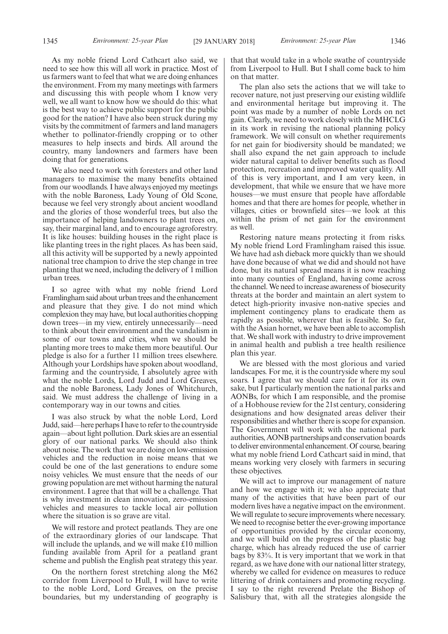As my noble friend Lord Cathcart also said, we need to see how this will all work in practice. Most of us farmers want to feel that what we are doing enhances the environment. From my many meetings with farmers and discussing this with people whom I know very well, we all want to know how we should do this: what is the best way to achieve public support for the public good for the nation? I have also been struck during my visits by the commitment of farmers and land managers whether to pollinator-friendly cropping or to other measures to help insects and birds. All around the country, many landowners and farmers have been doing that for generations.

We also need to work with foresters and other land managers to maximise the many benefits obtained from our woodlands. I have always enjoyed my meetings with the noble Baroness, Lady Young of Old Scone, because we feel very strongly about ancient woodland and the glories of those wonderful trees, but also the importance of helping landowners to plant trees on, say, their marginal land, and to encourage agroforestry. It is like houses: building houses in the right place is like planting trees in the right places. As has been said, all this activity will be supported by a newly appointed national tree champion to drive the step change in tree planting that we need, including the delivery of 1 million urban trees.

I so agree with what my noble friend Lord Framlingham said about urban trees and the enhancement and pleasure that they give. I do not mind which complexion they may have, but local authorities chopping down trees—in my view, entirely unnecessarily—need to think about their environment and the vandalism in some of our towns and cities, when we should be planting more trees to make them more beautiful. Our pledge is also for a further 11 million trees elsewhere. Although your Lordships have spoken about woodland, farming and the countryside, I absolutely agree with what the noble Lords, Lord Judd and Lord Greaves, and the noble Baroness, Lady Jones of Whitchurch, said. We must address the challenge of living in a contemporary way in our towns and cities.

I was also struck by what the noble Lord, Lord Judd, said—here perhaps I have to refer to the countryside again—about light pollution. Dark skies are an essential glory of our national parks. We should also think about noise. The work that we are doing on low-emission vehicles and the reduction in noise means that we could be one of the last generations to endure some noisy vehicles. We must ensure that the needs of our growing population are met without harming the natural environment. I agree that that will be a challenge. That is why investment in clean innovation, zero-emission vehicles and measures to tackle local air pollution where the situation is so grave are vital.

We will restore and protect peatlands. They are one of the extraordinary glories of our landscape. That will include the uplands, and we will make £10 million funding available from April for a peatland grant scheme and publish the English peat strategy this year.

On the northern forest stretching along the M62 corridor from Liverpool to Hull, I will have to write to the noble Lord, Lord Greaves, on the precise boundaries, but my understanding of geography is that that would take in a whole swathe of countryside from Liverpool to Hull. But I shall come back to him on that matter.

The plan also sets the actions that we will take to recover nature, not just preserving our existing wildlife and environmental heritage but improving it. The point was made by a number of noble Lords on net gain. Clearly, we need to work closely with the MHCLG in its work in revising the national planning policy framework. We will consult on whether requirements for net gain for biodiversity should be mandated; we shall also expand the net gain approach to include wider natural capital to deliver benefits such as flood protection, recreation and improved water quality. All of this is very important, and I am very keen, in development, that while we ensure that we have more houses—we must ensure that people have affordable homes and that there are homes for people, whether in villages, cities or brownfield sites—we look at this within the prism of net gain for the environment as well.

Restoring nature means protecting it from risks. My noble friend Lord Framlingham raised this issue. We have had ash dieback more quickly than we should have done because of what we did and should not have done, but its natural spread means it is now reaching into many counties of England, having come across the channel. We need to increase awareness of biosecurity threats at the border and maintain an alert system to detect high-priority invasive non-native species and implement contingency plans to eradicate them as rapidly as possible, wherever that is feasible. So far, with the Asian hornet, we have been able to accomplish that. We shall work with industry to drive improvement in animal health and publish a tree health resilience plan this year.

We are blessed with the most glorious and varied landscapes. For me, it is the countryside where my soul soars. I agree that we should care for it for its own sake, but I particularly mention the national parks and AONBs, for which I am responsible, and the promise of a Hobhouse review for the 21st century, considering designations and how designated areas deliver their responsibilities and whether there is scope for expansion. The Government will work with the national park authorities, AONB partnerships and conservation boards to deliver environmental enhancement. Of course, bearing what my noble friend Lord Cathcart said in mind, that means working very closely with farmers in securing these objectives.

We will act to improve our management of nature and how we engage with it; we also appreciate that many of the activities that have been part of our modern lives have a negative impact on the environment. We will regulate to secure improvements where necessary. We need to recognise better the ever-growing importance of opportunities provided by the circular economy, and we will build on the progress of the plastic bag charge, which has already reduced the use of carrier bags by 83%. It is very important that we work in that regard, as we have done with our national litter strategy, whereby we called for evidence on measures to reduce littering of drink containers and promoting recycling. I say to the right reverend Prelate the Bishop of Salisbury that, with all the strategies alongside the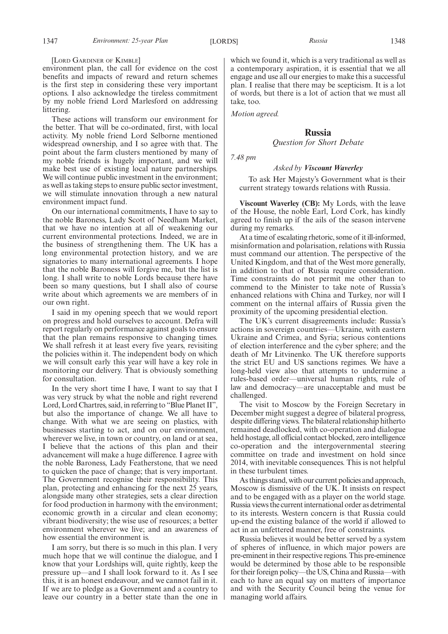#### [LORD GARDINER OF KIMBLE]

environment plan, the call for evidence on the cost benefits and impacts of reward and return schemes is the first step in considering these very important options. I also acknowledge the tireless commitment by my noble friend Lord Marlesford on addressing littering.

These actions will transform our environment for the better. That will be co-ordinated, first, with local activity. My noble friend Lord Selborne mentioned widespread ownership, and I so agree with that. The point about the farm clusters mentioned by many of my noble friends is hugely important, and we will make best use of existing local nature partnerships. We will continue public investment in the environment; as well as taking steps to ensure public sector investment, we will stimulate innovation through a new natural environment impact fund.

On our international commitments, I have to say to the noble Baroness, Lady Scott of Needham Market, that we have no intention at all of weakening our current environmental protections. Indeed, we are in the business of strengthening them. The UK has a long environmental protection history, and we are signatories to many international agreements. I hope that the noble Baroness will forgive me, but the list is long. I shall write to noble Lords because there have been so many questions, but I shall also of course write about which agreements we are members of in our own right.

I said in my opening speech that we would report on progress and hold ourselves to account. Defra will report regularly on performance against goals to ensure that the plan remains responsive to changing times. We shall refresh it at least every five years, revisiting the policies within it. The independent body on which we will consult early this year will have a key role in monitoring our delivery. That is obviously something for consultation.

In the very short time I have, I want to say that I was very struck by what the noble and right reverend Lord, Lord Chartres, said, in referring to "Blue Planet II", but also the importance of change. We all have to change. With what we are seeing on plastics, with businesses starting to act, and on our environment, wherever we live, in town or country, on land or at sea, I believe that the actions of this plan and their advancement will make a huge difference. I agree with the noble Baroness, Lady Featherstone, that we need to quicken the pace of change; that is very important. The Government recognise their responsibility. This plan, protecting and enhancing for the next 25 years, alongside many other strategies, sets a clear direction for food production in harmony with the environment; economic growth in a circular and clean economy; vibrant biodiversity; the wise use of resources; a better environment wherever we live; and an awareness of how essential the environment is.

I am sorry, but there is so much in this plan. I very much hope that we will continue the dialogue, and I know that your Lordships will, quite rightly, keep the pressure up—and I shall look forward to it. As I see this, it is an honest endeavour, and we cannot fail in it. If we are to pledge as a Government and a country to leave our country in a better state than the one in which we found it, which is a very traditional as well as a contemporary aspiration, it is essential that we all engage and use all our energies to make this a successful plan. I realise that there may be scepticism. It is a lot of words, but there is a lot of action that we must all take, too.

*Motion agreed.*

#### **Russia**

#### *Question for Short Debate*

*7.48 pm*

## *Asked by Viscount Waverley*

To ask Her Majesty's Government what is their current strategy towards relations with Russia.

**Viscount Waverley (CB):** My Lords, with the leave of the House, the noble Earl, Lord Cork, has kindly agreed to finish up if the ails of the season intervene during my remarks.

At a time of escalating rhetoric, some of it ill-informed, misinformation and polarisation, relations with Russia must command our attention. The perspective of the United Kingdom, and that of the West more generally, in addition to that of Russia require consideration. Time constraints do not permit me other than to commend to the Minister to take note of Russia's enhanced relations with China and Turkey, nor will I comment on the internal affairs of Russia given the proximity of the upcoming presidential election.

The UK's current disagreements include: Russia's actions in sovereign countries—Ukraine, with eastern Ukraine and Crimea, and Syria; serious contentions of election interference and the cyber sphere; and the death of Mr Litvinenko. The UK therefore supports the strict EU and US sanctions regimes. We have a long-held view also that attempts to undermine a rules-based order—universal human rights, rule of law and democracy—are unacceptable and must be challenged.

The visit to Moscow by the Foreign Secretary in December might suggest a degree of bilateral progress, despite differing views. The bilateral relationship hitherto remained deadlocked, with co-operation and dialogue held hostage, all official contact blocked, zero intelligence co-operation and the intergovernmental steering committee on trade and investment on hold since 2014, with inevitable consequences. This is not helpful in these turbulent times.

As things stand, with our current policies and approach, Moscow is dismissive of the UK. It insists on respect and to be engaged with as a player on the world stage. Russia views the current international order as detrimental to its interests. Western concern is that Russia could up-end the existing balance of the world if allowed to act in an unfettered manner, free of constraints.

Russia believes it would be better served by a system of spheres of influence, in which major powers are pre-eminent in their respective regions. This pre-eminence would be determined by those able to be responsible for their foreign policy—the US, China and Russia—with each to have an equal say on matters of importance and with the Security Council being the venue for managing world affairs.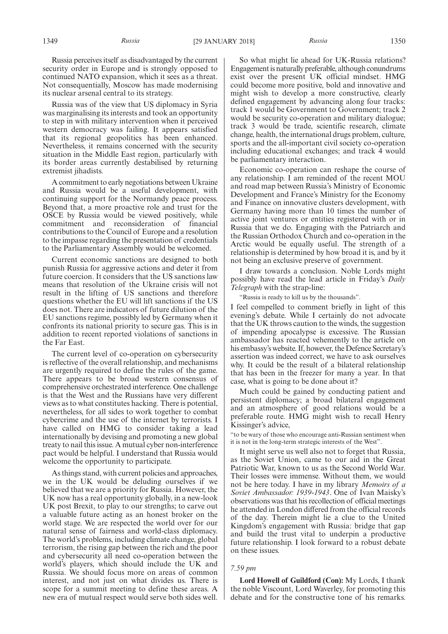Russia perceives itself as disadvantaged by the current security order in Europe and is strongly opposed to continued NATO expansion, which it sees as a threat. Not consequentially, Moscow has made modernising its nuclear arsenal central to its strategy.

Russia was of the view that US diplomacy in Syria was marginalising its interests and took an opportunity to step in with military intervention when it perceived western democracy was failing. It appears satisfied that its regional geopolitics has been enhanced. Nevertheless, it remains concerned with the security situation in the Middle East region, particularly with its border areas currently destabilised by returning extremist jihadists.

A commitment to early negotiations between Ukraine and Russia would be a useful development, with continuing support for the Normandy peace process. Beyond that, a more proactive role and trust for the OSCE by Russia would be viewed positively, while commitment and reconsideration of financial contributions to the Council of Europe and a resolution to the impasse regarding the presentation of credentials to the Parliamentary Assembly would be welcomed.

Current economic sanctions are designed to both punish Russia for aggressive actions and deter it from future coercion. It considers that the US sanctions law means that resolution of the Ukraine crisis will not result in the lifting of US sanctions and therefore questions whether the EU will lift sanctions if the US does not. There are indicators of future dilution of the EU sanctions regime, possibly led by Germany when it confronts its national priority to secure gas. This is in addition to recent reported violations of sanctions in the Far East.

The current level of co-operation on cybersecurity is reflective of the overall relationship, and mechanisms are urgently required to define the rules of the game. There appears to be broad western consensus of comprehensive orchestrated interference. One challenge is that the West and the Russians have very different views as to what constitutes hacking. There is potential, nevertheless, for all sides to work together to combat cybercrime and the use of the internet by terrorists. I have called on HMG to consider taking a lead internationally by devising and promoting a new global treaty to nail this issue. A mutual cyber non-interference pact would be helpful. I understand that Russia would welcome the opportunity to participate.

As things stand, with current policies and approaches, we in the UK would be deluding ourselves if we believed that we are a priority for Russia. However, the UK now has a real opportunity globally, in a new-look UK post Brexit, to play to our strengths; to carve out a valuable future acting as an honest broker on the world stage. We are respected the world over for our natural sense of fairness and world-class diplomacy. The world's problems, including climate change, global terrorism, the rising gap between the rich and the poor and cybersecurity all need co-operation between the world's players, which should include the UK and Russia. We should focus more on areas of common interest, and not just on what divides us. There is scope for a summit meeting to define these areas. A new era of mutual respect would serve both sides well.

So what might lie ahead for UK-Russia relations? Engagement is naturally preferable, although conundrums exist over the present UK official mindset. HMG could become more positive, bold and innovative and might wish to develop a more constructive, clearly defined engagement by advancing along four tracks: track 1 would be Government to Government; track 2 would be security co-operation and military dialogue; track 3 would be trade, scientific research, climate change, health, the international drugs problem, culture, sports and the all-important civil society co-operation including educational exchanges; and track 4 would be parliamentary interaction.

Economic co-operation can reshape the course of any relationship. I am reminded of the recent MOU and road map between Russia's Ministry of Economic Development and France's Ministry for the Economy and Finance on innovative clusters development, with Germany having more than 10 times the number of active joint ventures or entities registered with or in Russia that we do. Engaging with the Patriarch and the Russian Orthodox Church and co-operation in the Arctic would be equally useful. The strength of a relationship is determined by how broad it is, and by it not being an exclusive preserve of government.

I draw towards a conclusion. Noble Lords might possibly have read the lead article in Friday's *Daily Telegraph* with the strap-line:

"Russia is ready to kill us by the thousands".

I feel compelled to comment briefly in light of this evening's debate. While I certainly do not advocate that the UK throws caution to the winds, the suggestion of impending apocalypse is excessive. The Russian ambassador has reacted vehemently to the article on his embassy's website. If, however, the Defence Secretary's assertion was indeed correct, we have to ask ourselves why. It could be the result of a bilateral relationship that has been in the freezer for many a year. In that case, what is going to be done about it?

Much could be gained by conducting patient and persistent diplomacy; a broad bilateral engagement and an atmosphere of good relations would be a preferable route. HMG might wish to recall Henry Kissinger's advice,

"to be wary of those who encourage anti-Russian sentiment when it is not in the long-term strategic interests of the West".

It might serve us well also not to forget that Russia, as the Soviet Union, came to our aid in the Great Patriotic War, known to us as the Second World War. Their losses were immense. Without them, we would not be here today. I have in my library *Memoirs of a Soviet Ambassador: 1939-1943*. One of Ivan Maisky's observations was that his recollection of official meetings he attended in London differed from the official records of the day. Therein might lie a clue to the United Kingdom's engagement with Russia: bridge that gap and build the trust vital to underpin a productive future relationship. I look forward to a robust debate on these issues.

#### *7.59 pm*

**Lord Howell of Guildford (Con):** My Lords, I thank the noble Viscount, Lord Waverley, for promoting this debate and for the constructive tone of his remarks.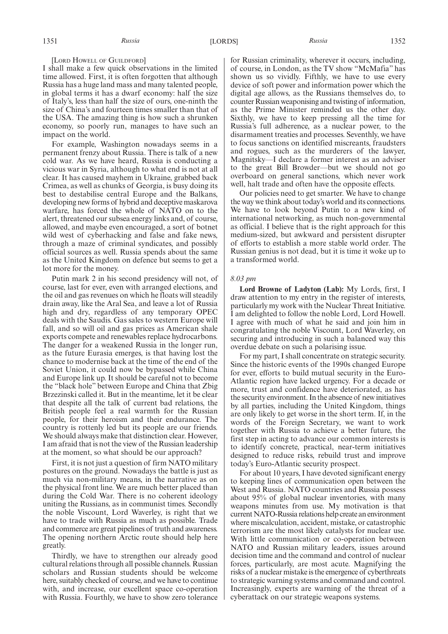#### [LORD HOWELL OF GUILDFORD]

I shall make a few quick observations in the limited time allowed. First, it is often forgotten that although Russia has a huge land mass and many talented people, in global terms it has a dwarf economy: half the size of Italy's, less than half the size of ours, one-ninth the size of China's and fourteen times smaller than that of the USA. The amazing thing is how such a shrunken economy, so poorly run, manages to have such an impact on the world.

For example, Washington nowadays seems in a permanent frenzy about Russia. There is talk of a new cold war. As we have heard, Russia is conducting a vicious war in Syria, although to what end is not at all clear. It has caused mayhem in Ukraine, grabbed back Crimea, as well as chunks of Georgia, is busy doing its best to destabilise central Europe and the Balkans, developing new forms of hybrid and deceptive maskarova warfare, has forced the whole of NATO on to the alert, threatened our subsea energy links and, of course, allowed, and maybe even encouraged, a sort of botnet wild west of cyberhacking and false and fake news, through a maze of criminal syndicates, and possibly official sources as well. Russia spends about the same as the United Kingdom on defence but seems to get a lot more for the money.

Putin mark 2 in his second presidency will not, of course, last for ever, even with arranged elections, and the oil and gas revenues on which he floats will steadily drain away, like the Aral Sea, and leave a lot of Russia high and dry, regardless of any temporary OPEC deals with the Saudis. Gas sales to western Europe will fall, and so will oil and gas prices as American shale exports compete and renewables replace hydrocarbons. The danger for a weakened Russia in the longer run, as the future Eurasia emerges, is that having lost the chance to modernise back at the time of the end of the Soviet Union, it could now be bypassed while China and Europe link up. It should be careful not to become the "black hole" between Europe and China that Zbig Brzezinski called it. But in the meantime, let it be clear that despite all the talk of current bad relations, the British people feel a real warmth for the Russian people, for their heroism and their endurance. The country is rottenly led but its people are our friends. We should always make that distinction clear. However, I am afraid that is not the view of the Russian leadership at the moment, so what should be our approach?

First, it is not just a question of firm NATO military postures on the ground. Nowadays the battle is just as much via non-military means, in the narrative as on the physical front line. We are much better placed than during the Cold War. There is no coherent ideology uniting the Russians, as in communist times. Secondly the noble Viscount, Lord Waverley, is right that we have to trade with Russia as much as possible. Trade and commerce are great pipelines of truth and awareness. The opening northern Arctic route should help here greatly.

Thirdly, we have to strengthen our already good cultural relations through all possible channels. Russian scholars and Russian students should be welcome here, suitably checked of course, and we have to continue with, and increase, our excellent space co-operation with Russia. Fourthly, we have to show zero tolerance for Russian criminality, wherever it occurs, including, of course, in London, as the TV show "McMafia" has shown us so vividly. Fifthly, we have to use every device of soft power and information power which the digital age allows, as the Russians themselves do, to counter Russian weaponising and twisting of information, as the Prime Minister reminded us the other day. Sixthly, we have to keep pressing all the time for Russia's full adherence, as a nuclear power, to the disarmament treaties and processes. Seventhly, we have to focus sanctions on identified miscreants, fraudsters and rogues, such as the murderers of the lawyer, Magnitsky—I declare a former interest as an adviser to the great Bill Browder—but we should not go overboard on general sanctions, which never work well, halt trade and often have the opposite effects.

Our policies need to get smarter. We have to change the way we think about today's world and its connections. We have to look beyond Putin to a new kind of international networking, as much non-governmental as official. I believe that is the right approach for this medium-sized, but awkward and persistent disrupter of efforts to establish a more stable world order. The Russian genius is not dead, but it is time it woke up to a transformed world.

### *8.03 pm*

**Lord Browne of Ladyton (Lab):** My Lords, first, I draw attention to my entry in the register of interests, particularly my work with the Nuclear Threat Initiative. I am delighted to follow the noble Lord, Lord Howell. I agree with much of what he said and join him in congratulating the noble Viscount, Lord Waverley, on securing and introducing in such a balanced way this overdue debate on such a polarising issue.

For my part, I shall concentrate on strategic security. Since the historic events of the 1990s changed Europe for ever, efforts to build mutual security in the Euro-Atlantic region have lacked urgency. For a decade or more, trust and confidence have deteriorated, as has the security environment. In the absence of new initiatives by all parties, including the United Kingdom, things are only likely to get worse in the short term. If, in the words of the Foreign Secretary, we want to work together with Russia to achieve a better future, the first step in acting to advance our common interests is to identify concrete, practical, near-term initiatives designed to reduce risks, rebuild trust and improve today's Euro-Atlantic security prospect.

For about 10 years, I have devoted significant energy to keeping lines of communication open between the West and Russia. NATO countries and Russia possess about 95% of global nuclear inventories, with many weapons minutes from use. My motivation is that current NATO-Russia relations help create an environment where miscalculation, accident, mistake, or catastrophic terrorism are the most likely catalysts for nuclear use. With little communication or co-operation between NATO and Russian military leaders, issues around decision time and the command and control of nuclear forces, particularly, are most acute. Magnifying the risks of a nuclear mistake is the emergence of cyberthreats to strategic warning systems and command and control. Increasingly, experts are warning of the threat of a cyberattack on our strategic weapons systems.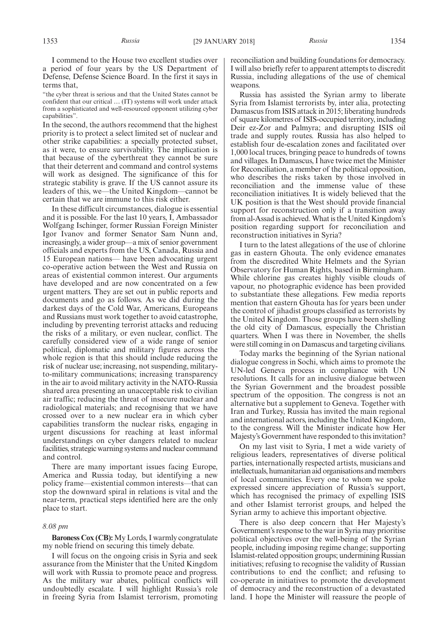I commend to the House two excellent studies over a period of four years by the US Department of Defense, Defense Science Board. In the first it says in terms that,

"the cyber threat is serious and that the United States cannot be confident that our critical … (IT) systems will work under attack from a sophisticated and well-resourced opponent utilizing cyber capabilities".

In the second, the authors recommend that the highest priority is to protect a select limited set of nuclear and other strike capabilities: a specially protected subset, as it were, to ensure survivability. The implication is that because of the cyberthreat they cannot be sure that their deterrent and command and control systems will work as designed. The significance of this for strategic stability is grave. If the US cannot assure its leaders of this, we—the United Kingdom—cannot be certain that we are immune to this risk either.

In these difficult circumstances, dialogue is essential and it is possible. For the last 10 years, I, Ambassador Wolfgang Ischinger, former Russian Foreign Minister Igor Ivanov and former Senator Sam Nunn and, increasingly, a wider group—a mix of senior government officials and experts from the US, Canada, Russia and 15 European nations— have been advocating urgent co-operative action between the West and Russia on areas of existential common interest. Our arguments have developed and are now concentrated on a few urgent matters. They are set out in public reports and documents and go as follows. As we did during the darkest days of the Cold War, Americans, Europeans and Russians must work together to avoid catastrophe, including by preventing terrorist attacks and reducing the risks of a military, or even nuclear, conflict. The carefully considered view of a wide range of senior political, diplomatic and military figures across the whole region is that this should include reducing the risk of nuclear use; increasing, not suspending, militaryto-military communications; increasing transparency in the air to avoid military activity in the NATO-Russia shared area presenting an unacceptable risk to civilian air traffic; reducing the threat of insecure nuclear and radiological materials; and recognising that we have crossed over to a new nuclear era in which cyber capabilities transform the nuclear risks, engaging in urgent discussions for reaching at least informal understandings on cyber dangers related to nuclear facilities, strategic warning systems and nuclear command and control.

There are many important issues facing Europe, America and Russia today, but identifying a new policy frame—existential common interests—that can stop the downward spiral in relations is vital and the near-term, practical steps identified here are the only place to start.

## *8.08 pm*

**Baroness Cox (CB):** My Lords, I warmly congratulate my noble friend on securing this timely debate.

I will focus on the ongoing crisis in Syria and seek assurance from the Minister that the United Kingdom will work with Russia to promote peace and progress. As the military war abates, political conflicts will undoubtedly escalate. I will highlight Russia's role in freeing Syria from Islamist terrorism, promoting reconciliation and building foundations for democracy. I will also briefly refer to apparent attempts to discredit Russia, including allegations of the use of chemical weapons.

Russia has assisted the Syrian army to liberate Syria from Islamist terrorists by, inter alia, protecting Damascus from ISIS attack in 2015; liberating hundreds of square kilometres of ISIS-occupied territory, including Deir ez-Zor and Palmyra; and disrupting ISIS oil trade and supply routes. Russia has also helped to establish four de-escalation zones and facilitated over 1,000 local truces, bringing peace to hundreds of towns and villages. In Damascus, I have twice met the Minister for Reconciliation, a member of the political opposition, who describes the risks taken by those involved in reconciliation and the immense value of these reconciliation initiatives. It is widely believed that the UK position is that the West should provide financial support for reconstruction only if a transition away from al-Assad is achieved. What is the United Kingdom's position regarding support for reconciliation and reconstruction initiatives in Syria?

I turn to the latest allegations of the use of chlorine gas in eastern Ghouta. The only evidence emanates from the discredited White Helmets and the Syrian Observatory for Human Rights, based in Birmingham. While chlorine gas creates highly visible clouds of vapour, no photographic evidence has been provided to substantiate these allegations. Few media reports mention that eastern Ghouta has for years been under the control of jihadist groups classified as terrorists by the United Kingdom. Those groups have been shelling the old city of Damascus, especially the Christian quarters. When I was there in November, the shells were still coming in on Damascus and targeting civilians.

Today marks the beginning of the Syrian national dialogue congress in Sochi, which aims to promote the UN-led Geneva process in compliance with UN resolutions. It calls for an inclusive dialogue between the Syrian Government and the broadest possible spectrum of the opposition. The congress is not an alternative but a supplement to Geneva. Together with Iran and Turkey, Russia has invited the main regional and international actors, including the United Kingdom, to the congress. Will the Minister indicate how Her Majesty's Government have responded to this invitation?

On my last visit to Syria, I met a wide variety of religious leaders, representatives of diverse political parties, internationally respected artists, musicians and intellectuals, humanitarian aid organisations and members of local communities. Every one to whom we spoke expressed sincere appreciation of Russia's support, which has recognised the primacy of expelling ISIS and other Islamist terrorist groups, and helped the Syrian army to achieve this important objective.

There is also deep concern that Her Majesty's Government's response to the war in Syria may prioritise political objectives over the well-being of the Syrian people, including imposing regime change; supporting Islamist-related opposition groups; undermining Russian initiatives; refusing to recognise the validity of Russian contributions to end the conflict; and refusing to co-operate in initiatives to promote the development of democracy and the reconstruction of a devastated land. I hope the Minister will reassure the people of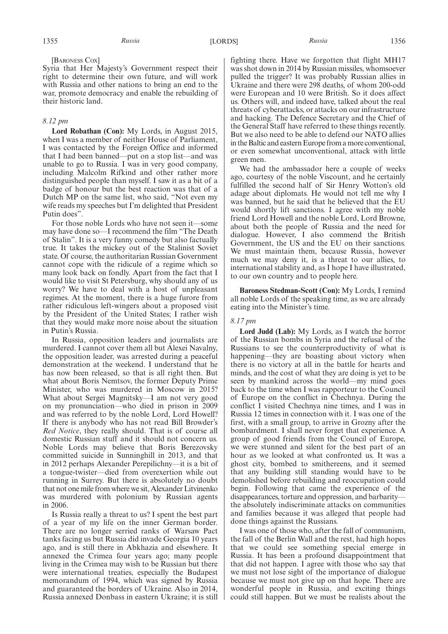Syria that Her Majesty's Government respect their right to determine their own future, and will work with Russia and other nations to bring an end to the war, promote democracy and enable the rebuilding of their historic land.

#### *8.12 pm*

**Lord Robathan (Con):** My Lords, in August 2015, when I was a member of neither House of Parliament, I was contacted by the Foreign Office and informed that I had been banned—put on a stop list—and was unable to go to Russia. I was in very good company, including Malcolm Rifkind and other rather more distinguished people than myself. I saw it as a bit of a badge of honour but the best reaction was that of a Dutch MP on the same list, who said, "Not even my wife reads my speeches but I'm delighted that President Putin does".

For those noble Lords who have not seen it—some may have done so—I recommend the film "The Death of Stalin". It is a very funny comedy but also factually true. It takes the mickey out of the Stalinist Soviet state. Of course, the authoritarian Russian Government cannot cope with the ridicule of a regime which so many look back on fondly. Apart from the fact that I would like to visit St Petersburg, why should any of us worry? We have to deal with a host of unpleasant regimes. At the moment, there is a huge furore from rather ridiculous left-wingers about a proposed visit by the President of the United States; I rather wish that they would make more noise about the situation in Putin's Russia.

In Russia, opposition leaders and journalists are murdered. I cannot cover them all but Alexei Navalny, the opposition leader, was arrested during a peaceful demonstration at the weekend. I understand that he has now been released, so that is all right then. But what about Boris Nemtsov, the former Deputy Prime Minister, who was murdered in Moscow in 2015? What about Sergei Magnitsky—I am not very good on my pronunciation—who died in prison in 2009 and was referred to by the noble Lord, Lord Howell? If there is anybody who has not read Bill Browder's *Red Notice*, they really should. That is of course all domestic Russian stuff and it should not concern us. Noble Lords may believe that Boris Berezovsky committed suicide in Sunninghill in 2013, and that in 2012 perhaps Alexander Perepilichny—it is a bit of a tongue-twister—died from overexertion while out running in Surrey. But there is absolutely no doubt that not one mile from where we sit, Alexander Litvinenko was murdered with polonium by Russian agents in 2006.

Is Russia really a threat to us? I spent the best part of a year of my life on the inner German border. There are no longer serried ranks of Warsaw Pact tanks facing us but Russia did invade Georgia 10 years ago, and is still there in Abkhazia and elsewhere. It annexed the Crimea four years ago; many people living in the Crimea may wish to be Russian but there were international treaties, especially the Budapest memorandum of 1994, which was signed by Russia and guaranteed the borders of Ukraine. Also in 2014, Russia annexed Donbass in eastern Ukraine; it is still

fighting there. Have we forgotten that flight MH17 was shot down in 2014 by Russian missiles, whomsoever pulled the trigger? It was probably Russian allies in Ukraine and there were 298 deaths, of whom 200-odd were European and 10 were British. So it does affect us. Others will, and indeed have, talked about the real threats of cyberattacks, or attacks on our infrastructure and hacking. The Defence Secretary and the Chief of the General Staff have referred to these things recently. But we also need to be able to defend our NATO allies in the Baltic and eastern Europe from a more conventional, or even somewhat unconventional, attack with little green men.

We had the ambassador here a couple of weeks ago, courtesy of the noble Viscount, and he certainly fulfilled the second half of Sir Henry Wotton's old adage about diplomats. He would not tell me why I was banned, but he said that he believed that the EU would shortly lift sanctions. I agree with my noble friend Lord Howell and the noble Lord, Lord Browne, about both the people of Russia and the need for dialogue. However, I also commend the British Government, the US and the EU on their sanctions. We must maintain them, because Russia, however much we may deny it, is a threat to our allies, to international stability and, as I hope I have illustrated, to our own country and to people here.

**Baroness Stedman-Scott (Con):** My Lords, I remind all noble Lords of the speaking time, as we are already eating into the Minister's time.

#### *8.17 pm*

**Lord Judd (Lab):** My Lords, as I watch the horror of the Russian bombs in Syria and the refusal of the Russians to see the counterproductivity of what is happening—they are boasting about victory when there is no victory at all in the battle for hearts and minds, and the cost of what they are doing is yet to be seen by mankind across the world—my mind goes back to the time when I was rapporteur to the Council of Europe on the conflict in Chechnya. During the conflict I visited Chechnya nine times, and I was in Russia 12 times in connection with it. I was one of the first, with a small group, to arrive in Grozny after the bombardment. I shall never forget that experience. A group of good friends from the Council of Europe, we were stunned and silent for the best part of an hour as we looked at what confronted us. It was a ghost city, bombed to smithereens, and it seemed that any building still standing would have to be demolished before rebuilding and reoccupation could begin. Following that came the experience of the disappearances, torture and oppression, and barbarity the absolutely indiscriminate attacks on communities and families because it was alleged that people had done things against the Russians.

I was one of those who, after the fall of communism, the fall of the Berlin Wall and the rest, had high hopes that we could see something special emerge in Russia. It has been a profound disappointment that that did not happen. I agree with those who say that we must not lose sight of the importance of dialogue because we must not give up on that hope. There are wonderful people in Russia, and exciting things could still happen. But we must be realists about the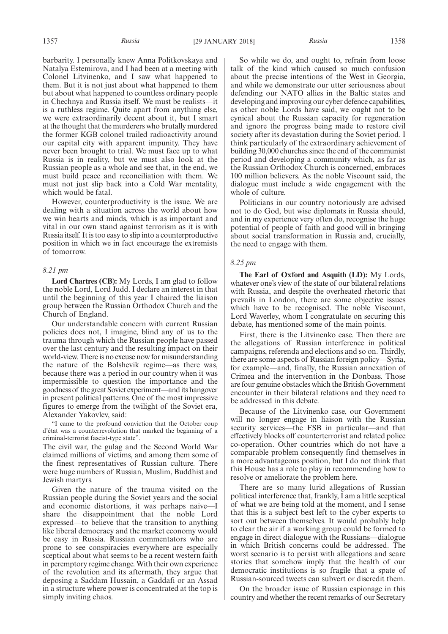barbarity. I personally knew Anna Politkovskaya and Natalya Estemirova, and I had been at a meeting with Colonel Litvinenko, and I saw what happened to them. But it is not just about what happened to them but about what happened to countless ordinary people in Chechnya and Russia itself. We must be realists—it is a ruthless regime. Quite apart from anything else, we were extraordinarily decent about it, but I smart at the thought that the murderers who brutally murdered the former KGB colonel trailed radioactivity around our capital city with apparent impunity. They have never been brought to trial. We must face up to what Russia is in reality, but we must also look at the Russian people as a whole and see that, in the end, we must build peace and reconciliation with them. We must not just slip back into a Cold War mentality, which would be fatal.

However, counterproductivity is the issue. We are dealing with a situation across the world about how we win hearts and minds, which is as important and vital in our own stand against terrorism as it is with Russia itself. It is too easy to slip into a counterproductive position in which we in fact encourage the extremists of tomorrow.

#### *8.21 pm*

**Lord Chartres (CB):** My Lords, I am glad to follow the noble Lord, Lord Judd. I declare an interest in that until the beginning of this year I chaired the liaison group between the Russian Orthodox Church and the Church of England.

Our understandable concern with current Russian policies does not, I imagine, blind any of us to the trauma through which the Russian people have passed over the last century and the resulting impact on their world-view. There is no excuse now for misunderstanding the nature of the Bolshevik regime—as there was, because there was a period in our country when it was impermissible to question the importance and the goodness of the great Soviet experiment—and its hangover in present political patterns. One of the most impressive figures to emerge from the twilight of the Soviet era, Alexander Yakovlev, said:

"I came to the profound conviction that the October coup d'état was a counterrevolution that marked the beginning of a criminal-terrorist fascist-type state".

The civil war, the gulag and the Second World War claimed millions of victims, and among them some of the finest representatives of Russian culture. There were huge numbers of Russian, Muslim, Buddhist and Jewish martyrs.

Given the nature of the trauma visited on the Russian people during the Soviet years and the social and economic distortions, it was perhaps naive—I share the disappointment that the noble Lord expressed—to believe that the transition to anything like liberal democracy and the market economy would be easy in Russia. Russian commentators who are prone to see conspiracies everywhere are especially sceptical about what seems to be a recent western faith in peremptory regime change. With their own experience of the revolution and its aftermath, they argue that deposing a Saddam Hussain, a Gaddafi or an Assad in a structure where power is concentrated at the top is simply inviting chaos.

So while we do, and ought to, refrain from loose talk of the kind which caused so much confusion about the precise intentions of the West in Georgia, and while we demonstrate our utter seriousness about defending our NATO allies in the Baltic states and developing and improving our cyber defence capabilities, as other noble Lords have said, we ought not to be cynical about the Russian capacity for regeneration and ignore the progress being made to restore civil society after its devastation during the Soviet period. I think particularly of the extraordinary achievement of building 30,000 churches since the end of the communist period and developing a community which, as far as the Russian Orthodox Church is concerned, embraces 100 million believers. As the noble Viscount said, the dialogue must include a wide engagement with the whole of culture.

Politicians in our country notoriously are advised not to do God, but wise diplomats in Russia should, and in my experience very often do, recognise the huge potential of people of faith and good will in bringing about social transformation in Russia and, crucially, the need to engage with them.

#### *8.25 pm*

**The Earl of Oxford and Asquith (LD):** My Lords, whatever one's view of the state of our bilateral relations with Russia, and despite the overheated rhetoric that prevails in London, there are some objective issues which have to be recognised. The noble Viscount, Lord Waverley, whom I congratulate on securing this debate, has mentioned some of the main points.

First, there is the Litvinenko case. Then there are the allegations of Russian interference in political campaigns, referenda and elections and so on. Thirdly, there are some aspects of Russian foreign policy—Syria, for example—and, finally, the Russian annexation of Crimea and the intervention in the Donbass. Those are four genuine obstacles which the British Government encounter in their bilateral relations and they need to be addressed in this debate.

Because of the Litvinenko case, our Government will no longer engage in liaison with the Russian security services—the FSB in particular—and that effectively blocks off counterterrorist and related police co-operation. Other countries which do not have a comparable problem consequently find themselves in a more advantageous position, but I do not think that this House has a role to play in recommending how to resolve or ameliorate the problem here.

There are so many lurid allegations of Russian political interference that, frankly, I am a little sceptical of what we are being told at the moment, and I sense that this is a subject best left to the cyber experts to sort out between themselves. It would probably help to clear the air if a working group could be formed to engage in direct dialogue with the Russians—dialogue in which British concerns could be addressed. The worst scenario is to persist with allegations and scare stories that somehow imply that the health of our democratic institutions is so fragile that a spate of Russian-sourced tweets can subvert or discredit them.

On the broader issue of Russian espionage in this country and whether the recent remarks of our Secretary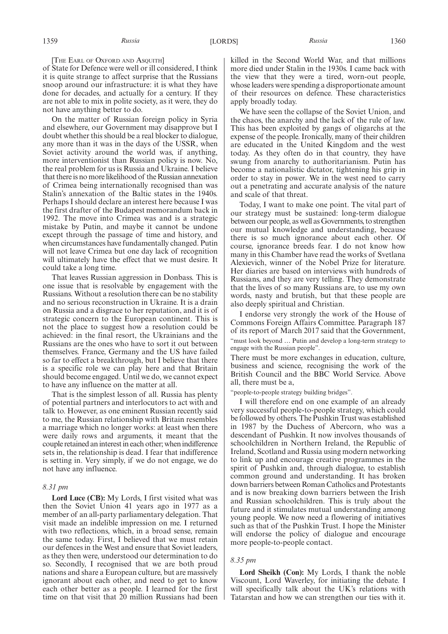[THE EARL OF OXFORD AND ASQUITH]

of State for Defence were well or ill considered, I think it is quite strange to affect surprise that the Russians snoop around our infrastructure: it is what they have done for decades, and actually for a century. If they are not able to mix in polite society, as it were, they do not have anything better to do.

On the matter of Russian foreign policy in Syria and elsewhere, our Government may disapprove but I doubt whether this should be a real blocker to dialogue, any more than it was in the days of the USSR, when Soviet activity around the world was, if anything, more interventionist than Russian policy is now. No, the real problem for us is Russia and Ukraine. I believe that there is no more likelihood of the Russian annexation of Crimea being internationally recognised than was Stalin's annexation of the Baltic states in the 1940s. Perhaps I should declare an interest here because I was the first drafter of the Budapest memorandum back in 1992. The move into Crimea was and is a strategic mistake by Putin, and maybe it cannot be undone except through the passage of time and history, and when circumstances have fundamentally changed. Putin will not leave Crimea but one day lack of recognition will ultimately have the effect that we must desire. It could take a long time.

That leaves Russian aggression in Donbass. This is one issue that is resolvable by engagement with the Russians. Without a resolution there can be no stability and no serious reconstruction in Ukraine. It is a drain on Russia and a disgrace to her reputation, and it is of strategic concern to the European continent. This is not the place to suggest how a resolution could be achieved: in the final resort, the Ukrainians and the Russians are the ones who have to sort it out between themselves. France, Germany and the US have failed so far to effect a breakthrough, but I believe that there is a specific role we can play here and that Britain should become engaged. Until we do, we cannot expect to have any influence on the matter at all.

That is the simplest lesson of all. Russia has plenty of potential partners and interlocutors to act with and talk to. However, as one eminent Russian recently said to me, the Russian relationship with Britain resembles a marriage which no longer works: at least when there were daily rows and arguments, it meant that the couple retained an interest in each other; when indifference sets in, the relationship is dead. I fear that indifference is setting in. Very simply, if we do not engage, we do not have any influence.

#### *8.31 pm*

**Lord Luce (CB):** My Lords, I first visited what was then the Soviet Union 41 years ago in 1977 as a member of an all-party parliamentary delegation. That visit made an indelible impression on me. I returned with two reflections, which, in a broad sense, remain the same today. First, I believed that we must retain our defences in the West and ensure that Soviet leaders, as they then were, understood our determination to do so. Secondly, I recognised that we are both proud nations and share a European culture, but are massively ignorant about each other, and need to get to know each other better as a people. I learned for the first time on that visit that 20 million Russians had been killed in the Second World War, and that millions more died under Stalin in the 1930s. I came back with the view that they were a tired, worn-out people, whose leaders were spending a disproportionate amount of their resources on defence. These characteristics apply broadly today.

We have seen the collapse of the Soviet Union, and the chaos, the anarchy and the lack of the rule of law. This has been exploited by gangs of oligarchs at the expense of the people. Ironically, many of their children are educated in the United Kingdom and the west today. As they often do in that country, they have swung from anarchy to authoritarianism. Putin has become a nationalistic dictator, tightening his grip in order to stay in power. We in the west need to carry out a penetrating and accurate analysis of the nature and scale of that threat.

Today, I want to make one point. The vital part of our strategy must be sustained: long-term dialogue between our people, as well as Governments, to strengthen our mutual knowledge and understanding, because there is so much ignorance about each other. Of course, ignorance breeds fear. I do not know how many in this Chamber have read the works of Svetlana Alexievich, winner of the Nobel Prize for literature. Her diaries are based on interviews with hundreds of Russians, and they are very telling. They demonstrate that the lives of so many Russians are, to use my own words, nasty and brutish, but that these people are also deeply spiritual and Christian.

I endorse very strongly the work of the House of Commons Foreign Affairs Committee. Paragraph 187 of its report of March 2017 said that the Government, "must look beyond … Putin and develop a long-term strategy to engage with the Russian people".

There must be more exchanges in education, culture, business and science, recognising the work of the British Council and the BBC World Service. Above all, there must be a,

"people-to-people strategy building bridges".

I will therefore end on one example of an already very successful people-to-people strategy, which could be followed by others. The Pushkin Trust was established in 1987 by the Duchess of Abercorn, who was a descendant of Pushkin. It now involves thousands of schoolchildren in Northern Ireland, the Republic of Ireland, Scotland and Russia using modern networking to link up and encourage creative programmes in the spirit of Pushkin and, through dialogue, to establish common ground and understanding. It has broken down barriers between Roman Catholics and Protestants and is now breaking down barriers between the Irish and Russian schoolchildren. This is truly about the future and it stimulates mutual understanding among young people. We now need a flowering of initiatives such as that of the Pushkin Trust. I hope the Minister will endorse the policy of dialogue and encourage more people-to-people contact.

#### *8.35 pm*

**Lord Sheikh (Con):** My Lords, I thank the noble Viscount, Lord Waverley, for initiating the debate. I will specifically talk about the UK's relations with Tatarstan and how we can strengthen our ties with it.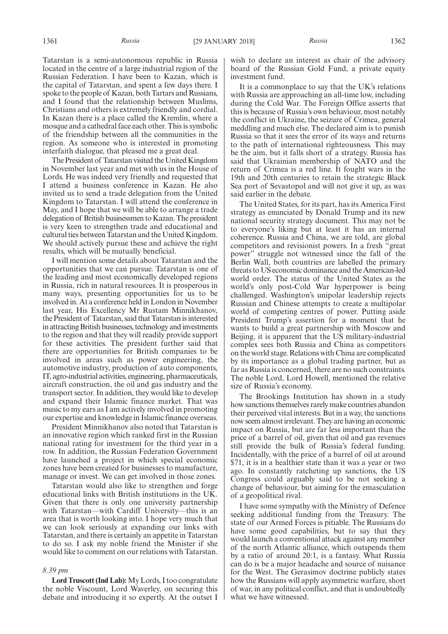Tatarstan is a semi-autonomous republic in Russia located in the centre of a large industrial region of the Russian Federation. I have been to Kazan, which is the capital of Tatarstan, and spent a few days there. I spoke to the people of Kazan, both Tartars and Russians, and I found that the relationship between Muslims, Christians and others is extremely friendly and cordial. In Kazan there is a place called the Kremlin, where a mosque and a cathedral face each other. This is symbolic of the friendship between all the communities in the region. As someone who is interested in promoting interfaith dialogue, that pleased me a great deal.

The President of Tatarstan visited the United Kingdom in November last year and met with us in the House of Lords. He was indeed very friendly and requested that I attend a business conference in Kazan. He also invited us to send a trade delegation from the United Kingdom to Tatarstan. I will attend the conference in May, and I hope that we will be able to arrange a trade delegation of British businessmen to Kazan. The president is very keen to strengthen trade and educational and cultural ties between Tatarstan and the United Kingdom. We should actively pursue these and achieve the right results, which will be mutually beneficial.

I will mention some details about Tatarstan and the opportunities that we can pursue. Tatarstan is one of the leading and most economically developed regions in Russia, rich in natural resources. It is prosperous in many ways, presenting opportunities for us to be involved in. At a conference held in London in November last year, His Excellency Mr Rustam Minnikhanov, the President of Tatarstan, said that Tatarstan is interested in attracting British businesses, technology and investments to the region and that they will readily provide support for these activities. The president further said that there are opportunities for British companies to be involved in areas such as power engineering, the automotive industry, production of auto components, IT, agro-industrial activities, engineering, pharmaceuticals, aircraft construction, the oil and gas industry and the transport sector. In addition, they would like to develop and expand their Islamic finance market. That was music to my ears as I am actively involved in promoting our expertise and knowledge in Islamic finance overseas.

President Minnikhanov also noted that Tatarstan is an innovative region which ranked first in the Russian national rating for investment for the third year in a row. In addition, the Russian Federation Government have launched a project in which special economic zones have been created for businesses to manufacture, manage or invest. We can get involved in those zones.

Tatarstan would also like to strengthen and forge educational links with British institutions in the UK. Given that there is only one university partnership with Tatarstan—with Cardiff University—this is an area that is worth looking into. I hope very much that we can look seriously at expanding our links with Tatarstan, and there is certainly an appetite in Tatarstan to do so. I ask my noble friend the Minister if she would like to comment on our relations with Tatarstan.

#### *8.39 pm*

**Lord Truscott (Ind Lab):**My Lords, I too congratulate the noble Viscount, Lord Waverley, on securing this debate and introducing it so expertly. At the outset I wish to declare an interest as chair of the advisory board of the Russian Gold Fund, a private equity investment fund.

It is a commonplace to say that the UK's relations with Russia are approaching an all-time low, including during the Cold War. The Foreign Office asserts that this is because of Russia's own behaviour, most notably the conflict in Ukraine, the seizure of Crimea, general meddling and much else. The declared aim is to punish Russia so that it sees the error of its ways and returns to the path of international righteousness. This may be the aim, but it falls short of a strategy. Russia has said that Ukrainian membership of NATO and the return of Crimea is a red line. It fought wars in the 19th and 20th centuries to retain the strategic Black Sea port of Sevastopol and will not give it up, as was said earlier in the debate.

The United States, for its part, has its America First strategy as enunciated by Donald Trump and its new national security strategy document. This may not be to everyone's liking but at least it has an internal coherence. Russia and China, we are told, are global competitors and revisionist powers. In a fresh "great power" struggle not witnessed since the fall of the Berlin Wall, both countries are labelled the primary threats to US economic dominance and the American-led world order. The status of the United States as the world's only post-Cold War hyperpower is being challenged. Washington's unipolar leadership rejects Russian and Chinese attempts to create a multipolar world of competing centres of power. Putting aside President Trump's assertion for a moment that he wants to build a great partnership with Moscow and Beijing, it is apparent that the US military-industrial complex sees both Russia and China as competitors on the world stage. Relations with China are complicated by its importance as a global trading partner, but as far as Russia is concerned, there are no such constraints. The noble Lord, Lord Howell, mentioned the relative size of Russia's economy.

The Brookings Institution has shown in a study how sanctions themselves rarely make countries abandon their perceived vital interests. But in a way, the sanctions now seem almost irrelevant. They are having an economic impact on Russia, but are far less important than the price of a barrel of oil, given that oil and gas revenues still provide the bulk of Russia's federal funding. Incidentally, with the price of a barrel of oil at around \$71, it is in a healthier state than it was a year or two ago. In constantly ratcheting up sanctions, the US Congress could arguably said to be not seeking a change of behaviour, but aiming for the emasculation of a geopolitical rival.

I have some sympathy with the Ministry of Defence seeking additional funding from the Treasury. The state of our Armed Forces is pitiable. The Russians do have some good capabilities, but to say that they would launch a conventional attack against any member of the north Atlantic alliance, which outspends them by a ratio of around 20:1, is a fantasy. What Russia can do is be a major headache and source of nuisance for the West. The Gerasimov doctrine publicly states how the Russians will apply asymmetric warfare, short of war, in any political conflict, and that is undoubtedly what we have witnessed.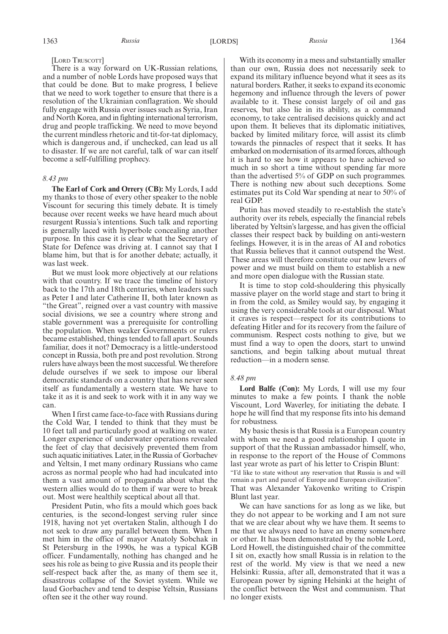There is a way forward on UK-Russian relations, and a number of noble Lords have proposed ways that that could be done. But to make progress, I believe that we need to work together to ensure that there is a resolution of the Ukrainian conflagration. We should fully engage with Russia over issues such as Syria, Iran and North Korea, and in fighting international terrorism, drug and people trafficking. We need to move beyond the current mindless rhetoric and tit-for-tat diplomacy, which is dangerous and, if unchecked, can lead us all to disaster. If we are not careful, talk of war can itself become a self-fulfilling prophecy.

#### *8.43 pm*

**The Earl of Cork and Orrery (CB):** My Lords, I add my thanks to those of every other speaker to the noble Viscount for securing this timely debate. It is timely because over recent weeks we have heard much about resurgent Russia's intentions. Such talk and reporting is generally laced with hyperbole concealing another purpose. In this case it is clear what the Secretary of State for Defence was driving at. I cannot say that I blame him, but that is for another debate; actually, it was last week.

But we must look more objectively at our relations with that country. If we trace the timeline of history back to the 17th and 18th centuries, when leaders such as Peter I and later Catherine II, both later known as "the Great", reigned over a vast country with massive social divisions, we see a country where strong and stable government was a prerequisite for controlling the population. When weaker Governments or rulers became established, things tended to fall apart. Sounds familiar, does it not? Democracy is a little-understood concept in Russia, both pre and post revolution. Strong rulers have always been the most successful. We therefore delude ourselves if we seek to impose our liberal democratic standards on a country that has never seen itself as fundamentally a western state. We have to take it as it is and seek to work with it in any way we can.

When I first came face-to-face with Russians during the Cold War, I tended to think that they must be 10 feet tall and particularly good at walking on water. Longer experience of underwater operations revealed the feet of clay that decisively prevented them from such aquatic initiatives. Later, in the Russia of Gorbachev and Yeltsin, I met many ordinary Russians who came across as normal people who had had inculcated into them a vast amount of propaganda about what the western allies would do to them if war were to break out. Most were healthily sceptical about all that.

President Putin, who fits a mould which goes back centuries, is the second-longest serving ruler since 1918, having not yet overtaken Stalin, although I do not seek to draw any parallel between them. When I met him in the office of mayor Anatoly Sobchak in St Petersburg in the 1990s, he was a typical KGB officer. Fundamentally, nothing has changed and he sees his role as being to give Russia and its people their self-respect back after the, as many of them see it, disastrous collapse of the Soviet system. While we laud Gorbachev and tend to despise Yeltsin, Russians often see it the other way round.

With its economy in a mess and substantially smaller than our own, Russia does not necessarily seek to expand its military influence beyond what it sees as its natural borders. Rather, it seeks to expand its economic hegemony and influence through the levers of power available to it. These consist largely of oil and gas reserves, but also lie in its ability, as a command economy, to take centralised decisions quickly and act upon them. It believes that its diplomatic initiatives, backed by limited military force, will assist its climb towards the pinnacles of respect that it seeks. It has embarked on modernisation of its armed forces, although it is hard to see how it appears to have achieved so much in so short a time without spending far more than the advertised 5% of GDP on such programmes. There is nothing new about such deceptions. Some estimates put its Cold War spending at near to 50% of real GDP.

Putin has moved steadily to re-establish the state's authority over its rebels, especially the financial rebels liberated by Yeltsin's largesse, and has given the official classes their respect back by building on anti-western feelings. However, it is in the areas of AI and robotics that Russia believes that it cannot outspend the West. These areas will therefore constitute our new levers of power and we must build on them to establish a new and more open dialogue with the Russian state.

It is time to stop cold-shouldering this physically massive player on the world stage and start to bring it in from the cold, as Smiley would say, by engaging it using the very considerable tools at our disposal. What it craves is respect—respect for its contributions to defeating Hitler and for its recovery from the failure of communism. Respect costs nothing to give, but we must find a way to open the doors, start to unwind sanctions, and begin talking about mutual threat reduction—in a modern sense.

#### *8.48 pm*

**Lord Balfe (Con):** My Lords, I will use my four minutes to make a few points. I thank the noble Viscount, Lord Waverley, for initiating the debate. I hope he will find that my response fits into his demand for robustness.

My basic thesis is that Russia is a European country with whom we need a good relationship. I quote in support of that the Russian ambassador himself, who, in response to the report of the House of Commons last year wrote as part of his letter to Crispin Blunt: "I'd like to state without any reservation that Russia is and will remain a part and parcel of Europe and European civilization". That was Alexander Yakovenko writing to Crispin Blunt last year.

We can have sanctions for as long as we like, but they do not appear to be working and I am not sure that we are clear about why we have them. It seems to me that we always need to have an enemy somewhere or other. It has been demonstrated by the noble Lord, Lord Howell, the distinguished chair of the committee I sit on, exactly how small Russia is in relation to the rest of the world. My view is that we need a new Helsinki: Russia, after all, demonstrated that it was a European power by signing Helsinki at the height of the conflict between the West and communism. That no longer exists.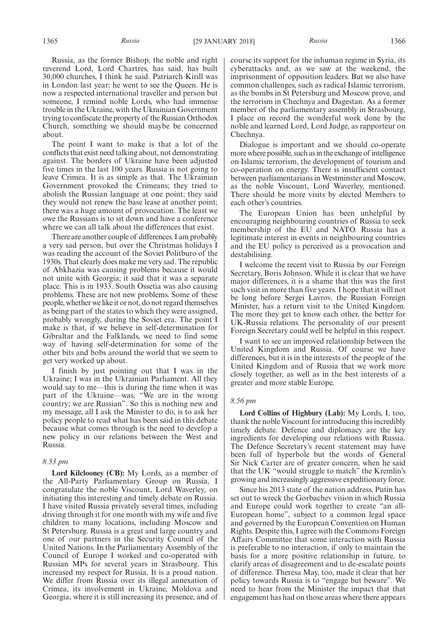Russia, as the former Bishop, the noble and right reverend Lord, Lord Chartres, has said, has built 30,000 churches, I think he said. Patriarch Kirill was in London last year; he went to see the Queen. He is now a respected international traveller and person but someone, I remind noble Lords, who had immense trouble in the Ukraine, with the Ukrainian Government trying to confiscate the property of the Russian Orthodox Church, something we should maybe be concerned about.

The point I want to make is that a lot of the conflicts that exist need talking about, not demonstrating against. The borders of Ukraine have been adjusted five times in the last 100 years. Russia is not going to leave Crimea. It is as simple as that. The Ukrainian Government provoked the Crimeans; they tried to abolish the Russian language at one point; they said they would not renew the base lease at another point; there was a huge amount of provocation. The least we owe the Russians is to sit down and have a conference where we can all talk about the differences that exist.

There are another couple of differences. I am probably a very sad person, but over the Christmas holidays I was reading the account of the Soviet Politburo of the 1930s. That clearly does make me very sad. The republic of Abkhazia was causing problems because it would not unite with Georgia; it said that it was a separate place. This is in 1933. South Ossetia was also causing problems. These are not new problems. Some of these people, whether we like it or not, do not regard themselves as being part of the states to which they were assigned, probably wrongly, during the Soviet era. The point I make is that, if we believe in self-determination for Gibraltar and the Falklands, we need to find some way of having self-determination for some of the other bits and bobs around the world that we seem to get very worked up about.

I finish by just pointing out that I was in the Ukraine; I was in the Ukrainian Parliament. All they would say to me—this is during the time when it was part of the Ukraine—was, "We are in the wrong country; we are Russian". So this is nothing new and my message, all I ask the Minister to do, is to ask her policy people to read what has been said in this debate because what comes through is the need to develop a new policy in our relations between the West and Russia.

#### *8.53 pm*

**Lord Kilclooney (CB):** My Lords, as a member of the All-Party Parliamentary Group on Russia, I congratulate the noble Viscount, Lord Waverley, on initiating this interesting and timely debate on Russia. I have visited Russia privately several times, including driving through it for one month with my wife and five children to many locations, including Moscow and St Petersburg. Russia is a great and large country and one of our partners in the Security Council of the United Nations. In the Parliamentary Assembly of the Council of Europe I worked and co-operated with Russian MPs for several years in Strasbourg. This increased my respect for Russia. It is a proud nation. We differ from Russia over its illegal annexation of Crimea, its involvement in Ukraine, Moldova and Georgia, where it is still increasing its presence, and of course its support for the inhuman regime in Syria, its cyberattacks and, as we saw at the weekend, the imprisonment of opposition leaders. But we also have common challenges, such as radical Islamic terrorism, as the bombs in St Petersburg and Moscow prove, and the terrorism in Chechnya and Dagestan. As a former member of the parliamentary assembly in Strasbourg, I place on record the wonderful work done by the noble and learned Lord, Lord Judge, as rapporteur on Chechnya.

Dialogue is important and we should co-operate more where possible, such as in the exchange of intelligence on Islamic terrorism, the development of tourism and co-operation on energy. There is insufficient contact between parliamentarians in Westminster and Moscow, as the noble Viscount, Lord Waverley, mentioned. There should be more visits by elected Members to each other's countries.

The European Union has been unhelpful by encouraging neighbouring countries of Russia to seek membership of the EU and NATO. Russia has a legitimate interest in events in neighbouring countries and the EU policy is perceived as a provocation and destabilising.

I welcome the recent visit to Russia by our Foreign Secretary, Boris Johnson. While it is clear that we have major differences, it is a shame that this was the first such visit in more than five years. I hope that it will not be long before Sergei Lavrov, the Russian Foreign Minister, has a return visit to the United Kingdom. The more they get to know each other, the better for UK-Russia relations. The personality of our present Foreign Secretary could well be helpful in this respect.

I want to see an improved relationship between the United Kingdom and Russia. Of course we have differences, but it is in the interests of the people of the United Kingdom and of Russia that we work more closely together, as well as in the best interests of a greater and more stable Europe.

#### *8.56 pm*

**Lord Collins of Highbury (Lab):** My Lords, I, too, thank the noble Viscount for introducing this incredibly timely debate. Defence and diplomacy are the key ingredients for developing our relations with Russia. The Defence Secretary's recent statement may have been full of hyperbole but the words of General Sir Nick Carter are of greater concern, when he said that the UK "would struggle to match" the Kremlin's growing and increasingly aggressive expeditionary force.

Since his 2013 state of the nation address, Putin has set out to wreck the Gorbachev vision in which Russia and Europe could work together to create "an all-European home", subject to a common legal space and governed by the European Convention on Human Rights. Despite this, I agree with the Commons Foreign Affairs Committee that some interaction with Russia is preferable to no interaction, if only to maintain the basis for a more positive relationship in future, to clarify areas of disagreement and to de-escalate points of difference. Theresa May, too, made it clear that her policy towards Russia is to "engage but beware". We need to hear from the Minister the impact that that engagement has had on those areas where there appears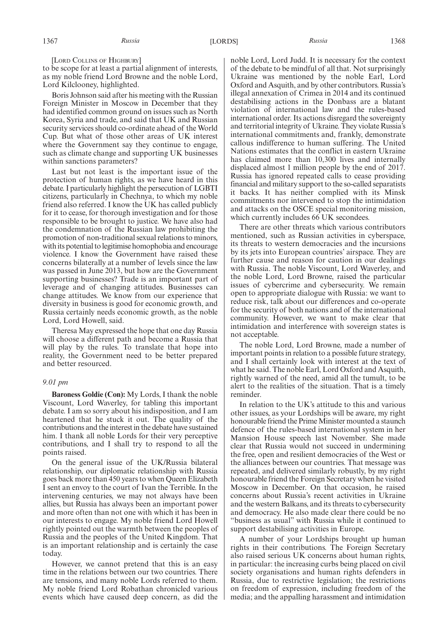[LORD COLLINS OF HIGHBURY]

to be scope for at least a partial alignment of interests, as my noble friend Lord Browne and the noble Lord, Lord Kilclooney, highlighted.

Boris Johnson said after his meeting with the Russian Foreign Minister in Moscow in December that they had identified common ground on issues such as North Korea, Syria and trade, and said that UK and Russian security services should co-ordinate ahead of the World Cup. But what of those other areas of UK interest where the Government say they continue to engage, such as climate change and supporting UK businesses within sanctions parameters?

Last but not least is the important issue of the protection of human rights, as we have heard in this debate. I particularly highlight the persecution of LGBTI citizens, particularly in Chechnya, to which my noble friend also referred. I know the UK has called publicly for it to cease, for thorough investigation and for those responsible to be brought to justice. We have also had the condemnation of the Russian law prohibiting the promotion of non-traditional sexual relations to minors, with its potential to legitimise homophobia and encourage violence. I know the Government have raised these concerns bilaterally at a number of levels since the law was passed in June 2013, but how are the Government supporting businesses? Trade is an important part of leverage and of changing attitudes. Businesses can change attitudes. We know from our experience that diversity in business is good for economic growth, and Russia certainly needs economic growth, as the noble Lord, Lord Howell, said.

Theresa May expressed the hope that one day Russia will choose a different path and become a Russia that will play by the rules. To translate that hope into reality, the Government need to be better prepared and better resourced.

#### *9.01 pm*

**Baroness Goldie (Con):** My Lords, I thank the noble Viscount, Lord Waverley, for tabling this important debate. I am so sorry about his indisposition, and I am heartened that he stuck it out. The quality of the contributions and the interest in the debate have sustained him. I thank all noble Lords for their very perceptive contributions, and I shall try to respond to all the points raised.

On the general issue of the UK/Russia bilateral relationship, our diplomatic relationship with Russia goes back more than 450 years to when Queen Elizabeth I sent an envoy to the court of Ivan the Terrible. In the intervening centuries, we may not always have been allies, but Russia has always been an important power and more often than not one with which it has been in our interests to engage. My noble friend Lord Howell rightly pointed out the warmth between the peoples of Russia and the peoples of the United Kingdom. That is an important relationship and is certainly the case today.

However, we cannot pretend that this is an easy time in the relations between our two countries. There are tensions, and many noble Lords referred to them. My noble friend Lord Robathan chronicled various events which have caused deep concern, as did the noble Lord, Lord Judd. It is necessary for the context of the debate to be mindful of all that. Not surprisingly Ukraine was mentioned by the noble Earl, Lord Oxford and Asquith, and by other contributors. Russia's illegal annexation of Crimea in 2014 and its continued destabilising actions in the Donbass are a blatant violation of international law and the rules-based international order. Its actions disregard the sovereignty and territorial integrity of Ukraine. They violate Russia's international commitments and, frankly, demonstrate callous indifference to human suffering. The United Nations estimates that the conflict in eastern Ukraine has claimed more than 10,300 lives and internally displaced almost 1 million people by the end of 2017. Russia has ignored repeated calls to cease providing financial and military support to the so-called separatists it backs. It has neither complied with its Minsk commitments nor intervened to stop the intimidation and attacks on the OSCE special monitoring mission, which currently includes 66 UK secondees.

There are other threats which various contributors mentioned, such as Russian activities in cyberspace, its threats to western democracies and the incursions by its jets into European countries' airspace. They are further cause and reason for caution in our dealings with Russia. The noble Viscount, Lord Waverley, and the noble Lord, Lord Browne, raised the particular issues of cybercrime and cybersecurity. We remain open to appropriate dialogue with Russia: we want to reduce risk, talk about our differences and co-operate for the security of both nations and of the international community. However, we want to make clear that intimidation and interference with sovereign states is not acceptable.

The noble Lord, Lord Browne, made a number of important points in relation to a possible future strategy, and I shall certainly look with interest at the text of what he said. The noble Earl, Lord Oxford and Asquith, rightly warned of the need, amid all the tumult, to be alert to the realities of the situation. That is a timely reminder.

In relation to the UK's attitude to this and various other issues, as your Lordships will be aware, my right honourable friend the Prime Minister mounted a staunch defence of the rules-based international system in her Mansion House speech last November. She made clear that Russia would not succeed in undermining the free, open and resilient democracies of the West or the alliances between our countries. That message was repeated, and delivered similarly robustly, by my right honourable friend the Foreign Secretary when he visited Moscow in December. On that occasion, he raised concerns about Russia's recent activities in Ukraine and the western Balkans, and its threats to cybersecurity and democracy. He also made clear there could be no "business as usual" with Russia while it continued to support destabilising activities in Europe.

A number of your Lordships brought up human rights in their contributions. The Foreign Secretary also raised serious UK concerns about human rights, in particular: the increasing curbs being placed on civil society organisations and human rights defenders in Russia, due to restrictive legislation; the restrictions on freedom of expression, including freedom of the media; and the appalling harassment and intimidation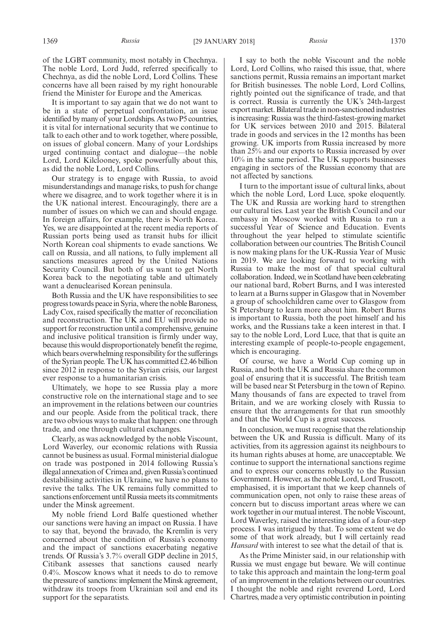of the LGBT community, most notably in Chechnya. The noble Lord, Lord Judd, referred specifically to Chechnya, as did the noble Lord, Lord Collins. These concerns have all been raised by my right honourable friend the Minister for Europe and the Americas.

It is important to say again that we do not want to be in a state of perpetual confrontation, an issue identified by many of your Lordships. As two P5 countries, it is vital for international security that we continue to talk to each other and to work together, where possible, on issues of global concern. Many of your Lordships urged continuing contact and dialogue—the noble Lord, Lord Kilclooney, spoke powerfully about this, as did the noble Lord, Lord Collins.

Our strategy is to engage with Russia, to avoid misunderstandings and manage risks, to push for change where we disagree, and to work together where it is in the UK national interest. Encouragingly, there are a number of issues on which we can and should engage. In foreign affairs, for example, there is North Korea. Yes, we are disappointed at the recent media reports of Russian ports being used as transit hubs for illicit North Korean coal shipments to evade sanctions. We call on Russia, and all nations, to fully implement all sanctions measures agreed by the United Nations Security Council. But both of us want to get North Korea back to the negotiating table and ultimately want a denuclearised Korean peninsula.

Both Russia and the UK have responsibilities to see progress towards peace in Syria, where the noble Baroness, Lady Cox, raised specifically the matter of reconciliation and reconstruction. The UK and EU will provide no support for reconstruction until a comprehensive, genuine and inclusive political transition is firmly under way, because this would disproportionately benefit the regime, which bears overwhelming responsibility for the sufferings of the Syrian people. The UK has committed £2.46 billion since 2012 in response to the Syrian crisis, our largest ever response to a humanitarian crisis.

Ultimately, we hope to see Russia play a more constructive role on the international stage and to see an improvement in the relations between our countries and our people. Aside from the political track, there are two obvious ways to make that happen: one through trade, and one through cultural exchanges.

Clearly, as was acknowledged by the noble Viscount, Lord Waverley, our economic relations with Russia cannot be business as usual. Formal ministerial dialogue on trade was postponed in 2014 following Russia's illegal annexation of Crimea and, given Russia's continued destabilising activities in Ukraine, we have no plans to revive the talks. The UK remains fully committed to sanctions enforcement until Russia meets its commitments under the Minsk agreement.

My noble friend Lord Balfe questioned whether our sanctions were having an impact on Russia. I have to say that, beyond the bravado, the Kremlin is very concerned about the condition of Russia's economy and the impact of sanctions exacerbating negative trends. Of Russia's 3.7% overall GDP decline in 2015, Citibank assesses that sanctions caused nearly 0.4%. Moscow knows what it needs to do to remove the pressure of sanctions: implement the Minsk agreement, withdraw its troops from Ukrainian soil and end its support for the separatists.

I say to both the noble Viscount and the noble Lord, Lord Collins, who raised this issue, that, where sanctions permit, Russia remains an important market for British businesses. The noble Lord, Lord Collins, rightly pointed out the significance of trade, and that is correct. Russia is currently the UK's 24th-largest export market. Bilateral trade in non-sanctioned industries is increasing: Russia was the third-fastest-growing market for UK services between 2010 and 2015. Bilateral trade in goods and services in the 12 months has been growing. UK imports from Russia increased by more than 25% and our exports to Russia increased by over 10% in the same period. The UK supports businesses engaging in sectors of the Russian economy that are not affected by sanctions.

I turn to the important issue of cultural links, about which the noble Lord, Lord Luce, spoke eloquently. The UK and Russia are working hard to strengthen our cultural ties. Last year the British Council and our embassy in Moscow worked with Russia to run a successful Year of Science and Education. Events throughout the year helped to stimulate scientific collaboration between our countries. The British Council is now making plans for the UK-Russia Year of Music in 2019. We are looking forward to working with Russia to make the most of that special cultural collaboration. Indeed, we in Scotland have been celebrating our national bard, Robert Burns, and I was interested to learn at a Burns supper in Glasgow that in November a group of schoolchildren came over to Glasgow from St Petersburg to learn more about him. Robert Burns is important to Russia, both the poet himself and his works, and the Russians take a keen interest in that. I say to the noble Lord, Lord Luce, that that is quite an interesting example of people-to-people engagement, which is encouraging.

Of course, we have a World Cup coming up in Russia, and both the UK and Russia share the common goal of ensuring that it is successful. The British team will be based near St Petersburg in the town of Repino. Many thousands of fans are expected to travel from Britain, and we are working closely with Russia to ensure that the arrangements for that run smoothly and that the World Cup is a great success.

In conclusion, we must recognise that the relationship between the UK and Russia is difficult. Many of its activities, from its aggression against its neighbours to its human rights abuses at home, are unacceptable. We continue to support the international sanctions regime and to express our concerns robustly to the Russian Government. However, as the noble Lord, Lord Truscott, emphasised, it is important that we keep channels of communication open, not only to raise these areas of concern but to discuss important areas where we can work together in our mutual interest. The noble Viscount, Lord Waverley, raised the interesting idea of a four-step process. I was intrigued by that. To some extent we do some of that work already, but I will certainly read *Hansard* with interest to see what the detail of that is.

As the Prime Minister said, in our relationship with Russia we must engage but beware. We will continue to take this approach and maintain the long-term goal of an improvement in the relations between our countries. I thought the noble and right reverend Lord, Lord Chartres, made a very optimistic contribution in pointing